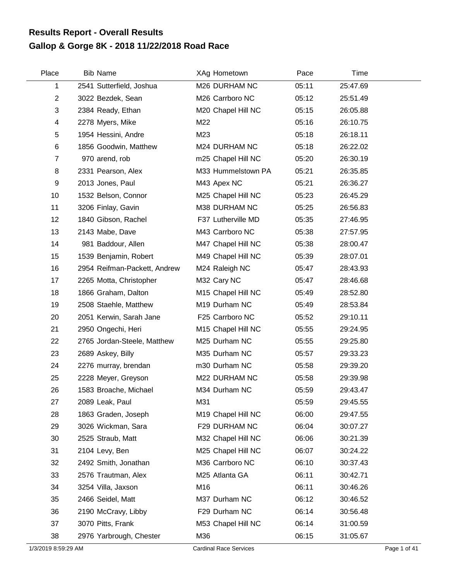## **Gallop & Gorge 8K - 2018 11/22/2018 Road Race Results Report - Overall Results**

| Place                   | <b>Bib Name</b>              | XAg Hometown       | Pace  | Time     |  |
|-------------------------|------------------------------|--------------------|-------|----------|--|
| 1                       | 2541 Sutterfield, Joshua     | M26 DURHAM NC      | 05:11 | 25:47.69 |  |
| $\overline{2}$          | 3022 Bezdek, Sean            | M26 Carrboro NC    | 05:12 | 25:51.49 |  |
| 3                       | 2384 Ready, Ethan            | M20 Chapel Hill NC | 05:15 | 26:05.88 |  |
| $\overline{\mathbf{4}}$ | 2278 Myers, Mike             | M22                | 05:16 | 26:10.75 |  |
| 5                       | 1954 Hessini, Andre          | M23                | 05:18 | 26:18.11 |  |
| $\,6$                   | 1856 Goodwin, Matthew        | M24 DURHAM NC      | 05:18 | 26:22.02 |  |
| $\overline{7}$          | 970 arend, rob               | m25 Chapel Hill NC | 05:20 | 26:30.19 |  |
| 8                       | 2331 Pearson, Alex           | M33 Hummelstown PA | 05:21 | 26:35.85 |  |
| $\boldsymbol{9}$        | 2013 Jones, Paul             | M43 Apex NC        | 05:21 | 26:36.27 |  |
| 10                      | 1532 Belson, Connor          | M25 Chapel Hill NC | 05:23 | 26:45.29 |  |
| 11                      | 3206 Finlay, Gavin           | M38 DURHAM NC      | 05:25 | 26:56.83 |  |
| 12                      | 1840 Gibson, Rachel          | F37 Lutherville MD | 05:35 | 27:46.95 |  |
| 13                      | 2143 Mabe, Dave              | M43 Carrboro NC    | 05:38 | 27:57.95 |  |
| 14                      | 981 Baddour, Allen           | M47 Chapel Hill NC | 05:38 | 28:00.47 |  |
| 15                      | 1539 Benjamin, Robert        | M49 Chapel Hill NC | 05:39 | 28:07.01 |  |
| 16                      | 2954 Reifman-Packett, Andrew | M24 Raleigh NC     | 05:47 | 28:43.93 |  |
| 17                      | 2265 Motta, Christopher      | M32 Cary NC        | 05:47 | 28:46.68 |  |
| 18                      | 1866 Graham, Dalton          | M15 Chapel Hill NC | 05:49 | 28:52.80 |  |
| 19                      | 2508 Staehle, Matthew        | M19 Durham NC      | 05:49 | 28:53.84 |  |
| 20                      | 2051 Kerwin, Sarah Jane      | F25 Carrboro NC    | 05:52 | 29:10.11 |  |
| 21                      | 2950 Ongechi, Heri           | M15 Chapel Hill NC | 05:55 | 29:24.95 |  |
| 22                      | 2765 Jordan-Steele, Matthew  | M25 Durham NC      | 05:55 | 29:25.80 |  |
| 23                      | 2689 Askey, Billy            | M35 Durham NC      | 05:57 | 29:33.23 |  |
| 24                      | 2276 murray, brendan         | m30 Durham NC      | 05:58 | 29:39.20 |  |
| 25                      | 2228 Meyer, Greyson          | M22 DURHAM NC      | 05:58 | 29:39.98 |  |
| 26                      | 1583 Broache, Michael        | M34 Durham NC      | 05:59 | 29:43.47 |  |
| 27                      | 2089 Leak, Paul              | M31                | 05:59 | 29:45.55 |  |
| 28                      | 1863 Graden, Joseph          | M19 Chapel Hill NC | 06:00 | 29:47.55 |  |
| 29                      | 3026 Wickman, Sara           | F29 DURHAM NC      | 06:04 | 30:07.27 |  |
| 30                      | 2525 Straub, Matt            | M32 Chapel Hill NC | 06:06 | 30:21.39 |  |
| 31                      | 2104 Levy, Ben               | M25 Chapel Hill NC | 06:07 | 30:24.22 |  |
| 32                      | 2492 Smith, Jonathan         | M36 Carrboro NC    | 06:10 | 30:37.43 |  |
| 33                      | 2576 Trautman, Alex          | M25 Atlanta GA     | 06:11 | 30:42.71 |  |
| 34                      | 3254 Villa, Jaxson           | M16                | 06:11 | 30:46.26 |  |
| 35                      | 2466 Seidel, Matt            | M37 Durham NC      | 06:12 | 30:46.52 |  |
| 36                      | 2190 McCravy, Libby          | F29 Durham NC      | 06:14 | 30:56.48 |  |
| 37                      | 3070 Pitts, Frank            | M53 Chapel Hill NC | 06:14 | 31:00.59 |  |
| 38                      | 2976 Yarbrough, Chester      | M36                | 06:15 | 31:05.67 |  |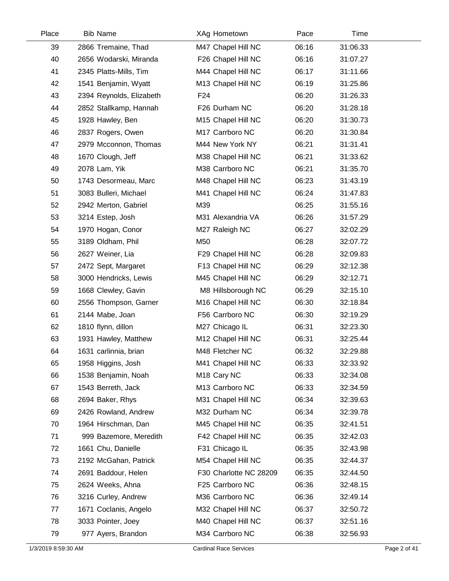| Place | <b>Bib Name</b>          | XAg Hometown            | Pace  | Time     |  |
|-------|--------------------------|-------------------------|-------|----------|--|
| 39    | 2866 Tremaine, Thad      | M47 Chapel Hill NC      | 06:16 | 31:06.33 |  |
| 40    | 2656 Wodarski, Miranda   | F26 Chapel Hill NC      | 06:16 | 31:07.27 |  |
| 41    | 2345 Platts-Mills, Tim   | M44 Chapel Hill NC      | 06:17 | 31:11.66 |  |
| 42    | 1541 Benjamin, Wyatt     | M13 Chapel Hill NC      | 06:19 | 31:25.86 |  |
| 43    | 2394 Reynolds, Elizabeth | F <sub>24</sub>         | 06:20 | 31:26.33 |  |
| 44    | 2852 Stallkamp, Hannah   | F26 Durham NC           | 06:20 | 31:28.18 |  |
| 45    | 1928 Hawley, Ben         | M15 Chapel Hill NC      | 06:20 | 31:30.73 |  |
| 46    | 2837 Rogers, Owen        | M17 Carrboro NC         | 06:20 | 31:30.84 |  |
| 47    | 2979 Mcconnon, Thomas    | M44 New York NY         | 06:21 | 31:31.41 |  |
| 48    | 1670 Clough, Jeff        | M38 Chapel Hill NC      | 06:21 | 31:33.62 |  |
| 49    | 2078 Lam, Yik            | M38 Carrboro NC         | 06:21 | 31:35.70 |  |
| 50    | 1743 Desormeau, Marc     | M48 Chapel Hill NC      | 06:23 | 31:43.19 |  |
| 51    | 3083 Bulleri, Michael    | M41 Chapel Hill NC      | 06:24 | 31:47.83 |  |
| 52    | 2942 Merton, Gabriel     | M39                     | 06:25 | 31:55.16 |  |
| 53    | 3214 Estep, Josh         | M31 Alexandria VA       | 06:26 | 31:57.29 |  |
| 54    | 1970 Hogan, Conor        | M27 Raleigh NC          | 06:27 | 32:02.29 |  |
| 55    | 3189 Oldham, Phil        | M50                     | 06:28 | 32:07.72 |  |
| 56    | 2627 Weiner, Lia         | F29 Chapel Hill NC      | 06:28 | 32:09.83 |  |
| 57    | 2472 Sept, Margaret      | F13 Chapel Hill NC      | 06:29 | 32:12.38 |  |
| 58    | 3000 Hendricks, Lewis    | M45 Chapel Hill NC      | 06:29 | 32:12.71 |  |
| 59    | 1668 Clewley, Gavin      | M8 Hillsborough NC      | 06:29 | 32:15.10 |  |
| 60    | 2556 Thompson, Garner    | M16 Chapel Hill NC      | 06:30 | 32:18.84 |  |
| 61    | 2144 Mabe, Joan          | F56 Carrboro NC         | 06:30 | 32:19.29 |  |
| 62    | 1810 flynn, dillon       | M27 Chicago IL          | 06:31 | 32:23.30 |  |
| 63    | 1931 Hawley, Matthew     | M12 Chapel Hill NC      | 06:31 | 32:25.44 |  |
| 64    | 1631 carlinnia, brian    | M48 Fletcher NC         | 06:32 | 32:29.88 |  |
| 65    | 1958 Higgins, Josh       | M41 Chapel Hill NC      | 06:33 | 32:33.92 |  |
| 66    | 1538 Benjamin, Noah      | M <sub>18</sub> Cary NC | 06:33 | 32:34.08 |  |
| 67    | 1543 Berreth, Jack       | M13 Carrboro NC         | 06:33 | 32:34.59 |  |
| 68    | 2694 Baker, Rhys         | M31 Chapel Hill NC      | 06:34 | 32:39.63 |  |
| 69    | 2426 Rowland, Andrew     | M32 Durham NC           | 06:34 | 32:39.78 |  |
| 70    | 1964 Hirschman, Dan      | M45 Chapel Hill NC      | 06:35 | 32:41.51 |  |
| 71    | 999 Bazemore, Meredith   | F42 Chapel Hill NC      | 06:35 | 32:42.03 |  |
| 72    | 1661 Chu, Danielle       | F31 Chicago IL          | 06:35 | 32:43.98 |  |
| 73    | 2192 McGahan, Patrick    | M54 Chapel Hill NC      | 06:35 | 32:44.37 |  |
| 74    | 2691 Baddour, Helen      | F30 Charlotte NC 28209  | 06:35 | 32:44.50 |  |
| 75    | 2624 Weeks, Ahna         | F25 Carrboro NC         | 06:36 | 32:48.15 |  |
| 76    | 3216 Curley, Andrew      | M36 Carrboro NC         | 06:36 | 32:49.14 |  |
| 77    | 1671 Coclanis, Angelo    | M32 Chapel Hill NC      | 06:37 | 32:50.72 |  |
| 78    | 3033 Pointer, Joey       | M40 Chapel Hill NC      | 06:37 | 32:51.16 |  |
| 79    | 977 Ayers, Brandon       | M34 Carrboro NC         | 06:38 | 32:56.93 |  |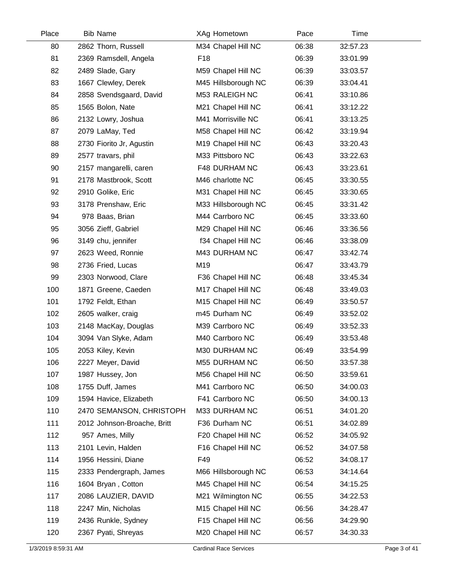| Place | <b>Bib Name</b>             | XAg Hometown        | Pace  | Time     |  |
|-------|-----------------------------|---------------------|-------|----------|--|
| 80    | 2862 Thorn, Russell         | M34 Chapel Hill NC  | 06:38 | 32:57.23 |  |
| 81    | 2369 Ramsdell, Angela       | F <sub>18</sub>     | 06:39 | 33:01.99 |  |
| 82    | 2489 Slade, Gary            | M59 Chapel Hill NC  | 06:39 | 33:03.57 |  |
| 83    | 1667 Clewley, Derek         | M45 Hillsborough NC | 06:39 | 33:04.41 |  |
| 84    | 2858 Svendsgaard, David     | M53 RALEIGH NC      | 06:41 | 33:10.86 |  |
| 85    | 1565 Bolon, Nate            | M21 Chapel Hill NC  | 06:41 | 33:12.22 |  |
| 86    | 2132 Lowry, Joshua          | M41 Morrisville NC  | 06:41 | 33:13.25 |  |
| 87    | 2079 LaMay, Ted             | M58 Chapel Hill NC  | 06:42 | 33:19.94 |  |
| 88    | 2730 Fiorito Jr, Agustin    | M19 Chapel Hill NC  | 06:43 | 33:20.43 |  |
| 89    | 2577 travars, phil          | M33 Pittsboro NC    | 06:43 | 33:22.63 |  |
| 90    | 2157 mangarelli, caren      | F48 DURHAM NC       | 06:43 | 33:23.61 |  |
| 91    | 2178 Mastbrook, Scott       | M46 charlotte NC    | 06:45 | 33:30.55 |  |
| 92    | 2910 Golike, Eric           | M31 Chapel Hill NC  | 06:45 | 33:30.65 |  |
| 93    | 3178 Prenshaw, Eric         | M33 Hillsborough NC | 06:45 | 33:31.42 |  |
| 94    | 978 Baas, Brian             | M44 Carrboro NC     | 06:45 | 33:33.60 |  |
| 95    | 3056 Zieff, Gabriel         | M29 Chapel Hill NC  | 06:46 | 33:36.56 |  |
| 96    | 3149 chu, jennifer          | f34 Chapel Hill NC  | 06:46 | 33:38.09 |  |
| 97    | 2623 Weed, Ronnie           | M43 DURHAM NC       | 06:47 | 33:42.74 |  |
| 98    | 2736 Fried, Lucas           | M19                 | 06:47 | 33:43.79 |  |
| 99    | 2303 Norwood, Clare         | F36 Chapel Hill NC  | 06:48 | 33:45.34 |  |
| 100   | 1871 Greene, Caeden         | M17 Chapel Hill NC  | 06:48 | 33:49.03 |  |
| 101   | 1792 Feldt, Ethan           | M15 Chapel Hill NC  | 06:49 | 33:50.57 |  |
| 102   | 2605 walker, craig          | m45 Durham NC       | 06:49 | 33:52.02 |  |
| 103   | 2148 MacKay, Douglas        | M39 Carrboro NC     | 06:49 | 33:52.33 |  |
| 104   | 3094 Van Slyke, Adam        | M40 Carrboro NC     | 06:49 | 33:53.48 |  |
| 105   | 2053 Kiley, Kevin           | M30 DURHAM NC       | 06:49 | 33:54.99 |  |
| 106   | 2227 Meyer, David           | M55 DURHAM NC       | 06:50 | 33:57.38 |  |
| 107   | 1987 Hussey, Jon            | M56 Chapel Hill NC  | 06:50 | 33:59.61 |  |
| 108   | 1755 Duff, James            | M41 Carrboro NC     | 06:50 | 34:00.03 |  |
| 109   | 1594 Havice, Elizabeth      | F41 Carrboro NC     | 06:50 | 34:00.13 |  |
| 110   | 2470 SEMANSON, CHRISTOPH    | M33 DURHAM NC       | 06:51 | 34:01.20 |  |
| 111   | 2012 Johnson-Broache, Britt | F36 Durham NC       | 06:51 | 34:02.89 |  |
| 112   | 957 Ames, Milly             | F20 Chapel Hill NC  | 06:52 | 34:05.92 |  |
| 113   | 2101 Levin, Halden          | F16 Chapel Hill NC  | 06:52 | 34:07.58 |  |
| 114   | 1956 Hessini, Diane         | F49                 | 06:52 | 34:08.17 |  |
| 115   | 2333 Pendergraph, James     | M66 Hillsborough NC | 06:53 | 34:14.64 |  |
| 116   | 1604 Bryan, Cotton          | M45 Chapel Hill NC  | 06:54 | 34:15.25 |  |
| 117   | 2086 LAUZIER, DAVID         | M21 Wilmington NC   | 06:55 | 34:22.53 |  |
| 118   | 2247 Min, Nicholas          | M15 Chapel Hill NC  | 06:56 | 34:28.47 |  |
| 119   | 2436 Runkle, Sydney         | F15 Chapel Hill NC  | 06:56 | 34:29.90 |  |
| 120   | 2367 Pyati, Shreyas         | M20 Chapel Hill NC  | 06:57 | 34:30.33 |  |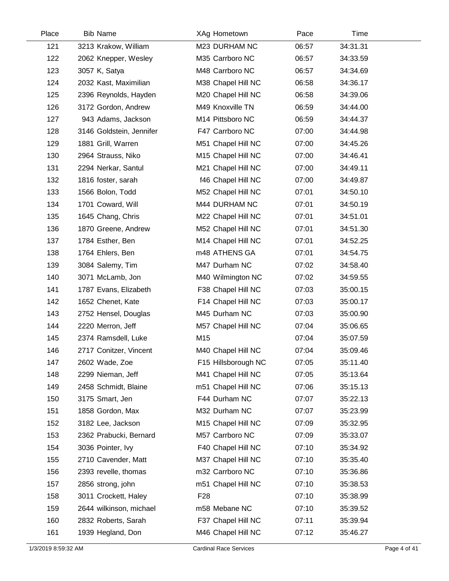| 121<br>M23 DURHAM NC<br>06:57<br>34:31.31<br>3213 Krakow, William<br>122<br>M35 Carrboro NC<br>06:57<br>34:33.59<br>2062 Knepper, Wesley<br>123<br>M48 Carrboro NC<br>06:57<br>3057 K, Satya<br>34:34.69<br>124<br>2032 Kast, Maximilian<br>M38 Chapel Hill NC<br>06:58<br>34:36.17<br>125<br>M20 Chapel Hill NC<br>06:58<br>34:39.06<br>2396 Reynolds, Hayden<br>126<br>3172 Gordon, Andrew<br>M49 Knoxville TN<br>06:59<br>34:44.00<br>127<br>943 Adams, Jackson<br>M14 Pittsboro NC<br>06:59<br>34:44.37<br>128<br>F47 Carrboro NC<br>07:00<br>3146 Goldstein, Jennifer<br>34:44.98<br>129<br>1881 Grill, Warren<br>M51 Chapel Hill NC<br>07:00<br>34:45.26<br>M15 Chapel Hill NC<br>130<br>2964 Strauss, Niko<br>07:00<br>34:46.41<br>131<br>2294 Nerkar, Santul<br>M21 Chapel Hill NC<br>07:00<br>34:49.11<br>132<br>f46 Chapel Hill NC<br>07:00<br>1816 foster, sarah<br>34:49.87 | Time |
|-----------------------------------------------------------------------------------------------------------------------------------------------------------------------------------------------------------------------------------------------------------------------------------------------------------------------------------------------------------------------------------------------------------------------------------------------------------------------------------------------------------------------------------------------------------------------------------------------------------------------------------------------------------------------------------------------------------------------------------------------------------------------------------------------------------------------------------------------------------------------------------------|------|
|                                                                                                                                                                                                                                                                                                                                                                                                                                                                                                                                                                                                                                                                                                                                                                                                                                                                                         |      |
|                                                                                                                                                                                                                                                                                                                                                                                                                                                                                                                                                                                                                                                                                                                                                                                                                                                                                         |      |
|                                                                                                                                                                                                                                                                                                                                                                                                                                                                                                                                                                                                                                                                                                                                                                                                                                                                                         |      |
|                                                                                                                                                                                                                                                                                                                                                                                                                                                                                                                                                                                                                                                                                                                                                                                                                                                                                         |      |
|                                                                                                                                                                                                                                                                                                                                                                                                                                                                                                                                                                                                                                                                                                                                                                                                                                                                                         |      |
|                                                                                                                                                                                                                                                                                                                                                                                                                                                                                                                                                                                                                                                                                                                                                                                                                                                                                         |      |
|                                                                                                                                                                                                                                                                                                                                                                                                                                                                                                                                                                                                                                                                                                                                                                                                                                                                                         |      |
|                                                                                                                                                                                                                                                                                                                                                                                                                                                                                                                                                                                                                                                                                                                                                                                                                                                                                         |      |
|                                                                                                                                                                                                                                                                                                                                                                                                                                                                                                                                                                                                                                                                                                                                                                                                                                                                                         |      |
|                                                                                                                                                                                                                                                                                                                                                                                                                                                                                                                                                                                                                                                                                                                                                                                                                                                                                         |      |
|                                                                                                                                                                                                                                                                                                                                                                                                                                                                                                                                                                                                                                                                                                                                                                                                                                                                                         |      |
|                                                                                                                                                                                                                                                                                                                                                                                                                                                                                                                                                                                                                                                                                                                                                                                                                                                                                         |      |
| 133<br>M52 Chapel Hill NC<br>1566 Bolon, Todd<br>07:01<br>34:50.10                                                                                                                                                                                                                                                                                                                                                                                                                                                                                                                                                                                                                                                                                                                                                                                                                      |      |
| 134<br>1701 Coward, Will<br>M44 DURHAM NC<br>07:01<br>34:50.19                                                                                                                                                                                                                                                                                                                                                                                                                                                                                                                                                                                                                                                                                                                                                                                                                          |      |
| 135<br>1645 Chang, Chris<br>M22 Chapel Hill NC<br>07:01<br>34:51.01                                                                                                                                                                                                                                                                                                                                                                                                                                                                                                                                                                                                                                                                                                                                                                                                                     |      |
| 136<br>M52 Chapel Hill NC<br>07:01<br>1870 Greene, Andrew<br>34:51.30                                                                                                                                                                                                                                                                                                                                                                                                                                                                                                                                                                                                                                                                                                                                                                                                                   |      |
| 137<br>M14 Chapel Hill NC<br>07:01<br>34:52.25<br>1784 Esther, Ben                                                                                                                                                                                                                                                                                                                                                                                                                                                                                                                                                                                                                                                                                                                                                                                                                      |      |
| 138<br>m48 ATHENS GA<br>07:01<br>1764 Ehlers, Ben<br>34:54.75                                                                                                                                                                                                                                                                                                                                                                                                                                                                                                                                                                                                                                                                                                                                                                                                                           |      |
| 139<br>M47 Durham NC<br>3084 Salemy, Tim<br>07:02<br>34:58.40                                                                                                                                                                                                                                                                                                                                                                                                                                                                                                                                                                                                                                                                                                                                                                                                                           |      |
| 140<br>3071 McLamb, Jon<br>M40 Wilmington NC<br>07:02<br>34:59.55                                                                                                                                                                                                                                                                                                                                                                                                                                                                                                                                                                                                                                                                                                                                                                                                                       |      |
| 141<br>F38 Chapel Hill NC<br>07:03<br>1787 Evans, Elizabeth<br>35:00.15                                                                                                                                                                                                                                                                                                                                                                                                                                                                                                                                                                                                                                                                                                                                                                                                                 |      |
| 142<br>1652 Chenet, Kate<br>F14 Chapel Hill NC<br>07:03<br>35:00.17                                                                                                                                                                                                                                                                                                                                                                                                                                                                                                                                                                                                                                                                                                                                                                                                                     |      |
| 143<br>M45 Durham NC<br>2752 Hensel, Douglas<br>07:03<br>35:00.90                                                                                                                                                                                                                                                                                                                                                                                                                                                                                                                                                                                                                                                                                                                                                                                                                       |      |
| 144<br>2220 Merron, Jeff<br>M57 Chapel Hill NC<br>07:04<br>35:06.65                                                                                                                                                                                                                                                                                                                                                                                                                                                                                                                                                                                                                                                                                                                                                                                                                     |      |
| M15<br>145<br>07:04<br>35:07.59<br>2374 Ramsdell, Luke                                                                                                                                                                                                                                                                                                                                                                                                                                                                                                                                                                                                                                                                                                                                                                                                                                  |      |
| 146<br>2717 Conitzer, Vincent<br>M40 Chapel Hill NC<br>07:04<br>35:09.46                                                                                                                                                                                                                                                                                                                                                                                                                                                                                                                                                                                                                                                                                                                                                                                                                |      |
| 147<br>F15 Hillsborough NC<br>35:11.40<br>2602 Wade, Zoe<br>07:05                                                                                                                                                                                                                                                                                                                                                                                                                                                                                                                                                                                                                                                                                                                                                                                                                       |      |
| 148<br>2299 Nieman, Jeff<br>M41 Chapel Hill NC<br>07:05<br>35:13.64                                                                                                                                                                                                                                                                                                                                                                                                                                                                                                                                                                                                                                                                                                                                                                                                                     |      |
| 149<br>2458 Schmidt, Blaine<br>m51 Chapel Hill NC<br>07:06<br>35:15.13                                                                                                                                                                                                                                                                                                                                                                                                                                                                                                                                                                                                                                                                                                                                                                                                                  |      |
| 150<br>3175 Smart, Jen<br>F44 Durham NC<br>07:07<br>35:22.13                                                                                                                                                                                                                                                                                                                                                                                                                                                                                                                                                                                                                                                                                                                                                                                                                            |      |
| 151<br>1858 Gordon, Max<br>M32 Durham NC<br>07:07<br>35:23.99                                                                                                                                                                                                                                                                                                                                                                                                                                                                                                                                                                                                                                                                                                                                                                                                                           |      |
| 152<br>M15 Chapel Hill NC<br>3182 Lee, Jackson<br>07:09<br>35:32.95                                                                                                                                                                                                                                                                                                                                                                                                                                                                                                                                                                                                                                                                                                                                                                                                                     |      |
| M57 Carrboro NC<br>153<br>2362 Prabucki, Bernard<br>07:09<br>35:33.07                                                                                                                                                                                                                                                                                                                                                                                                                                                                                                                                                                                                                                                                                                                                                                                                                   |      |
| 154<br>3036 Pointer, Ivy<br>F40 Chapel Hill NC<br>07:10<br>35:34.92                                                                                                                                                                                                                                                                                                                                                                                                                                                                                                                                                                                                                                                                                                                                                                                                                     |      |
| 155<br>M37 Chapel Hill NC<br>07:10<br>2710 Cavender, Matt<br>35:35.40                                                                                                                                                                                                                                                                                                                                                                                                                                                                                                                                                                                                                                                                                                                                                                                                                   |      |
| m32 Carrboro NC<br>156<br>2393 revelle, thomas<br>07:10<br>35:36.86                                                                                                                                                                                                                                                                                                                                                                                                                                                                                                                                                                                                                                                                                                                                                                                                                     |      |
| 157<br>2856 strong, john<br>m51 Chapel Hill NC<br>07:10<br>35:38.53                                                                                                                                                                                                                                                                                                                                                                                                                                                                                                                                                                                                                                                                                                                                                                                                                     |      |
| 158<br>F <sub>28</sub><br>07:10<br>3011 Crockett, Haley<br>35:38.99                                                                                                                                                                                                                                                                                                                                                                                                                                                                                                                                                                                                                                                                                                                                                                                                                     |      |
| 159<br>2644 wilkinson, michael<br>m58 Mebane NC<br>07:10<br>35:39.52                                                                                                                                                                                                                                                                                                                                                                                                                                                                                                                                                                                                                                                                                                                                                                                                                    |      |
| F37 Chapel Hill NC<br>160<br>2832 Roberts, Sarah<br>07:11<br>35:39.94                                                                                                                                                                                                                                                                                                                                                                                                                                                                                                                                                                                                                                                                                                                                                                                                                   |      |
| 161<br>1939 Hegland, Don<br>M46 Chapel Hill NC<br>07:12<br>35:46.27                                                                                                                                                                                                                                                                                                                                                                                                                                                                                                                                                                                                                                                                                                                                                                                                                     |      |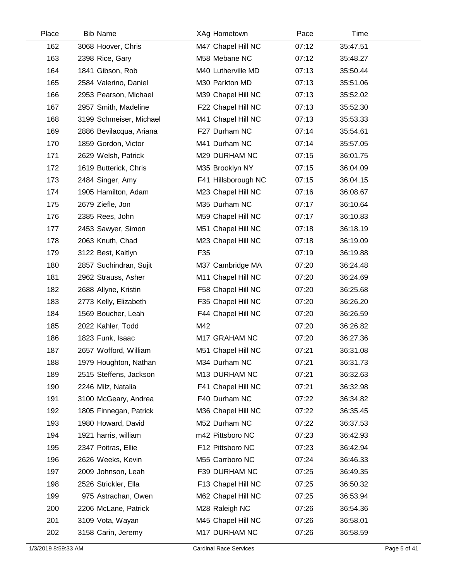| Place | <b>Bib Name</b>         | XAg Hometown        | Pace  | Time     |  |
|-------|-------------------------|---------------------|-------|----------|--|
| 162   | 3068 Hoover, Chris      | M47 Chapel Hill NC  | 07:12 | 35:47.51 |  |
| 163   | 2398 Rice, Gary         | M58 Mebane NC       | 07:12 | 35:48.27 |  |
| 164   | 1841 Gibson, Rob        | M40 Lutherville MD  | 07:13 | 35:50.44 |  |
| 165   | 2584 Valerino, Daniel   | M30 Parkton MD      | 07:13 | 35:51.06 |  |
| 166   | 2953 Pearson, Michael   | M39 Chapel Hill NC  | 07:13 | 35:52.02 |  |
| 167   | 2957 Smith, Madeline    | F22 Chapel Hill NC  | 07:13 | 35:52.30 |  |
| 168   | 3199 Schmeiser, Michael | M41 Chapel Hill NC  | 07:13 | 35:53.33 |  |
| 169   | 2886 Bevilacqua, Ariana | F27 Durham NC       | 07:14 | 35:54.61 |  |
| 170   | 1859 Gordon, Victor     | M41 Durham NC       | 07:14 | 35:57.05 |  |
| 171   | 2629 Welsh, Patrick     | M29 DURHAM NC       | 07:15 | 36:01.75 |  |
| 172   | 1619 Butterick, Chris   | M35 Brooklyn NY     | 07:15 | 36:04.09 |  |
| 173   | 2484 Singer, Amy        | F41 Hillsborough NC | 07:15 | 36:04.15 |  |
| 174   | 1905 Hamilton, Adam     | M23 Chapel Hill NC  | 07:16 | 36:08.67 |  |
| 175   | 2679 Ziefle, Jon        | M35 Durham NC       | 07:17 | 36:10.64 |  |
| 176   | 2385 Rees, John         | M59 Chapel Hill NC  | 07:17 | 36:10.83 |  |
| 177   | 2453 Sawyer, Simon      | M51 Chapel Hill NC  | 07:18 | 36:18.19 |  |
| 178   | 2063 Knuth, Chad        | M23 Chapel Hill NC  | 07:18 | 36:19.09 |  |
| 179   | 3122 Best, Kaitlyn      | F35                 | 07:19 | 36:19.88 |  |
| 180   | 2857 Suchindran, Sujit  | M37 Cambridge MA    | 07:20 | 36:24.48 |  |
| 181   | 2962 Strauss, Asher     | M11 Chapel Hill NC  | 07:20 | 36:24.69 |  |
| 182   | 2688 Allyne, Kristin    | F58 Chapel Hill NC  | 07:20 | 36:25.68 |  |
| 183   | 2773 Kelly, Elizabeth   | F35 Chapel Hill NC  | 07:20 | 36:26.20 |  |
| 184   | 1569 Boucher, Leah      | F44 Chapel Hill NC  | 07:20 | 36:26.59 |  |
| 185   | 2022 Kahler, Todd       | M42                 | 07:20 | 36:26.82 |  |
| 186   | 1823 Funk, Isaac        | M17 GRAHAM NC       | 07:20 | 36:27.36 |  |
| 187   | 2657 Wofford, William   | M51 Chapel Hill NC  | 07:21 | 36:31.08 |  |
| 188   | 1979 Houghton, Nathan   | M34 Durham NC       | 07:21 | 36:31.73 |  |
| 189   | 2515 Steffens, Jackson  | M13 DURHAM NC       | 07:21 | 36:32.63 |  |
| 190   | 2246 Milz, Natalia      | F41 Chapel Hill NC  | 07:21 | 36:32.98 |  |
| 191   | 3100 McGeary, Andrea    | F40 Durham NC       | 07:22 | 36:34.82 |  |
| 192   | 1805 Finnegan, Patrick  | M36 Chapel Hill NC  | 07:22 | 36:35.45 |  |
| 193   | 1980 Howard, David      | M52 Durham NC       | 07:22 | 36:37.53 |  |
| 194   | 1921 harris, william    | m42 Pittsboro NC    | 07:23 | 36:42.93 |  |
| 195   | 2347 Poitras, Ellie     | F12 Pittsboro NC    | 07:23 | 36:42.94 |  |
| 196   | 2626 Weeks, Kevin       | M55 Carrboro NC     | 07:24 | 36:46.33 |  |
| 197   | 2009 Johnson, Leah      | F39 DURHAM NC       | 07:25 | 36:49.35 |  |
| 198   | 2526 Strickler, Ella    | F13 Chapel Hill NC  | 07:25 | 36:50.32 |  |
| 199   | 975 Astrachan, Owen     | M62 Chapel Hill NC  | 07:25 | 36:53.94 |  |
| 200   | 2206 McLane, Patrick    | M28 Raleigh NC      | 07:26 | 36:54.36 |  |
| 201   | 3109 Vota, Wayan        | M45 Chapel Hill NC  | 07:26 | 36:58.01 |  |
| 202   | 3158 Carin, Jeremy      | M17 DURHAM NC       | 07:26 | 36:58.59 |  |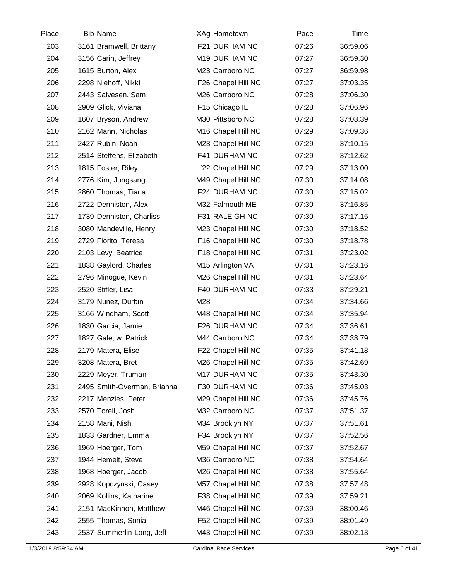| Place | <b>Bib Name</b>             | XAg Hometown                   | Pace  | Time     |  |
|-------|-----------------------------|--------------------------------|-------|----------|--|
| 203   | 3161 Bramwell, Brittany     | F21 DURHAM NC                  | 07:26 | 36:59.06 |  |
| 204   | 3156 Carin, Jeffrey         | M19 DURHAM NC                  | 07:27 | 36:59.30 |  |
| 205   | 1615 Burton, Alex           | M23 Carrboro NC                | 07:27 | 36:59.98 |  |
| 206   | 2298 Niehoff, Nikki         | F26 Chapel Hill NC             | 07:27 | 37:03.35 |  |
| 207   | 2443 Salvesen, Sam          | M26 Carrboro NC                | 07:28 | 37:06.30 |  |
| 208   | 2909 Glick, Viviana         | F15 Chicago IL                 | 07:28 | 37:06.96 |  |
| 209   | 1607 Bryson, Andrew         | M30 Pittsboro NC               | 07:28 | 37:08.39 |  |
| 210   | 2162 Mann, Nicholas         | M <sub>16</sub> Chapel Hill NC | 07:29 | 37:09.36 |  |
| 211   | 2427 Rubin, Noah            | M23 Chapel Hill NC             | 07:29 | 37:10.15 |  |
| 212   | 2514 Steffens, Elizabeth    | F41 DURHAM NC                  | 07:29 | 37:12.62 |  |
| 213   | 1815 Foster, Riley          | f22 Chapel Hill NC             | 07:29 | 37:13.00 |  |
| 214   | 2776 Kim, Jungsang          | M49 Chapel Hill NC             | 07:30 | 37:14.08 |  |
| 215   | 2860 Thomas, Tiana          | F24 DURHAM NC                  | 07:30 | 37:15.02 |  |
| 216   | 2722 Denniston, Alex        | M32 Falmouth ME                | 07:30 | 37:16.85 |  |
| 217   | 1739 Denniston, Charliss    | F31 RALEIGH NC                 | 07:30 | 37:17.15 |  |
| 218   | 3080 Mandeville, Henry      | M23 Chapel Hill NC             | 07:30 | 37:18.52 |  |
| 219   | 2729 Fiorito, Teresa        | F16 Chapel Hill NC             | 07:30 | 37:18.78 |  |
| 220   | 2103 Levy, Beatrice         | F18 Chapel Hill NC             | 07:31 | 37:23.02 |  |
| 221   | 1838 Gaylord, Charles       | M15 Arlington VA               | 07:31 | 37:23.16 |  |
| 222   | 2796 Minogue, Kevin         | M26 Chapel Hill NC             | 07:31 | 37:23.64 |  |
| 223   | 2520 Stifler, Lisa          | F40 DURHAM NC                  | 07:33 | 37:29.21 |  |
| 224   | 3179 Nunez, Durbin          | M28                            | 07:34 | 37:34.66 |  |
| 225   | 3166 Windham, Scott         | M48 Chapel Hill NC             | 07:34 | 37:35.94 |  |
| 226   | 1830 Garcia, Jamie          | F26 DURHAM NC                  | 07:34 | 37:36.61 |  |
| 227   | 1827 Gale, w. Patrick       | M44 Carrboro NC                | 07:34 | 37:38.79 |  |
| 228   | 2179 Matera, Elise          | F22 Chapel Hill NC             | 07:35 | 37:41.18 |  |
| 229   | 3208 Matera, Bret           | M26 Chapel Hill NC             | 07:35 | 37:42.69 |  |
| 230   | 2229 Meyer, Truman          | M17 DURHAM NC                  | 07:35 | 37:43.30 |  |
| 231   | 2495 Smith-Overman, Brianna | F30 DURHAM NC                  | 07:36 | 37:45.03 |  |
| 232   | 2217 Menzies, Peter         | M29 Chapel Hill NC             | 07:36 | 37:45.76 |  |
| 233   | 2570 Torell, Josh           | M32 Carrboro NC                | 07:37 | 37:51.37 |  |
| 234   | 2158 Mani, Nish             | M34 Brooklyn NY                | 07:37 | 37:51.61 |  |
| 235   | 1833 Gardner, Emma          | F34 Brooklyn NY                | 07:37 | 37:52.56 |  |
| 236   | 1969 Hoerger, Tom           | M59 Chapel Hill NC             | 07:37 | 37:52.67 |  |
| 237   | 1944 Hemelt, Steve          | M36 Carrboro NC                | 07:38 | 37:54.64 |  |
| 238   | 1968 Hoerger, Jacob         | M26 Chapel Hill NC             | 07:38 | 37:55.64 |  |
| 239   | 2928 Kopczynski, Casey      | M57 Chapel Hill NC             | 07:38 | 37:57.48 |  |
| 240   | 2069 Kollins, Katharine     | F38 Chapel Hill NC             | 07:39 | 37:59.21 |  |
| 241   | 2151 MacKinnon, Matthew     | M46 Chapel Hill NC             | 07:39 | 38:00.46 |  |
| 242   | 2555 Thomas, Sonia          | F52 Chapel Hill NC             | 07:39 | 38:01.49 |  |
| 243   | 2537 Summerlin-Long, Jeff   | M43 Chapel Hill NC             | 07:39 | 38:02.13 |  |
|       |                             |                                |       |          |  |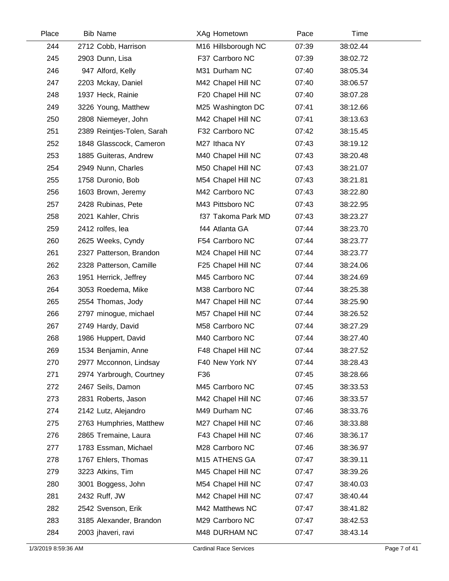| Place | <b>Bib Name</b>            | XAg Hometown        | Pace  | Time     |  |
|-------|----------------------------|---------------------|-------|----------|--|
| 244   | 2712 Cobb, Harrison        | M16 Hillsborough NC | 07:39 | 38:02.44 |  |
| 245   | 2903 Dunn, Lisa            | F37 Carrboro NC     | 07:39 | 38:02.72 |  |
| 246   | 947 Alford, Kelly          | M31 Durham NC       | 07:40 | 38:05.34 |  |
| 247   | 2203 Mckay, Daniel         | M42 Chapel Hill NC  | 07:40 | 38:06.57 |  |
| 248   | 1937 Heck, Rainie          | F20 Chapel Hill NC  | 07:40 | 38:07.28 |  |
| 249   | 3226 Young, Matthew        | M25 Washington DC   | 07:41 | 38:12.66 |  |
| 250   | 2808 Niemeyer, John        | M42 Chapel Hill NC  | 07:41 | 38:13.63 |  |
| 251   | 2389 Reintjes-Tolen, Sarah | F32 Carrboro NC     | 07:42 | 38:15.45 |  |
| 252   | 1848 Glasscock, Cameron    | M27 Ithaca NY       | 07:43 | 38:19.12 |  |
| 253   | 1885 Guiteras, Andrew      | M40 Chapel Hill NC  | 07:43 | 38:20.48 |  |
| 254   | 2949 Nunn, Charles         | M50 Chapel Hill NC  | 07:43 | 38:21.07 |  |
| 255   | 1758 Duronio, Bob          | M54 Chapel Hill NC  | 07:43 | 38:21.81 |  |
| 256   | 1603 Brown, Jeremy         | M42 Carrboro NC     | 07:43 | 38:22.80 |  |
| 257   | 2428 Rubinas, Pete         | M43 Pittsboro NC    | 07:43 | 38:22.95 |  |
| 258   | 2021 Kahler, Chris         | f37 Takoma Park MD  | 07:43 | 38:23.27 |  |
| 259   | 2412 rolfes, lea           | f44 Atlanta GA      | 07:44 | 38:23.70 |  |
| 260   | 2625 Weeks, Cyndy          | F54 Carrboro NC     | 07:44 | 38:23.77 |  |
| 261   | 2327 Patterson, Brandon    | M24 Chapel Hill NC  | 07:44 | 38:23.77 |  |
| 262   | 2328 Patterson, Camille    | F25 Chapel Hill NC  | 07:44 | 38:24.06 |  |
| 263   | 1951 Herrick, Jeffrey      | M45 Carrboro NC     | 07:44 | 38:24.69 |  |
| 264   | 3053 Roedema, Mike         | M38 Carrboro NC     | 07:44 | 38:25.38 |  |
| 265   | 2554 Thomas, Jody          | M47 Chapel Hill NC  | 07:44 | 38:25.90 |  |
| 266   | 2797 minogue, michael      | M57 Chapel Hill NC  | 07:44 | 38:26.52 |  |
| 267   | 2749 Hardy, David          | M58 Carrboro NC     | 07:44 | 38:27.29 |  |
| 268   | 1986 Huppert, David        | M40 Carrboro NC     | 07:44 | 38:27.40 |  |
| 269   | 1534 Benjamin, Anne        | F48 Chapel Hill NC  | 07:44 | 38:27.52 |  |
| 270   | 2977 Mcconnon, Lindsay     | F40 New York NY     | 07:44 | 38:28.43 |  |
| 271   | 2974 Yarbrough, Courtney   | F36                 | 07:45 | 38:28.66 |  |
| 272   | 2467 Seils, Damon          | M45 Carrboro NC     | 07:45 | 38:33.53 |  |
| 273   | 2831 Roberts, Jason        | M42 Chapel Hill NC  | 07:46 | 38:33.57 |  |
| 274   | 2142 Lutz, Alejandro       | M49 Durham NC       | 07:46 | 38:33.76 |  |
| 275   | 2763 Humphries, Matthew    | M27 Chapel Hill NC  | 07:46 | 38:33.88 |  |
| 276   | 2865 Tremaine, Laura       | F43 Chapel Hill NC  | 07:46 | 38:36.17 |  |
| 277   | 1783 Essman, Michael       | M28 Carrboro NC     | 07:46 | 38:36.97 |  |
| 278   | 1767 Ehlers, Thomas        | M15 ATHENS GA       | 07:47 | 38:39.11 |  |
| 279   | 3223 Atkins, Tim           | M45 Chapel Hill NC  | 07:47 | 38:39.26 |  |
| 280   | 3001 Boggess, John         | M54 Chapel Hill NC  | 07:47 | 38:40.03 |  |
| 281   | 2432 Ruff, JW              | M42 Chapel Hill NC  | 07:47 | 38:40.44 |  |
| 282   | 2542 Svenson, Erik         | M42 Matthews NC     | 07:47 | 38:41.82 |  |
| 283   | 3185 Alexander, Brandon    | M29 Carrboro NC     | 07:47 | 38:42.53 |  |
| 284   | 2003 jhaveri, ravi         | M48 DURHAM NC       | 07:47 | 38:43.14 |  |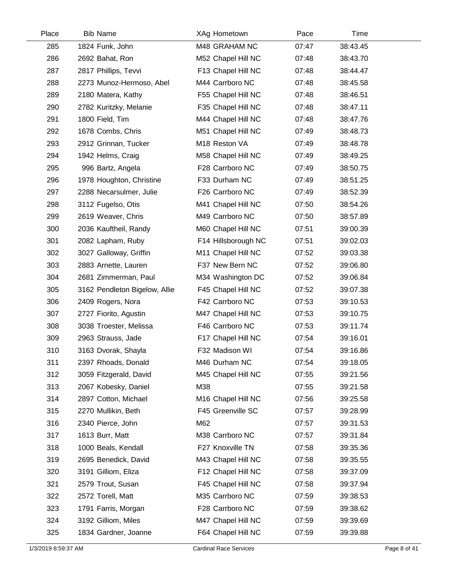| Place | <b>Bib Name</b>               | XAg Hometown        | Pace  | Time     |  |
|-------|-------------------------------|---------------------|-------|----------|--|
| 285   | 1824 Funk, John               | M48 GRAHAM NC       | 07:47 | 38:43.45 |  |
| 286   | 2692 Bahat, Ron               | M52 Chapel Hill NC  | 07:48 | 38:43.70 |  |
| 287   | 2817 Phillips, Tevvi          | F13 Chapel Hill NC  | 07:48 | 38:44.47 |  |
| 288   | 2273 Munoz-Hermoso, Abel      | M44 Carrboro NC     | 07:48 | 38:45.58 |  |
| 289   | 2180 Matera, Kathy            | F55 Chapel Hill NC  | 07:48 | 38:46.51 |  |
| 290   | 2782 Kuritzky, Melanie        | F35 Chapel Hill NC  | 07:48 | 38:47.11 |  |
| 291   | 1800 Field, Tim               | M44 Chapel Hill NC  | 07:48 | 38:47.76 |  |
| 292   | 1678 Combs, Chris             | M51 Chapel Hill NC  | 07:49 | 38:48.73 |  |
| 293   | 2912 Grinnan, Tucker          | M18 Reston VA       | 07:49 | 38:48.78 |  |
| 294   | 1942 Helms, Craig             | M58 Chapel Hill NC  | 07:49 | 38:49.25 |  |
| 295   | 996 Bartz, Angela             | F28 Carrboro NC     | 07:49 | 38:50.75 |  |
| 296   | 1978 Houghton, Christine      | F33 Durham NC       | 07:49 | 38:51.25 |  |
| 297   | 2288 Necarsulmer, Julie       | F26 Carrboro NC     | 07:49 | 38:52.39 |  |
| 298   | 3112 Fugelso, Otis            | M41 Chapel Hill NC  | 07:50 | 38:54.26 |  |
| 299   | 2619 Weaver, Chris            | M49 Carrboro NC     | 07:50 | 38:57.89 |  |
| 300   | 2036 Kauftheil, Randy         | M60 Chapel Hill NC  | 07:51 | 39:00.39 |  |
| 301   | 2082 Lapham, Ruby             | F14 Hillsborough NC | 07:51 | 39:02.03 |  |
| 302   | 3027 Galloway, Griffin        | M11 Chapel Hill NC  | 07:52 | 39:03.38 |  |
| 303   | 2883 Arnette, Lauren          | F37 New Bern NC     | 07:52 | 39:06.80 |  |
| 304   | 2681 Zimmerman, Paul          | M34 Washington DC   | 07:52 | 39:06.84 |  |
| 305   | 3162 Pendleton Bigelow, Allie | F45 Chapel Hill NC  | 07:52 | 39:07.38 |  |
| 306   | 2409 Rogers, Nora             | F42 Carrboro NC     | 07:53 | 39:10.53 |  |
| 307   | 2727 Fiorito, Agustin         | M47 Chapel Hill NC  | 07:53 | 39:10.75 |  |
| 308   | 3038 Troester, Melissa        | F46 Carrboro NC     | 07:53 | 39:11.74 |  |
| 309   | 2963 Strauss, Jade            | F17 Chapel Hill NC  | 07:54 | 39:16.01 |  |
| 310   | 3163 Dvorak, Shayla           | F32 Madison WI      | 07:54 | 39:16.86 |  |
| 311   | 2397 Rhoads, Donald           | M46 Durham NC       | 07:54 | 39:18.05 |  |
| 312   | 3059 Fitzgerald, David        | M45 Chapel Hill NC  | 07:55 | 39:21.56 |  |
| 313   | 2067 Kobesky, Daniel          | M38                 | 07:55 | 39:21.58 |  |
| 314   | 2897 Cotton, Michael          | M16 Chapel Hill NC  | 07:56 | 39:25.58 |  |
| 315   | 2270 Mullikin, Beth           | F45 Greenville SC   | 07:57 | 39:28.99 |  |
| 316   | 2340 Pierce, John             | M62                 | 07:57 | 39:31.53 |  |
| 317   | 1613 Burr, Matt               | M38 Carrboro NC     | 07:57 | 39:31.84 |  |
| 318   | 1000 Beals, Kendall           | F27 Knoxville TN    | 07:58 | 39:35.36 |  |
| 319   | 2695 Benedick, David          | M43 Chapel Hill NC  | 07:58 | 39:35.55 |  |
| 320   | 3191 Gilliom, Eliza           | F12 Chapel Hill NC  | 07:58 | 39:37.09 |  |
| 321   | 2579 Trout, Susan             | F45 Chapel Hill NC  | 07:58 | 39:37.94 |  |
| 322   | 2572 Torell, Matt             | M35 Carrboro NC     | 07:59 | 39:38.53 |  |
| 323   | 1791 Farris, Morgan           | F28 Carrboro NC     | 07:59 | 39:38.62 |  |
| 324   | 3192 Gilliom, Miles           | M47 Chapel Hill NC  | 07:59 | 39:39.69 |  |
| 325   | 1834 Gardner, Joanne          | F64 Chapel Hill NC  | 07:59 | 39:39.88 |  |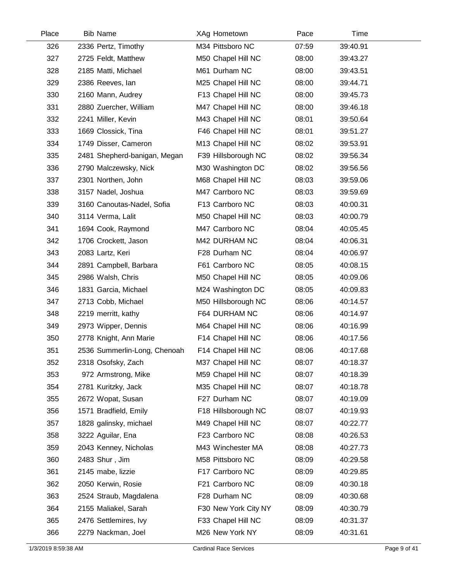| Place | <b>Bib Name</b>              | XAg Hometown         | Pace  | Time     |  |
|-------|------------------------------|----------------------|-------|----------|--|
| 326   | 2336 Pertz, Timothy          | M34 Pittsboro NC     | 07:59 | 39:40.91 |  |
| 327   | 2725 Feldt, Matthew          | M50 Chapel Hill NC   | 08:00 | 39:43.27 |  |
| 328   | 2185 Matti, Michael          | M61 Durham NC        | 08:00 | 39:43.51 |  |
| 329   | 2386 Reeves, lan             | M25 Chapel Hill NC   | 08:00 | 39:44.71 |  |
| 330   | 2160 Mann, Audrey            | F13 Chapel Hill NC   | 08:00 | 39:45.73 |  |
| 331   | 2880 Zuercher, William       | M47 Chapel Hill NC   | 08:00 | 39:46.18 |  |
| 332   | 2241 Miller, Kevin           | M43 Chapel Hill NC   | 08:01 | 39:50.64 |  |
| 333   | 1669 Clossick, Tina          | F46 Chapel Hill NC   | 08:01 | 39:51.27 |  |
| 334   | 1749 Disser, Cameron         | M13 Chapel Hill NC   | 08:02 | 39:53.91 |  |
| 335   | 2481 Shepherd-banigan, Megan | F39 Hillsborough NC  | 08:02 | 39:56.34 |  |
| 336   | 2790 Malczewsky, Nick        | M30 Washington DC    | 08:02 | 39:56.56 |  |
| 337   | 2301 Northen, John           | M68 Chapel Hill NC   | 08:03 | 39:59.06 |  |
| 338   | 3157 Nadel, Joshua           | M47 Carrboro NC      | 08:03 | 39:59.69 |  |
| 339   | 3160 Canoutas-Nadel, Sofia   | F13 Carrboro NC      | 08:03 | 40:00.31 |  |
| 340   | 3114 Verma, Lalit            | M50 Chapel Hill NC   | 08:03 | 40:00.79 |  |
| 341   | 1694 Cook, Raymond           | M47 Carrboro NC      | 08:04 | 40:05.45 |  |
| 342   | 1706 Crockett, Jason         | M42 DURHAM NC        | 08:04 | 40:06.31 |  |
| 343   | 2083 Lartz, Keri             | F28 Durham NC        | 08:04 | 40:06.97 |  |
| 344   | 2891 Campbell, Barbara       | F61 Carrboro NC      | 08:05 | 40:08.15 |  |
| 345   | 2986 Walsh, Chris            | M50 Chapel Hill NC   | 08:05 | 40:09.06 |  |
| 346   | 1831 Garcia, Michael         | M24 Washington DC    | 08:05 | 40:09.83 |  |
| 347   | 2713 Cobb, Michael           | M50 Hillsborough NC  | 08:06 | 40:14.57 |  |
| 348   | 2219 merritt, kathy          | F64 DURHAM NC        | 08:06 | 40:14.97 |  |
| 349   | 2973 Wipper, Dennis          | M64 Chapel Hill NC   | 08:06 | 40:16.99 |  |
| 350   | 2778 Knight, Ann Marie       | F14 Chapel Hill NC   | 08:06 | 40:17.56 |  |
| 351   | 2536 Summerlin-Long, Chenoah | F14 Chapel Hill NC   | 08:06 | 40:17.68 |  |
| 352   | 2318 Osofsky, Zach           | M37 Chapel Hill NC   | 08:07 | 40:18.37 |  |
| 353   | 972 Armstrong, Mike          | M59 Chapel Hill NC   | 08:07 | 40:18.39 |  |
| 354   | 2781 Kuritzky, Jack          | M35 Chapel Hill NC   | 08:07 | 40:18.78 |  |
| 355   | 2672 Wopat, Susan            | F27 Durham NC        | 08:07 | 40:19.09 |  |
| 356   | 1571 Bradfield, Emily        | F18 Hillsborough NC  | 08:07 | 40:19.93 |  |
| 357   | 1828 galinsky, michael       | M49 Chapel Hill NC   | 08:07 | 40:22.77 |  |
| 358   | 3222 Aguilar, Ena            | F23 Carrboro NC      | 08:08 | 40:26.53 |  |
| 359   | 2043 Kenney, Nicholas        | M43 Winchester MA    | 08:08 | 40:27.73 |  |
| 360   | 2483 Shur, Jim               | M58 Pittsboro NC     | 08:09 | 40:29.58 |  |
| 361   | 2145 mabe, lizzie            | F17 Carrboro NC      | 08:09 | 40:29.85 |  |
| 362   | 2050 Kerwin, Rosie           | F21 Carrboro NC      | 08:09 | 40:30.18 |  |
| 363   | 2524 Straub, Magdalena       | F28 Durham NC        | 08:09 | 40:30.68 |  |
| 364   | 2155 Maliakel, Sarah         | F30 New York City NY | 08:09 | 40:30.79 |  |
| 365   | 2476 Settlemires, Ivy        | F33 Chapel Hill NC   | 08:09 | 40:31.37 |  |
| 366   | 2279 Nackman, Joel           | M26 New York NY      | 08:09 | 40:31.61 |  |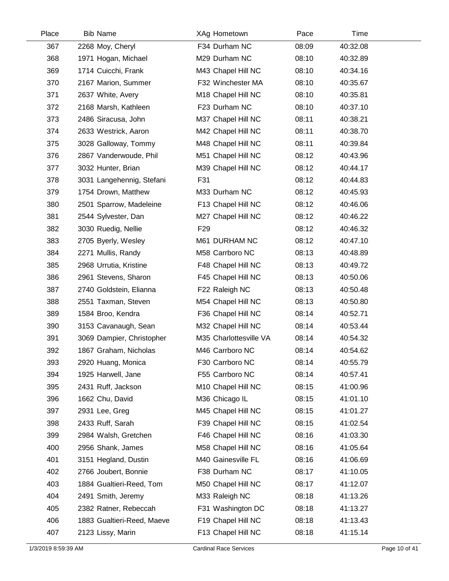| Place | <b>Bib Name</b>            | XAg Hometown           | Pace  | Time     |  |
|-------|----------------------------|------------------------|-------|----------|--|
| 367   | 2268 Moy, Cheryl           | F34 Durham NC          | 08:09 | 40:32.08 |  |
| 368   | 1971 Hogan, Michael        | M29 Durham NC          | 08:10 | 40:32.89 |  |
| 369   | 1714 Cuicchi, Frank        | M43 Chapel Hill NC     | 08:10 | 40:34.16 |  |
| 370   | 2167 Marion, Summer        | F32 Winchester MA      | 08:10 | 40:35.67 |  |
| 371   | 2637 White, Avery          | M18 Chapel Hill NC     | 08:10 | 40:35.81 |  |
| 372   | 2168 Marsh, Kathleen       | F23 Durham NC          | 08:10 | 40:37.10 |  |
| 373   | 2486 Siracusa, John        | M37 Chapel Hill NC     | 08:11 | 40:38.21 |  |
| 374   | 2633 Westrick, Aaron       | M42 Chapel Hill NC     | 08:11 | 40:38.70 |  |
| 375   | 3028 Galloway, Tommy       | M48 Chapel Hill NC     | 08:11 | 40:39.84 |  |
| 376   | 2867 Vanderwoude, Phil     | M51 Chapel Hill NC     | 08:12 | 40:43.96 |  |
| 377   | 3032 Hunter, Brian         | M39 Chapel Hill NC     | 08:12 | 40:44.17 |  |
| 378   | 3031 Langehennig, Stefani  | F31                    | 08:12 | 40:44.83 |  |
| 379   | 1754 Drown, Matthew        | M33 Durham NC          | 08:12 | 40:45.93 |  |
| 380   | 2501 Sparrow, Madeleine    | F13 Chapel Hill NC     | 08:12 | 40:46.06 |  |
| 381   | 2544 Sylvester, Dan        | M27 Chapel Hill NC     | 08:12 | 40:46.22 |  |
| 382   | 3030 Ruedig, Nellie        | F <sub>29</sub>        | 08:12 | 40:46.32 |  |
| 383   | 2705 Byerly, Wesley        | M61 DURHAM NC          | 08:12 | 40:47.10 |  |
| 384   | 2271 Mullis, Randy         | M58 Carrboro NC        | 08:13 | 40:48.89 |  |
| 385   | 2968 Urrutia, Kristine     | F48 Chapel Hill NC     | 08:13 | 40:49.72 |  |
| 386   | 2961 Stevens, Sharon       | F45 Chapel Hill NC     | 08:13 | 40:50.06 |  |
| 387   | 2740 Goldstein, Elianna    | F22 Raleigh NC         | 08:13 | 40:50.48 |  |
| 388   | 2551 Taxman, Steven        | M54 Chapel Hill NC     | 08:13 | 40:50.80 |  |
| 389   | 1584 Broo, Kendra          | F36 Chapel Hill NC     | 08:14 | 40:52.71 |  |
| 390   | 3153 Cavanaugh, Sean       | M32 Chapel Hill NC     | 08:14 | 40:53.44 |  |
| 391   | 3069 Dampier, Christopher  | M35 Charlottesville VA | 08:14 | 40:54.32 |  |
| 392   | 1867 Graham, Nicholas      | M46 Carrboro NC        | 08:14 | 40:54.62 |  |
| 393   | 2920 Huang, Monica         | F30 Carrboro NC        | 08:14 | 40:55.79 |  |
| 394   | 1925 Harwell, Jane         | F55 Carrboro NC        | 08:14 | 40:57.41 |  |
| 395   | 2431 Ruff, Jackson         | M10 Chapel Hill NC     | 08:15 | 41:00.96 |  |
| 396   | 1662 Chu, David            | M36 Chicago IL         | 08:15 | 41:01.10 |  |
| 397   | 2931 Lee, Greg             | M45 Chapel Hill NC     | 08:15 | 41:01.27 |  |
| 398   | 2433 Ruff, Sarah           | F39 Chapel Hill NC     | 08:15 | 41:02.54 |  |
| 399   | 2984 Walsh, Gretchen       | F46 Chapel Hill NC     | 08:16 | 41:03.30 |  |
| 400   | 2956 Shank, James          | M58 Chapel Hill NC     | 08:16 | 41:05.64 |  |
| 401   | 3151 Hegland, Dustin       | M40 Gainesville FL     | 08:16 | 41:06.69 |  |
| 402   | 2766 Joubert, Bonnie       | F38 Durham NC          | 08:17 | 41:10.05 |  |
| 403   | 1884 Gualtieri-Reed, Tom   | M50 Chapel Hill NC     | 08:17 | 41:12.07 |  |
| 404   | 2491 Smith, Jeremy         | M33 Raleigh NC         | 08:18 | 41:13.26 |  |
| 405   | 2382 Ratner, Rebeccah      | F31 Washington DC      | 08:18 | 41:13.27 |  |
| 406   | 1883 Gualtieri-Reed, Maeve | F19 Chapel Hill NC     | 08:18 | 41:13.43 |  |
| 407   | 2123 Lissy, Marin          | F13 Chapel Hill NC     | 08:18 | 41:15.14 |  |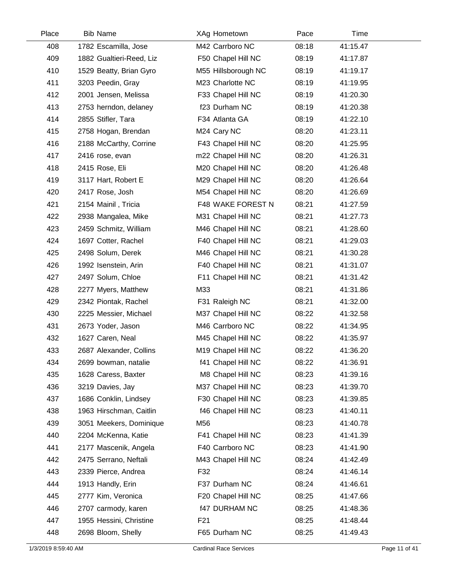| Place | <b>Bib Name</b>          | XAg Hometown         | Pace  | Time     |  |
|-------|--------------------------|----------------------|-------|----------|--|
| 408   | 1782 Escamilla, Jose     | M42 Carrboro NC      | 08:18 | 41:15.47 |  |
| 409   | 1882 Gualtieri-Reed, Liz | F50 Chapel Hill NC   | 08:19 | 41:17.87 |  |
| 410   | 1529 Beatty, Brian Gyro  | M55 Hillsborough NC  | 08:19 | 41:19.17 |  |
| 411   | 3203 Peedin, Gray        | M23 Charlotte NC     | 08:19 | 41:19.95 |  |
| 412   | 2001 Jensen, Melissa     | F33 Chapel Hill NC   | 08:19 | 41:20.30 |  |
| 413   | 2753 herndon, delaney    | f23 Durham NC        | 08:19 | 41:20.38 |  |
| 414   | 2855 Stifler, Tara       | F34 Atlanta GA       | 08:19 | 41:22.10 |  |
| 415   | 2758 Hogan, Brendan      | M24 Cary NC          | 08:20 | 41:23.11 |  |
| 416   | 2188 McCarthy, Corrine   | F43 Chapel Hill NC   | 08:20 | 41:25.95 |  |
| 417   | 2416 rose, evan          | m22 Chapel Hill NC   | 08:20 | 41:26.31 |  |
| 418   | 2415 Rose, Eli           | M20 Chapel Hill NC   | 08:20 | 41:26.48 |  |
| 419   | 3117 Hart, Robert E      | M29 Chapel Hill NC   | 08:20 | 41:26.64 |  |
| 420   | 2417 Rose, Josh          | M54 Chapel Hill NC   | 08:20 | 41:26.69 |  |
| 421   | 2154 Mainil, Tricia      | F48 WAKE FOREST N    | 08:21 | 41:27.59 |  |
| 422   | 2938 Mangalea, Mike      | M31 Chapel Hill NC   | 08:21 | 41:27.73 |  |
| 423   | 2459 Schmitz, William    | M46 Chapel Hill NC   | 08:21 | 41:28.60 |  |
| 424   | 1697 Cotter, Rachel      | F40 Chapel Hill NC   | 08:21 | 41:29.03 |  |
| 425   | 2498 Solum, Derek        | M46 Chapel Hill NC   | 08:21 | 41:30.28 |  |
| 426   | 1992 Isenstein, Arin     | F40 Chapel Hill NC   | 08:21 | 41:31.07 |  |
| 427   | 2497 Solum, Chloe        | F11 Chapel Hill NC   | 08:21 | 41:31.42 |  |
| 428   | 2277 Myers, Matthew      | M33                  | 08:21 | 41:31.86 |  |
| 429   | 2342 Piontak, Rachel     | F31 Raleigh NC       | 08:21 | 41:32.00 |  |
| 430   | 2225 Messier, Michael    | M37 Chapel Hill NC   | 08:22 | 41:32.58 |  |
| 431   | 2673 Yoder, Jason        | M46 Carrboro NC      | 08:22 | 41:34.95 |  |
| 432   | 1627 Caren, Neal         | M45 Chapel Hill NC   | 08:22 | 41:35.97 |  |
| 433   | 2687 Alexander, Collins  | M19 Chapel Hill NC   | 08:22 | 41:36.20 |  |
| 434   | 2699 bowman, natalie     | f41 Chapel Hill NC   | 08:22 | 41:36.91 |  |
| 435   | 1628 Caress, Baxter      | M8 Chapel Hill NC    | 08:23 | 41:39.16 |  |
| 436   | 3219 Davies, Jay         | M37 Chapel Hill NC   | 08:23 | 41:39.70 |  |
| 437   | 1686 Conklin, Lindsey    | F30 Chapel Hill NC   | 08:23 | 41:39.85 |  |
| 438   | 1963 Hirschman, Caitlin  | f46 Chapel Hill NC   | 08:23 | 41:40.11 |  |
| 439   | 3051 Meekers, Dominique  | M56                  | 08:23 | 41:40.78 |  |
| 440   | 2204 McKenna, Katie      | F41 Chapel Hill NC   | 08:23 | 41:41.39 |  |
| 441   | 2177 Mascenik, Angela    | F40 Carrboro NC      | 08:23 | 41:41.90 |  |
| 442   | 2475 Serrano, Neftali    | M43 Chapel Hill NC   | 08:24 | 41:42.49 |  |
| 443   | 2339 Pierce, Andrea      | F32                  | 08:24 | 41:46.14 |  |
| 444   | 1913 Handly, Erin        | F37 Durham NC        | 08:24 | 41:46.61 |  |
| 445   | 2777 Kim, Veronica       | F20 Chapel Hill NC   | 08:25 | 41:47.66 |  |
| 446   | 2707 carmody, karen      | <b>f47 DURHAM NC</b> | 08:25 | 41:48.36 |  |
| 447   | 1955 Hessini, Christine  | F <sub>21</sub>      | 08:25 | 41:48.44 |  |
| 448   | 2698 Bloom, Shelly       | F65 Durham NC        | 08:25 | 41:49.43 |  |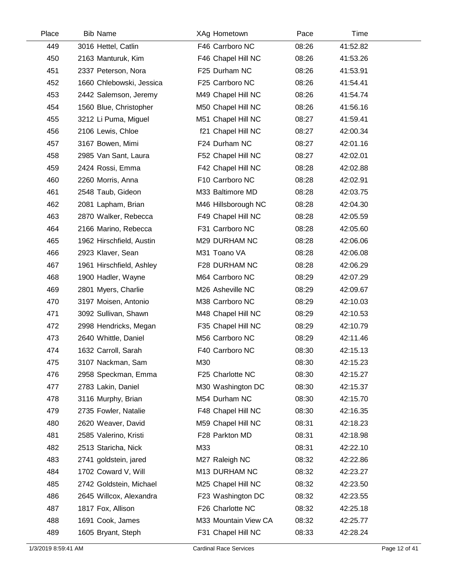| Place | <b>Bib Name</b>          | XAg Hometown         | Pace  | Time     |  |
|-------|--------------------------|----------------------|-------|----------|--|
| 449   | 3016 Hettel, Catlin      | F46 Carrboro NC      | 08:26 | 41:52.82 |  |
| 450   | 2163 Manturuk, Kim       | F46 Chapel Hill NC   | 08:26 | 41:53.26 |  |
| 451   | 2337 Peterson, Nora      | F25 Durham NC        | 08:26 | 41:53.91 |  |
| 452   | 1660 Chlebowski, Jessica | F25 Carrboro NC      | 08:26 | 41:54.41 |  |
| 453   | 2442 Salemson, Jeremy    | M49 Chapel Hill NC   | 08:26 | 41:54.74 |  |
| 454   | 1560 Blue, Christopher   | M50 Chapel Hill NC   | 08:26 | 41:56.16 |  |
| 455   | 3212 Li Puma, Miguel     | M51 Chapel Hill NC   | 08:27 | 41:59.41 |  |
| 456   | 2106 Lewis, Chloe        | f21 Chapel Hill NC   | 08:27 | 42:00.34 |  |
| 457   | 3167 Bowen, Mimi         | F24 Durham NC        | 08:27 | 42:01.16 |  |
| 458   | 2985 Van Sant, Laura     | F52 Chapel Hill NC   | 08:27 | 42:02.01 |  |
| 459   | 2424 Rossi, Emma         | F42 Chapel Hill NC   | 08:28 | 42:02.88 |  |
| 460   | 2260 Morris, Anna        | F10 Carrboro NC      | 08:28 | 42:02.91 |  |
| 461   | 2548 Taub, Gideon        | M33 Baltimore MD     | 08:28 | 42:03.75 |  |
| 462   | 2081 Lapham, Brian       | M46 Hillsborough NC  | 08:28 | 42:04.30 |  |
| 463   | 2870 Walker, Rebecca     | F49 Chapel Hill NC   | 08:28 | 42:05.59 |  |
| 464   | 2166 Marino, Rebecca     | F31 Carrboro NC      | 08:28 | 42:05.60 |  |
| 465   | 1962 Hirschfield, Austin | M29 DURHAM NC        | 08:28 | 42:06.06 |  |
| 466   | 2923 Klaver, Sean        | M31 Toano VA         | 08:28 | 42:06.08 |  |
| 467   | 1961 Hirschfield, Ashley | F28 DURHAM NC        | 08:28 | 42:06.29 |  |
| 468   | 1900 Hadler, Wayne       | M64 Carrboro NC      | 08:29 | 42:07.29 |  |
| 469   | 2801 Myers, Charlie      | M26 Asheville NC     | 08:29 | 42:09.67 |  |
| 470   | 3197 Moisen, Antonio     | M38 Carrboro NC      | 08:29 | 42:10.03 |  |
| 471   | 3092 Sullivan, Shawn     | M48 Chapel Hill NC   | 08:29 | 42:10.53 |  |
| 472   | 2998 Hendricks, Megan    | F35 Chapel Hill NC   | 08:29 | 42:10.79 |  |
| 473   | 2640 Whittle, Daniel     | M56 Carrboro NC      | 08:29 | 42:11.46 |  |
| 474   | 1632 Carroll, Sarah      | F40 Carrboro NC      | 08:30 | 42:15.13 |  |
| 475   | 3107 Nackman, Sam        | M30                  | 08:30 | 42:15.23 |  |
| 476   | 2958 Speckman, Emma      | F25 Charlotte NC     | 08:30 | 42:15.27 |  |
| 477   | 2783 Lakin, Daniel       | M30 Washington DC    | 08:30 | 42:15.37 |  |
| 478   | 3116 Murphy, Brian       | M54 Durham NC        | 08:30 | 42:15.70 |  |
| 479   | 2735 Fowler, Natalie     | F48 Chapel Hill NC   | 08:30 | 42:16.35 |  |
| 480   | 2620 Weaver, David       | M59 Chapel Hill NC   | 08:31 | 42:18.23 |  |
| 481   | 2585 Valerino, Kristi    | F28 Parkton MD       | 08:31 | 42:18.98 |  |
| 482   | 2513 Staricha, Nick      | M33                  | 08:31 | 42:22.10 |  |
| 483   | 2741 goldstein, jared    | M27 Raleigh NC       | 08:32 | 42:22.86 |  |
| 484   | 1702 Coward V, Will      | M13 DURHAM NC        | 08:32 | 42:23.27 |  |
| 485   | 2742 Goldstein, Michael  | M25 Chapel Hill NC   | 08:32 | 42:23.50 |  |
| 486   | 2645 Willcox, Alexandra  | F23 Washington DC    | 08:32 | 42:23.55 |  |
| 487   | 1817 Fox, Allison        | F26 Charlotte NC     | 08:32 | 42:25.18 |  |
| 488   | 1691 Cook, James         | M33 Mountain View CA | 08:32 | 42:25.77 |  |
| 489   | 1605 Bryant, Steph       | F31 Chapel Hill NC   | 08:33 | 42:28.24 |  |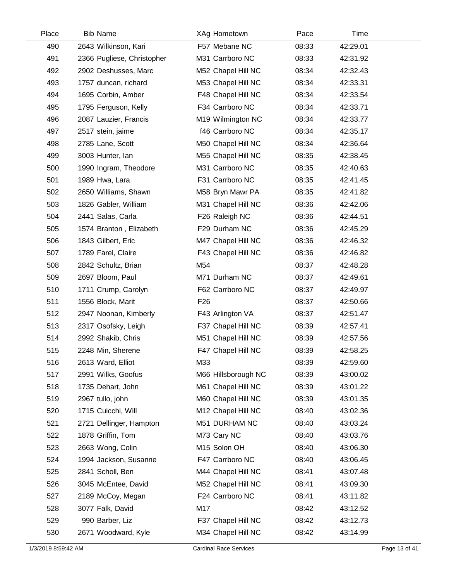| Place | <b>Bib Name</b>            | XAg Hometown        | Pace  | Time     |  |
|-------|----------------------------|---------------------|-------|----------|--|
| 490   | 2643 Wilkinson, Kari       | F57 Mebane NC       | 08:33 | 42:29.01 |  |
| 491   | 2366 Pugliese, Christopher | M31 Carrboro NC     | 08:33 | 42:31.92 |  |
| 492   | 2902 Deshusses, Marc       | M52 Chapel Hill NC  | 08:34 | 42:32.43 |  |
| 493   | 1757 duncan, richard       | M53 Chapel Hill NC  | 08:34 | 42:33.31 |  |
| 494   | 1695 Corbin, Amber         | F48 Chapel Hill NC  | 08:34 | 42:33.54 |  |
| 495   | 1795 Ferguson, Kelly       | F34 Carrboro NC     | 08:34 | 42:33.71 |  |
| 496   | 2087 Lauzier, Francis      | M19 Wilmington NC   | 08:34 | 42:33.77 |  |
| 497   | 2517 stein, jaime          | f46 Carrboro NC     | 08:34 | 42:35.17 |  |
| 498   | 2785 Lane, Scott           | M50 Chapel Hill NC  | 08:34 | 42:36.64 |  |
| 499   | 3003 Hunter, lan           | M55 Chapel Hill NC  | 08:35 | 42:38.45 |  |
| 500   | 1990 Ingram, Theodore      | M31 Carrboro NC     | 08:35 | 42:40.63 |  |
| 501   | 1989 Hwa, Lara             | F31 Carrboro NC     | 08:35 | 42:41.45 |  |
| 502   | 2650 Williams, Shawn       | M58 Bryn Mawr PA    | 08:35 | 42:41.82 |  |
| 503   | 1826 Gabler, William       | M31 Chapel Hill NC  | 08:36 | 42:42.06 |  |
| 504   | 2441 Salas, Carla          | F26 Raleigh NC      | 08:36 | 42:44.51 |  |
| 505   | 1574 Branton, Elizabeth    | F29 Durham NC       | 08:36 | 42:45.29 |  |
| 506   | 1843 Gilbert, Eric         | M47 Chapel Hill NC  | 08:36 | 42:46.32 |  |
| 507   | 1789 Farel, Claire         | F43 Chapel Hill NC  | 08:36 | 42:46.82 |  |
| 508   | 2842 Schultz, Brian        | M54                 | 08:37 | 42:48.28 |  |
| 509   | 2697 Bloom, Paul           | M71 Durham NC       | 08:37 | 42:49.61 |  |
| 510   | 1711 Crump, Carolyn        | F62 Carrboro NC     | 08:37 | 42:49.97 |  |
| 511   | 1556 Block, Marit          | F <sub>26</sub>     | 08:37 | 42:50.66 |  |
| 512   | 2947 Noonan, Kimberly      | F43 Arlington VA    | 08:37 | 42:51.47 |  |
| 513   | 2317 Osofsky, Leigh        | F37 Chapel Hill NC  | 08:39 | 42:57.41 |  |
| 514   | 2992 Shakib, Chris         | M51 Chapel Hill NC  | 08:39 | 42:57.56 |  |
| 515   | 2248 Min, Sherene          | F47 Chapel Hill NC  | 08:39 | 42:58.25 |  |
| 516   | 2613 Ward, Elliot          | M33                 | 08:39 | 42:59.60 |  |
| 517   | 2991 Wilks, Goofus         | M66 Hillsborough NC | 08:39 | 43:00.02 |  |
| 518   | 1735 Dehart, John          | M61 Chapel Hill NC  | 08:39 | 43:01.22 |  |
| 519   | 2967 tullo, john           | M60 Chapel Hill NC  | 08:39 | 43:01.35 |  |
| 520   | 1715 Cuicchi, Will         | M12 Chapel Hill NC  | 08:40 | 43:02.36 |  |
| 521   | 2721 Dellinger, Hampton    | M51 DURHAM NC       | 08:40 | 43:03.24 |  |
| 522   | 1878 Griffin, Tom          | M73 Cary NC         | 08:40 | 43:03.76 |  |
| 523   | 2663 Wong, Colin           | M15 Solon OH        | 08:40 | 43:06.30 |  |
| 524   | 1994 Jackson, Susanne      | F47 Carrboro NC     | 08:40 | 43:06.45 |  |
| 525   | 2841 Scholl, Ben           | M44 Chapel Hill NC  | 08:41 | 43:07.48 |  |
| 526   | 3045 McEntee, David        | M52 Chapel Hill NC  | 08:41 | 43:09.30 |  |
| 527   | 2189 McCoy, Megan          | F24 Carrboro NC     | 08:41 | 43:11.82 |  |
| 528   | 3077 Falk, David           | M17                 | 08:42 | 43:12.52 |  |
| 529   | 990 Barber, Liz            | F37 Chapel Hill NC  | 08:42 | 43:12.73 |  |
| 530   | 2671 Woodward, Kyle        | M34 Chapel Hill NC  | 08:42 | 43:14.99 |  |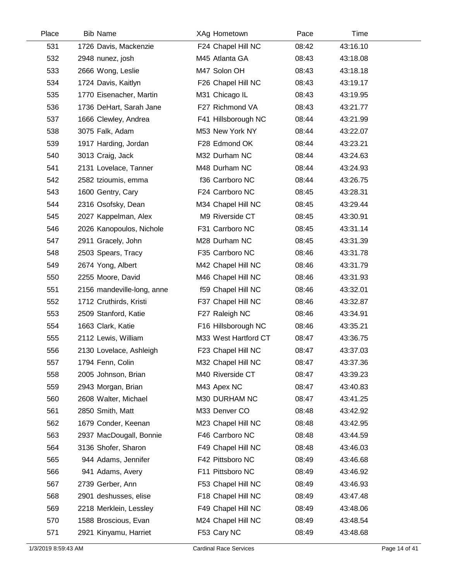| Place | <b>Bib Name</b>            | XAg Hometown         | Pace  | Time     |  |
|-------|----------------------------|----------------------|-------|----------|--|
| 531   | 1726 Davis, Mackenzie      | F24 Chapel Hill NC   | 08:42 | 43:16.10 |  |
| 532   | 2948 nunez, josh           | M45 Atlanta GA       | 08:43 | 43:18.08 |  |
| 533   | 2666 Wong, Leslie          | M47 Solon OH         | 08:43 | 43:18.18 |  |
| 534   | 1724 Davis, Kaitlyn        | F26 Chapel Hill NC   | 08:43 | 43:19.17 |  |
| 535   | 1770 Eisenacher, Martin    | M31 Chicago IL       | 08:43 | 43:19.95 |  |
| 536   | 1736 DeHart, Sarah Jane    | F27 Richmond VA      | 08:43 | 43:21.77 |  |
| 537   | 1666 Clewley, Andrea       | F41 Hillsborough NC  | 08:44 | 43:21.99 |  |
| 538   | 3075 Falk, Adam            | M53 New York NY      | 08:44 | 43:22.07 |  |
| 539   | 1917 Harding, Jordan       | F28 Edmond OK        | 08:44 | 43:23.21 |  |
| 540   | 3013 Craig, Jack           | M32 Durham NC        | 08:44 | 43:24.63 |  |
| 541   | 2131 Lovelace, Tanner      | M48 Durham NC        | 08:44 | 43:24.93 |  |
| 542   | 2582 tzioumis, emma        | f36 Carrboro NC      | 08:44 | 43:26.75 |  |
| 543   | 1600 Gentry, Cary          | F24 Carrboro NC      | 08:45 | 43:28.31 |  |
| 544   | 2316 Osofsky, Dean         | M34 Chapel Hill NC   | 08:45 | 43:29.44 |  |
| 545   | 2027 Kappelman, Alex       | M9 Riverside CT      | 08:45 | 43:30.91 |  |
| 546   | 2026 Kanopoulos, Nichole   | F31 Carrboro NC      | 08:45 | 43:31.14 |  |
| 547   | 2911 Gracely, John         | M28 Durham NC        | 08:45 | 43:31.39 |  |
| 548   | 2503 Spears, Tracy         | F35 Carrboro NC      | 08:46 | 43:31.78 |  |
| 549   | 2674 Yong, Albert          | M42 Chapel Hill NC   | 08:46 | 43:31.79 |  |
| 550   | 2255 Moore, David          | M46 Chapel Hill NC   | 08:46 | 43:31.93 |  |
| 551   | 2156 mandeville-long, anne | f59 Chapel Hill NC   | 08:46 | 43:32.01 |  |
| 552   | 1712 Cruthirds, Kristi     | F37 Chapel Hill NC   | 08:46 | 43:32.87 |  |
| 553   | 2509 Stanford, Katie       | F27 Raleigh NC       | 08:46 | 43:34.91 |  |
| 554   | 1663 Clark, Katie          | F16 Hillsborough NC  | 08:46 | 43:35.21 |  |
| 555   | 2112 Lewis, William        | M33 West Hartford CT | 08:47 | 43:36.75 |  |
| 556   | 2130 Lovelace, Ashleigh    | F23 Chapel Hill NC   | 08:47 | 43:37.03 |  |
| 557   | 1794 Fenn, Colin           | M32 Chapel Hill NC   | 08:47 | 43:37.36 |  |
| 558   | 2005 Johnson, Brian        | M40 Riverside CT     | 08:47 | 43:39.23 |  |
| 559   | 2943 Morgan, Brian         | M43 Apex NC          | 08:47 | 43:40.83 |  |
| 560   | 2608 Walter, Michael       | M30 DURHAM NC        | 08:47 | 43:41.25 |  |
| 561   | 2850 Smith, Matt           | M33 Denver CO        | 08:48 | 43:42.92 |  |
| 562   | 1679 Conder, Keenan        | M23 Chapel Hill NC   | 08:48 | 43:42.95 |  |
| 563   | 2937 MacDougall, Bonnie    | F46 Carrboro NC      | 08:48 | 43:44.59 |  |
| 564   | 3136 Shofer, Sharon        | F49 Chapel Hill NC   | 08:48 | 43:46.03 |  |
| 565   | 944 Adams, Jennifer        | F42 Pittsboro NC     | 08:49 | 43:46.68 |  |
| 566   | 941 Adams, Avery           | F11 Pittsboro NC     | 08:49 | 43:46.92 |  |
| 567   | 2739 Gerber, Ann           | F53 Chapel Hill NC   | 08:49 | 43:46.93 |  |
| 568   | 2901 deshusses, elise      | F18 Chapel Hill NC   | 08:49 | 43:47.48 |  |
| 569   | 2218 Merklein, Lessley     | F49 Chapel Hill NC   | 08:49 | 43:48.06 |  |
| 570   | 1588 Broscious, Evan       | M24 Chapel Hill NC   | 08:49 | 43:48.54 |  |
| 571   | 2921 Kinyamu, Harriet      | F53 Cary NC          | 08:49 | 43:48.68 |  |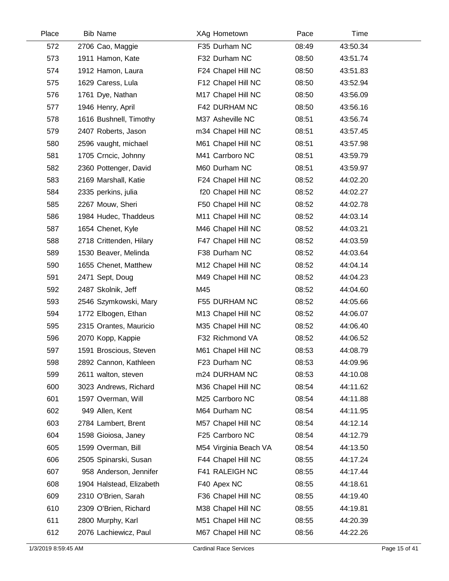| Place | <b>Bib Name</b>          | XAg Hometown          | Pace  | Time     |  |
|-------|--------------------------|-----------------------|-------|----------|--|
| 572   | 2706 Cao, Maggie         | F35 Durham NC         | 08:49 | 43:50.34 |  |
| 573   | 1911 Hamon, Kate         | F32 Durham NC         | 08:50 | 43:51.74 |  |
| 574   | 1912 Hamon, Laura        | F24 Chapel Hill NC    | 08:50 | 43:51.83 |  |
| 575   | 1629 Caress, Lula        | F12 Chapel Hill NC    | 08:50 | 43:52.94 |  |
| 576   | 1761 Dye, Nathan         | M17 Chapel Hill NC    | 08:50 | 43:56.09 |  |
| 577   | 1946 Henry, April        | F42 DURHAM NC         | 08:50 | 43:56.16 |  |
| 578   | 1616 Bushnell, Timothy   | M37 Asheville NC      | 08:51 | 43:56.74 |  |
| 579   | 2407 Roberts, Jason      | m34 Chapel Hill NC    | 08:51 | 43:57.45 |  |
| 580   | 2596 vaught, michael     | M61 Chapel Hill NC    | 08:51 | 43:57.98 |  |
| 581   | 1705 Crncic, Johnny      | M41 Carrboro NC       | 08:51 | 43:59.79 |  |
| 582   | 2360 Pottenger, David    | M60 Durham NC         | 08:51 | 43:59.97 |  |
| 583   | 2169 Marshall, Katie     | F24 Chapel Hill NC    | 08:52 | 44:02.20 |  |
| 584   | 2335 perkins, julia      | f20 Chapel Hill NC    | 08:52 | 44:02.27 |  |
| 585   | 2267 Mouw, Sheri         | F50 Chapel Hill NC    | 08:52 | 44:02.78 |  |
| 586   | 1984 Hudec, Thaddeus     | M11 Chapel Hill NC    | 08:52 | 44:03.14 |  |
| 587   | 1654 Chenet, Kyle        | M46 Chapel Hill NC    | 08:52 | 44:03.21 |  |
| 588   | 2718 Crittenden, Hilary  | F47 Chapel Hill NC    | 08:52 | 44:03.59 |  |
| 589   | 1530 Beaver, Melinda     | F38 Durham NC         | 08:52 | 44:03.64 |  |
| 590   | 1655 Chenet, Matthew     | M12 Chapel Hill NC    | 08:52 | 44:04.14 |  |
| 591   | 2471 Sept, Doug          | M49 Chapel Hill NC    | 08:52 | 44:04.23 |  |
| 592   | 2487 Skolnik, Jeff       | M45                   | 08:52 | 44:04.60 |  |
| 593   | 2546 Szymkowski, Mary    | F55 DURHAM NC         | 08:52 | 44:05.66 |  |
| 594   | 1772 Elbogen, Ethan      | M13 Chapel Hill NC    | 08:52 | 44:06.07 |  |
| 595   | 2315 Orantes, Mauricio   | M35 Chapel Hill NC    | 08:52 | 44:06.40 |  |
| 596   | 2070 Kopp, Kappie        | F32 Richmond VA       | 08:52 | 44:06.52 |  |
| 597   | 1591 Broscious, Steven   | M61 Chapel Hill NC    | 08:53 | 44:08.79 |  |
| 598   | 2892 Cannon, Kathleen    | F23 Durham NC         | 08:53 | 44:09.96 |  |
| 599   | 2611 walton, steven      | m24 DURHAM NC         | 08:53 | 44:10.08 |  |
| 600   | 3023 Andrews, Richard    | M36 Chapel Hill NC    | 08:54 | 44:11.62 |  |
| 601   | 1597 Overman, Will       | M25 Carrboro NC       | 08:54 | 44:11.88 |  |
| 602   | 949 Allen, Kent          | M64 Durham NC         | 08:54 | 44:11.95 |  |
| 603   | 2784 Lambert, Brent      | M57 Chapel Hill NC    | 08:54 | 44:12.14 |  |
| 604   | 1598 Gioiosa, Janey      | F25 Carrboro NC       | 08:54 | 44:12.79 |  |
| 605   | 1599 Overman, Bill       | M54 Virginia Beach VA | 08:54 | 44:13.50 |  |
| 606   | 2505 Spinarski, Susan    | F44 Chapel Hill NC    | 08:55 | 44:17.24 |  |
| 607   | 958 Anderson, Jennifer   | F41 RALEIGH NC        | 08:55 | 44:17.44 |  |
| 608   | 1904 Halstead, Elizabeth | F40 Apex NC           | 08:55 | 44:18.61 |  |
| 609   | 2310 O'Brien, Sarah      | F36 Chapel Hill NC    | 08:55 | 44:19.40 |  |
| 610   | 2309 O'Brien, Richard    | M38 Chapel Hill NC    | 08:55 | 44:19.81 |  |
| 611   | 2800 Murphy, Karl        | M51 Chapel Hill NC    | 08:55 | 44:20.39 |  |
| 612   | 2076 Lachiewicz, Paul    | M67 Chapel Hill NC    | 08:56 | 44:22.26 |  |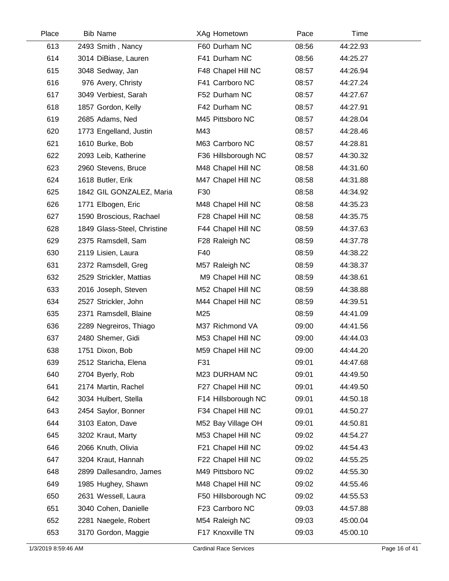| Place | <b>Bib Name</b>             | XAg Hometown        | Pace  | Time     |  |
|-------|-----------------------------|---------------------|-------|----------|--|
| 613   | 2493 Smith, Nancy           | F60 Durham NC       | 08:56 | 44:22.93 |  |
| 614   | 3014 DiBiase, Lauren        | F41 Durham NC       | 08:56 | 44:25.27 |  |
| 615   | 3048 Sedway, Jan            | F48 Chapel Hill NC  | 08:57 | 44:26.94 |  |
| 616   | 976 Avery, Christy          | F41 Carrboro NC     | 08:57 | 44:27.24 |  |
| 617   | 3049 Verbiest, Sarah        | F52 Durham NC       | 08:57 | 44:27.67 |  |
| 618   | 1857 Gordon, Kelly          | F42 Durham NC       | 08:57 | 44:27.91 |  |
| 619   | 2685 Adams, Ned             | M45 Pittsboro NC    | 08:57 | 44:28.04 |  |
| 620   | 1773 Engelland, Justin      | M43                 | 08:57 | 44:28.46 |  |
| 621   | 1610 Burke, Bob             | M63 Carrboro NC     | 08:57 | 44:28.81 |  |
| 622   | 2093 Leib, Katherine        | F36 Hillsborough NC | 08:57 | 44:30.32 |  |
| 623   | 2960 Stevens, Bruce         | M48 Chapel Hill NC  | 08:58 | 44:31.60 |  |
| 624   | 1618 Butler, Erik           | M47 Chapel Hill NC  | 08:58 | 44:31.88 |  |
| 625   | 1842 GIL GONZALEZ, Maria    | F30                 | 08:58 | 44:34.92 |  |
| 626   | 1771 Elbogen, Eric          | M48 Chapel Hill NC  | 08:58 | 44:35.23 |  |
| 627   | 1590 Broscious, Rachael     | F28 Chapel Hill NC  | 08:58 | 44:35.75 |  |
| 628   | 1849 Glass-Steel, Christine | F44 Chapel Hill NC  | 08:59 | 44:37.63 |  |
| 629   | 2375 Ramsdell, Sam          | F28 Raleigh NC      | 08:59 | 44:37.78 |  |
| 630   | 2119 Lisien, Laura          | F40                 | 08:59 | 44:38.22 |  |
| 631   | 2372 Ramsdell, Greg         | M57 Raleigh NC      | 08:59 | 44:38.37 |  |
| 632   | 2529 Strickler, Mattias     | M9 Chapel Hill NC   | 08:59 | 44:38.61 |  |
| 633   | 2016 Joseph, Steven         | M52 Chapel Hill NC  | 08:59 | 44:38.88 |  |
| 634   | 2527 Strickler, John        | M44 Chapel Hill NC  | 08:59 | 44:39.51 |  |
| 635   | 2371 Ramsdell, Blaine       | M25                 | 08:59 | 44:41.09 |  |
| 636   | 2289 Negreiros, Thiago      | M37 Richmond VA     | 09:00 | 44:41.56 |  |
| 637   | 2480 Shemer, Gidi           | M53 Chapel Hill NC  | 09:00 | 44:44.03 |  |
| 638   | 1751 Dixon, Bob             | M59 Chapel Hill NC  | 09:00 | 44:44.20 |  |
| 639   | 2512 Staricha, Elena        | F31                 | 09:01 | 44:47.68 |  |
| 640   | 2704 Byerly, Rob            | M23 DURHAM NC       | 09:01 | 44:49.50 |  |
| 641   | 2174 Martin, Rachel         | F27 Chapel Hill NC  | 09:01 | 44:49.50 |  |
| 642   | 3034 Hulbert, Stella        | F14 Hillsborough NC | 09:01 | 44:50.18 |  |
| 643   | 2454 Saylor, Bonner         | F34 Chapel Hill NC  | 09:01 | 44:50.27 |  |
| 644   | 3103 Eaton, Dave            | M52 Bay Village OH  | 09:01 | 44:50.81 |  |
| 645   | 3202 Kraut, Marty           | M53 Chapel Hill NC  | 09:02 | 44:54.27 |  |
| 646   | 2066 Knuth, Olivia          | F21 Chapel Hill NC  | 09:02 | 44:54.43 |  |
| 647   | 3204 Kraut, Hannah          | F22 Chapel Hill NC  | 09:02 | 44:55.25 |  |
| 648   | 2899 Dallesandro, James     | M49 Pittsboro NC    | 09:02 | 44:55.30 |  |
| 649   | 1985 Hughey, Shawn          | M48 Chapel Hill NC  | 09:02 | 44:55.46 |  |
| 650   | 2631 Wessell, Laura         | F50 Hillsborough NC | 09:02 | 44:55.53 |  |
| 651   | 3040 Cohen, Danielle        | F23 Carrboro NC     | 09:03 | 44:57.88 |  |
| 652   | 2281 Naegele, Robert        | M54 Raleigh NC      | 09:03 | 45:00.04 |  |
| 653   | 3170 Gordon, Maggie         | F17 Knoxville TN    | 09:03 | 45:00.10 |  |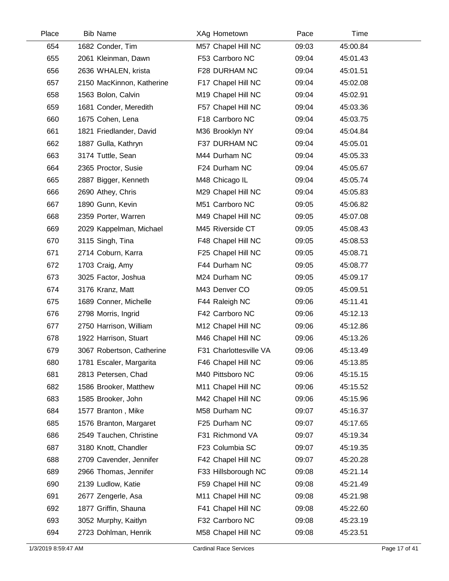| Place | <b>Bib Name</b>           | XAg Hometown           | Pace  | Time     |  |
|-------|---------------------------|------------------------|-------|----------|--|
| 654   | 1682 Conder, Tim          | M57 Chapel Hill NC     | 09:03 | 45:00.84 |  |
| 655   | 2061 Kleinman, Dawn       | F53 Carrboro NC        | 09:04 | 45:01.43 |  |
| 656   | 2636 WHALEN, krista       | F28 DURHAM NC          | 09:04 | 45:01.51 |  |
| 657   | 2150 MacKinnon, Katherine | F17 Chapel Hill NC     | 09:04 | 45:02.08 |  |
| 658   | 1563 Bolon, Calvin        | M19 Chapel Hill NC     | 09:04 | 45:02.91 |  |
| 659   | 1681 Conder, Meredith     | F57 Chapel Hill NC     | 09:04 | 45:03.36 |  |
| 660   | 1675 Cohen, Lena          | F18 Carrboro NC        | 09:04 | 45:03.75 |  |
| 661   | 1821 Friedlander, David   | M36 Brooklyn NY        | 09:04 | 45:04.84 |  |
| 662   | 1887 Gulla, Kathryn       | F37 DURHAM NC          | 09:04 | 45:05.01 |  |
| 663   | 3174 Tuttle, Sean         | M44 Durham NC          | 09:04 | 45:05.33 |  |
| 664   | 2365 Proctor, Susie       | F24 Durham NC          | 09:04 | 45:05.67 |  |
| 665   | 2887 Bigger, Kenneth      | M48 Chicago IL         | 09:04 | 45:05.74 |  |
| 666   | 2690 Athey, Chris         | M29 Chapel Hill NC     | 09:04 | 45:05.83 |  |
| 667   | 1890 Gunn, Kevin          | M51 Carrboro NC        | 09:05 | 45:06.82 |  |
| 668   | 2359 Porter, Warren       | M49 Chapel Hill NC     | 09:05 | 45:07.08 |  |
| 669   | 2029 Kappelman, Michael   | M45 Riverside CT       | 09:05 | 45:08.43 |  |
| 670   | 3115 Singh, Tina          | F48 Chapel Hill NC     | 09:05 | 45:08.53 |  |
| 671   | 2714 Coburn, Karra        | F25 Chapel Hill NC     | 09:05 | 45:08.71 |  |
| 672   | 1703 Craig, Amy           | F44 Durham NC          | 09:05 | 45:08.77 |  |
| 673   | 3025 Factor, Joshua       | M24 Durham NC          | 09:05 | 45:09.17 |  |
| 674   | 3176 Kranz, Matt          | M43 Denver CO          | 09:05 | 45:09.51 |  |
| 675   | 1689 Conner, Michelle     | F44 Raleigh NC         | 09:06 | 45:11.41 |  |
| 676   | 2798 Morris, Ingrid       | F42 Carrboro NC        | 09:06 | 45:12.13 |  |
| 677   | 2750 Harrison, William    | M12 Chapel Hill NC     | 09:06 | 45:12.86 |  |
| 678   | 1922 Harrison, Stuart     | M46 Chapel Hill NC     | 09:06 | 45:13.26 |  |
| 679   | 3067 Robertson, Catherine | F31 Charlottesville VA | 09:06 | 45:13.49 |  |
| 680   | 1781 Escaler, Margarita   | F46 Chapel Hill NC     | 09:06 | 45:13.85 |  |
| 681   | 2813 Petersen, Chad       | M40 Pittsboro NC       | 09:06 | 45:15.15 |  |
| 682   | 1586 Brooker, Matthew     | M11 Chapel Hill NC     | 09:06 | 45:15.52 |  |
| 683   | 1585 Brooker, John        | M42 Chapel Hill NC     | 09:06 | 45:15.96 |  |
| 684   | 1577 Branton, Mike        | M58 Durham NC          | 09:07 | 45:16.37 |  |
| 685   | 1576 Branton, Margaret    | F25 Durham NC          | 09:07 | 45:17.65 |  |
| 686   | 2549 Tauchen, Christine   | F31 Richmond VA        | 09:07 | 45:19.34 |  |
| 687   | 3180 Knott, Chandler      | F23 Columbia SC        | 09:07 | 45:19.35 |  |
| 688   | 2709 Cavender, Jennifer   | F42 Chapel Hill NC     | 09:07 | 45:20.28 |  |
| 689   | 2966 Thomas, Jennifer     | F33 Hillsborough NC    | 09:08 | 45:21.14 |  |
| 690   | 2139 Ludlow, Katie        | F59 Chapel Hill NC     | 09:08 | 45:21.49 |  |
| 691   | 2677 Zengerle, Asa        | M11 Chapel Hill NC     | 09:08 | 45:21.98 |  |
| 692   | 1877 Griffin, Shauna      | F41 Chapel Hill NC     | 09:08 | 45:22.60 |  |
| 693   | 3052 Murphy, Kaitlyn      | F32 Carrboro NC        | 09:08 | 45:23.19 |  |
| 694   | 2723 Dohlman, Henrik      | M58 Chapel Hill NC     | 09:08 | 45:23.51 |  |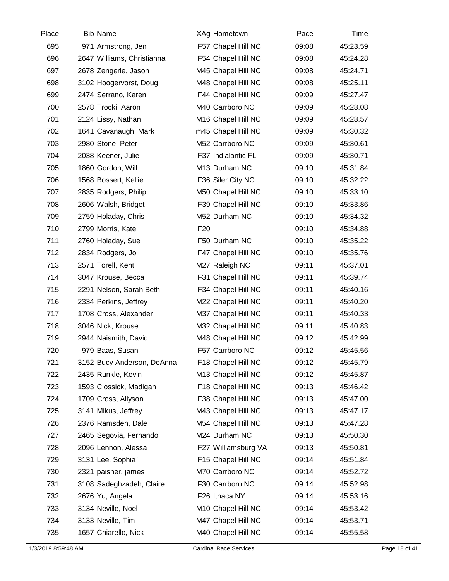| Place | <b>Bib Name</b>            | XAg Hometown        | Pace  | Time     |  |
|-------|----------------------------|---------------------|-------|----------|--|
| 695   | 971 Armstrong, Jen         | F57 Chapel Hill NC  | 09:08 | 45:23.59 |  |
| 696   | 2647 Williams, Christianna | F54 Chapel Hill NC  | 09:08 | 45:24.28 |  |
| 697   | 2678 Zengerle, Jason       | M45 Chapel Hill NC  | 09:08 | 45:24.71 |  |
| 698   | 3102 Hoogervorst, Doug     | M48 Chapel Hill NC  | 09:08 | 45:25.11 |  |
| 699   | 2474 Serrano, Karen        | F44 Chapel Hill NC  | 09:09 | 45:27.47 |  |
| 700   | 2578 Trocki, Aaron         | M40 Carrboro NC     | 09:09 | 45:28.08 |  |
| 701   | 2124 Lissy, Nathan         | M16 Chapel Hill NC  | 09:09 | 45:28.57 |  |
| 702   | 1641 Cavanaugh, Mark       | m45 Chapel Hill NC  | 09:09 | 45:30.32 |  |
| 703   | 2980 Stone, Peter          | M52 Carrboro NC     | 09:09 | 45:30.61 |  |
| 704   | 2038 Keener, Julie         | F37 Indialantic FL  | 09:09 | 45:30.71 |  |
| 705   | 1860 Gordon, Will          | M13 Durham NC       | 09:10 | 45:31.84 |  |
| 706   | 1568 Bossert, Kellie       | F36 Siler City NC   | 09:10 | 45:32.22 |  |
| 707   | 2835 Rodgers, Philip       | M50 Chapel Hill NC  | 09:10 | 45:33.10 |  |
| 708   | 2606 Walsh, Bridget        | F39 Chapel Hill NC  | 09:10 | 45:33.86 |  |
| 709   | 2759 Holaday, Chris        | M52 Durham NC       | 09:10 | 45:34.32 |  |
| 710   | 2799 Morris, Kate          | F <sub>20</sub>     | 09:10 | 45:34.88 |  |
| 711   | 2760 Holaday, Sue          | F50 Durham NC       | 09:10 | 45:35.22 |  |
| 712   | 2834 Rodgers, Jo           | F47 Chapel Hill NC  | 09:10 | 45:35.76 |  |
| 713   | 2571 Torell, Kent          | M27 Raleigh NC      | 09:11 | 45:37.01 |  |
| 714   | 3047 Krouse, Becca         | F31 Chapel Hill NC  | 09:11 | 45:39.74 |  |
| 715   | 2291 Nelson, Sarah Beth    | F34 Chapel Hill NC  | 09:11 | 45:40.16 |  |
| 716   | 2334 Perkins, Jeffrey      | M22 Chapel Hill NC  | 09:11 | 45:40.20 |  |
| 717   | 1708 Cross, Alexander      | M37 Chapel Hill NC  | 09:11 | 45:40.33 |  |
| 718   | 3046 Nick, Krouse          | M32 Chapel Hill NC  | 09:11 | 45:40.83 |  |
| 719   | 2944 Naismith, David       | M48 Chapel Hill NC  | 09:12 | 45:42.99 |  |
| 720   | 979 Baas, Susan            | F57 Carrboro NC     | 09:12 | 45:45.56 |  |
| 721   | 3152 Bucy-Anderson, DeAnna | F18 Chapel Hill NC  | 09:12 | 45:45.79 |  |
| 722   | 2435 Runkle, Kevin         | M13 Chapel Hill NC  | 09:12 | 45:45.87 |  |
| 723   | 1593 Clossick, Madigan     | F18 Chapel Hill NC  | 09:13 | 45:46.42 |  |
| 724   | 1709 Cross, Allyson        | F38 Chapel Hill NC  | 09:13 | 45:47.00 |  |
| 725   | 3141 Mikus, Jeffrey        | M43 Chapel Hill NC  | 09:13 | 45:47.17 |  |
| 726   | 2376 Ramsden, Dale         | M54 Chapel Hill NC  | 09:13 | 45:47.28 |  |
| 727   | 2465 Segovia, Fernando     | M24 Durham NC       | 09:13 | 45:50.30 |  |
| 728   | 2096 Lennon, Alessa        | F27 Williamsburg VA | 09:13 | 45:50.81 |  |
| 729   | 3131 Lee, Sophia`          | F15 Chapel Hill NC  | 09:14 | 45:51.84 |  |
| 730   | 2321 paisner, james        | M70 Carrboro NC     | 09:14 | 45:52.72 |  |
| 731   | 3108 Sadeghzadeh, Claire   | F30 Carrboro NC     | 09:14 | 45:52.98 |  |
| 732   | 2676 Yu, Angela            | F26 Ithaca NY       | 09:14 | 45:53.16 |  |
| 733   | 3134 Neville, Noel         | M10 Chapel Hill NC  | 09:14 | 45:53.42 |  |
| 734   | 3133 Neville, Tim          | M47 Chapel Hill NC  | 09:14 | 45:53.71 |  |
| 735   | 1657 Chiarello, Nick       | M40 Chapel Hill NC  | 09:14 | 45:55.58 |  |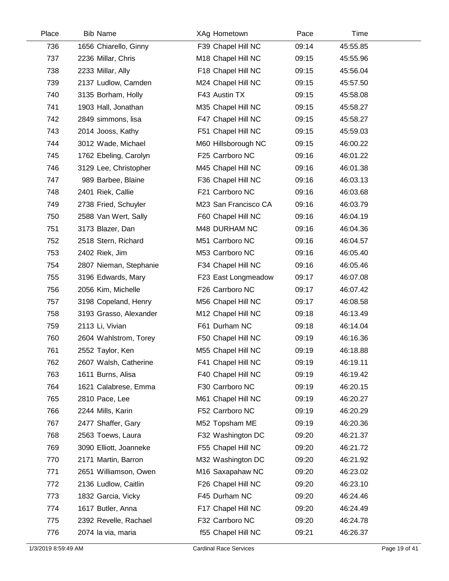| Place | <b>Bib Name</b>        | XAg Hometown         | Pace  | Time     |  |
|-------|------------------------|----------------------|-------|----------|--|
| 736   | 1656 Chiarello, Ginny  | F39 Chapel Hill NC   | 09:14 | 45:55.85 |  |
| 737   | 2236 Millar, Chris     | M18 Chapel Hill NC   | 09:15 | 45:55.96 |  |
| 738   | 2233 Millar, Ally      | F18 Chapel Hill NC   | 09:15 | 45:56.04 |  |
| 739   | 2137 Ludlow, Camden    | M24 Chapel Hill NC   | 09:15 | 45:57.50 |  |
| 740   | 3135 Borham, Holly     | F43 Austin TX        | 09:15 | 45:58.08 |  |
| 741   | 1903 Hall, Jonathan    | M35 Chapel Hill NC   | 09:15 | 45:58.27 |  |
| 742   | 2849 simmons, lisa     | F47 Chapel Hill NC   | 09:15 | 45:58.27 |  |
| 743   | 2014 Jooss, Kathy      | F51 Chapel Hill NC   | 09:15 | 45:59.03 |  |
| 744   | 3012 Wade, Michael     | M60 Hillsborough NC  | 09:15 | 46:00.22 |  |
| 745   | 1762 Ebeling, Carolyn  | F25 Carrboro NC      | 09:16 | 46:01.22 |  |
| 746   | 3129 Lee, Christopher  | M45 Chapel Hill NC   | 09:16 | 46:01.38 |  |
| 747   | 989 Barbee, Blaine     | F36 Chapel Hill NC   | 09:16 | 46:03.13 |  |
| 748   | 2401 Riek, Callie      | F21 Carrboro NC      | 09:16 | 46:03.68 |  |
| 749   | 2738 Fried, Schuyler   | M23 San Francisco CA | 09:16 | 46:03.79 |  |
| 750   | 2588 Van Wert, Sally   | F60 Chapel Hill NC   | 09:16 | 46:04.19 |  |
| 751   | 3173 Blazer, Dan       | M48 DURHAM NC        | 09:16 | 46:04.36 |  |
| 752   | 2518 Stern, Richard    | M51 Carrboro NC      | 09:16 | 46:04.57 |  |
| 753   | 2402 Riek, Jim         | M53 Carrboro NC      | 09:16 | 46:05.40 |  |
| 754   | 2807 Nieman, Stephanie | F34 Chapel Hill NC   | 09:16 | 46:05.46 |  |
| 755   | 3196 Edwards, Mary     | F23 East Longmeadow  | 09:17 | 46:07.08 |  |
| 756   | 2056 Kim, Michelle     | F26 Carrboro NC      | 09:17 | 46:07.42 |  |
| 757   | 3198 Copeland, Henry   | M56 Chapel Hill NC   | 09:17 | 46:08.58 |  |
| 758   | 3193 Grasso, Alexander | M12 Chapel Hill NC   | 09:18 | 46:13.49 |  |
| 759   | 2113 Li, Vivian        | F61 Durham NC        | 09:18 | 46:14.04 |  |
| 760   | 2604 Wahlstrom, Torey  | F50 Chapel Hill NC   | 09:19 | 46:16.36 |  |
| 761   | 2552 Taylor, Ken       | M55 Chapel Hill NC   | 09:19 | 46:18.88 |  |
| 762   | 2607 Walsh, Catherine  | F41 Chapel Hill NC   | 09:19 | 46:19.11 |  |
| 763   | 1611 Burns, Alisa      | F40 Chapel Hill NC   | 09:19 | 46:19.42 |  |
| 764   | 1621 Calabrese, Emma   | F30 Carrboro NC      | 09:19 | 46:20.15 |  |
| 765   | 2810 Pace, Lee         | M61 Chapel Hill NC   | 09:19 | 46:20.27 |  |
| 766   | 2244 Mills, Karin      | F52 Carrboro NC      | 09:19 | 46:20.29 |  |
| 767   | 2477 Shaffer, Gary     | M52 Topsham ME       | 09:19 | 46:20.36 |  |
| 768   | 2563 Toews, Laura      | F32 Washington DC    | 09:20 | 46:21.37 |  |
| 769   | 3090 Elliott, Joanneke | F55 Chapel Hill NC   | 09:20 | 46:21.72 |  |
| 770   | 2171 Martin, Barron    | M32 Washington DC    | 09:20 | 46:21.92 |  |
| 771   | 2651 Williamson, Owen  | M16 Saxapahaw NC     | 09:20 | 46:23.02 |  |
| 772   | 2136 Ludlow, Caitlin   | F26 Chapel Hill NC   | 09:20 | 46:23.10 |  |
| 773   | 1832 Garcia, Vicky     | F45 Durham NC        | 09:20 | 46:24.46 |  |
| 774   | 1617 Butler, Anna      | F17 Chapel Hill NC   | 09:20 | 46:24.49 |  |
| 775   | 2392 Revelle, Rachael  | F32 Carrboro NC      | 09:20 | 46:24.78 |  |
| 776   | 2074 la via, maria     | f55 Chapel Hill NC   | 09:21 | 46:26.37 |  |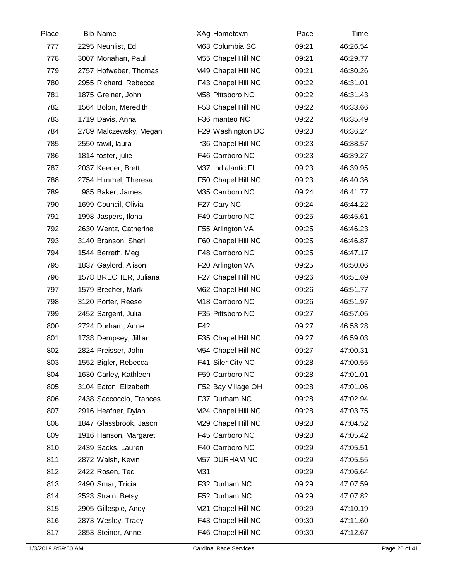| Place | <b>Bib Name</b>         | XAg Hometown       | Pace  | Time     |  |
|-------|-------------------------|--------------------|-------|----------|--|
| 777   | 2295 Neunlist, Ed       | M63 Columbia SC    | 09:21 | 46:26.54 |  |
| 778   | 3007 Monahan, Paul      | M55 Chapel Hill NC | 09:21 | 46:29.77 |  |
| 779   | 2757 Hofweber, Thomas   | M49 Chapel Hill NC | 09:21 | 46:30.26 |  |
| 780   | 2955 Richard, Rebecca   | F43 Chapel Hill NC | 09:22 | 46:31.01 |  |
| 781   | 1875 Greiner, John      | M58 Pittsboro NC   | 09:22 | 46:31.43 |  |
| 782   | 1564 Bolon, Meredith    | F53 Chapel Hill NC | 09:22 | 46:33.66 |  |
| 783   | 1719 Davis, Anna        | F36 manteo NC      | 09:22 | 46:35.49 |  |
| 784   | 2789 Malczewsky, Megan  | F29 Washington DC  | 09:23 | 46:36.24 |  |
| 785   | 2550 tawil, laura       | f36 Chapel Hill NC | 09:23 | 46:38.57 |  |
| 786   | 1814 foster, julie      | F46 Carrboro NC    | 09:23 | 46:39.27 |  |
| 787   | 2037 Keener, Brett      | M37 Indialantic FL | 09:23 | 46:39.95 |  |
| 788   | 2754 Himmel, Theresa    | F50 Chapel Hill NC | 09:23 | 46:40.36 |  |
| 789   | 985 Baker, James        | M35 Carrboro NC    | 09:24 | 46:41.77 |  |
| 790   | 1699 Council, Olivia    | F27 Cary NC        | 09:24 | 46:44.22 |  |
| 791   | 1998 Jaspers, Ilona     | F49 Carrboro NC    | 09:25 | 46:45.61 |  |
| 792   | 2630 Wentz, Catherine   | F55 Arlington VA   | 09:25 | 46:46.23 |  |
| 793   | 3140 Branson, Sheri     | F60 Chapel Hill NC | 09:25 | 46:46.87 |  |
| 794   | 1544 Berreth, Meg       | F48 Carrboro NC    | 09:25 | 46:47.17 |  |
| 795   | 1837 Gaylord, Alison    | F20 Arlington VA   | 09:25 | 46:50.06 |  |
| 796   | 1578 BRECHER, Juliana   | F27 Chapel Hill NC | 09:26 | 46:51.69 |  |
| 797   | 1579 Brecher, Mark      | M62 Chapel Hill NC | 09:26 | 46:51.77 |  |
| 798   | 3120 Porter, Reese      | M18 Carrboro NC    | 09:26 | 46:51.97 |  |
| 799   | 2452 Sargent, Julia     | F35 Pittsboro NC   | 09:27 | 46:57.05 |  |
| 800   | 2724 Durham, Anne       | F42                | 09:27 | 46:58.28 |  |
| 801   | 1738 Dempsey, Jillian   | F35 Chapel Hill NC | 09:27 | 46:59.03 |  |
| 802   | 2824 Preisser, John     | M54 Chapel Hill NC | 09:27 | 47:00.31 |  |
| 803   | 1552 Bigler, Rebecca    | F41 Siler City NC  | 09:28 | 47:00.55 |  |
| 804   | 1630 Carley, Kathleen   | F59 Carrboro NC    | 09:28 | 47:01.01 |  |
| 805   | 3104 Eaton, Elizabeth   | F52 Bay Village OH | 09:28 | 47:01.06 |  |
| 806   | 2438 Saccoccio, Frances | F37 Durham NC      | 09:28 | 47:02.94 |  |
| 807   | 2916 Heafner, Dylan     | M24 Chapel Hill NC | 09:28 | 47:03.75 |  |
| 808   | 1847 Glassbrook, Jason  | M29 Chapel Hill NC | 09:28 | 47:04.52 |  |
| 809   | 1916 Hanson, Margaret   | F45 Carrboro NC    | 09:28 | 47:05.42 |  |
| 810   | 2439 Sacks, Lauren      | F40 Carrboro NC    | 09:29 | 47:05.51 |  |
| 811   | 2872 Walsh, Kevin       | M57 DURHAM NC      | 09:29 | 47:05.55 |  |
| 812   | 2422 Rosen, Ted         | M31                | 09:29 | 47:06.64 |  |
| 813   | 2490 Smar, Tricia       | F32 Durham NC      | 09:29 | 47:07.59 |  |
| 814   | 2523 Strain, Betsy      | F52 Durham NC      | 09:29 | 47:07.82 |  |
| 815   | 2905 Gillespie, Andy    | M21 Chapel Hill NC | 09:29 | 47:10.19 |  |
| 816   | 2873 Wesley, Tracy      | F43 Chapel Hill NC | 09:30 | 47:11.60 |  |
| 817   | 2853 Steiner, Anne      | F46 Chapel Hill NC | 09:30 | 47:12.67 |  |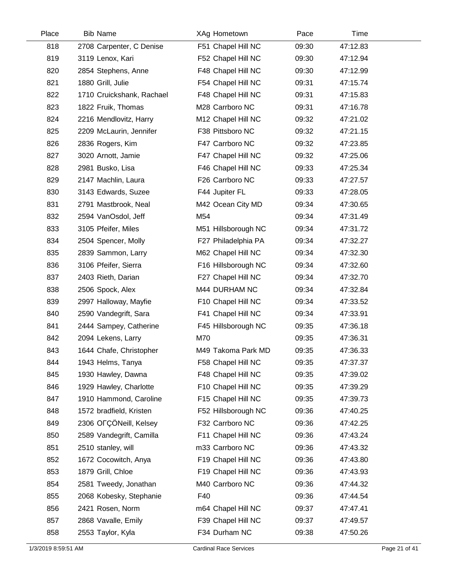| Place | <b>Bib Name</b>           | XAg Hometown        | Pace  | Time     |  |
|-------|---------------------------|---------------------|-------|----------|--|
| 818   | 2708 Carpenter, C Denise  | F51 Chapel Hill NC  | 09:30 | 47:12.83 |  |
| 819   | 3119 Lenox, Kari          | F52 Chapel Hill NC  | 09:30 | 47:12.94 |  |
| 820   | 2854 Stephens, Anne       | F48 Chapel Hill NC  | 09:30 | 47:12.99 |  |
| 821   | 1880 Grill, Julie         | F54 Chapel Hill NC  | 09:31 | 47:15.74 |  |
| 822   | 1710 Cruickshank, Rachael | F48 Chapel Hill NC  | 09:31 | 47:15.83 |  |
| 823   | 1822 Fruik, Thomas        | M28 Carrboro NC     | 09:31 | 47:16.78 |  |
| 824   | 2216 Mendlovitz, Harry    | M12 Chapel Hill NC  | 09:32 | 47:21.02 |  |
| 825   | 2209 McLaurin, Jennifer   | F38 Pittsboro NC    | 09:32 | 47:21.15 |  |
| 826   | 2836 Rogers, Kim          | F47 Carrboro NC     | 09:32 | 47:23.85 |  |
| 827   | 3020 Arnott, Jamie        | F47 Chapel Hill NC  | 09:32 | 47:25.06 |  |
| 828   | 2981 Busko, Lisa          | F46 Chapel Hill NC  | 09:33 | 47:25.34 |  |
| 829   | 2147 Machlin, Laura       | F26 Carrboro NC     | 09:33 | 47:27.57 |  |
| 830   | 3143 Edwards, Suzee       | F44 Jupiter FL      | 09:33 | 47:28.05 |  |
| 831   | 2791 Mastbrook, Neal      | M42 Ocean City MD   | 09:34 | 47:30.65 |  |
| 832   | 2594 VanOsdol, Jeff       | M54                 | 09:34 | 47:31.49 |  |
| 833   | 3105 Pfeifer, Miles       | M51 Hillsborough NC | 09:34 | 47:31.72 |  |
| 834   | 2504 Spencer, Molly       | F27 Philadelphia PA | 09:34 | 47:32.27 |  |
| 835   | 2839 Sammon, Larry        | M62 Chapel Hill NC  | 09:34 | 47:32.30 |  |
| 836   | 3106 Pfeifer, Sierra      | F16 Hillsborough NC | 09:34 | 47:32.60 |  |
| 837   | 2403 Rieth, Darian        | F27 Chapel Hill NC  | 09:34 | 47:32.70 |  |
| 838   | 2506 Spock, Alex          | M44 DURHAM NC       | 09:34 | 47:32.84 |  |
| 839   | 2997 Halloway, Mayfie     | F10 Chapel Hill NC  | 09:34 | 47:33.52 |  |
| 840   | 2590 Vandegrift, Sara     | F41 Chapel Hill NC  | 09:34 | 47:33.91 |  |
| 841   | 2444 Sampey, Catherine    | F45 Hillsborough NC | 09:35 | 47:36.18 |  |
| 842   | 2094 Lekens, Larry        | M70                 | 09:35 | 47:36.31 |  |
| 843   | 1644 Chafe, Christopher   | M49 Takoma Park MD  | 09:35 | 47:36.33 |  |
| 844   | 1943 Helms, Tanya         | F58 Chapel Hill NC  | 09:35 | 47:37.37 |  |
| 845   | 1930 Hawley, Dawna        | F48 Chapel Hill NC  | 09:35 | 47:39.02 |  |
| 846   | 1929 Hawley, Charlotte    | F10 Chapel Hill NC  | 09:35 | 47:39.29 |  |
| 847   | 1910 Hammond, Caroline    | F15 Chapel Hill NC  | 09:35 | 47:39.73 |  |
| 848   | 1572 bradfield, Kristen   | F52 Hillsborough NC | 09:36 | 47:40.25 |  |
| 849   | 2306 OFÇÖNeill, Kelsey    | F32 Carrboro NC     | 09:36 | 47:42.25 |  |
| 850   | 2589 Vandegrift, Camilla  | F11 Chapel Hill NC  | 09:36 | 47:43.24 |  |
| 851   | 2510 stanley, will        | m33 Carrboro NC     | 09:36 | 47:43.32 |  |
| 852   | 1672 Cocowitch, Anya      | F19 Chapel Hill NC  | 09:36 | 47:43.80 |  |
| 853   | 1879 Grill, Chloe         | F19 Chapel Hill NC  | 09:36 | 47:43.93 |  |
| 854   | 2581 Tweedy, Jonathan     | M40 Carrboro NC     | 09:36 | 47:44.32 |  |
| 855   | 2068 Kobesky, Stephanie   | F40                 | 09:36 | 47:44.54 |  |
| 856   | 2421 Rosen, Norm          | m64 Chapel Hill NC  | 09:37 | 47:47.41 |  |
| 857   | 2868 Vavalle, Emily       | F39 Chapel Hill NC  | 09:37 | 47:49.57 |  |
| 858   | 2553 Taylor, Kyla         | F34 Durham NC       | 09:38 | 47:50.26 |  |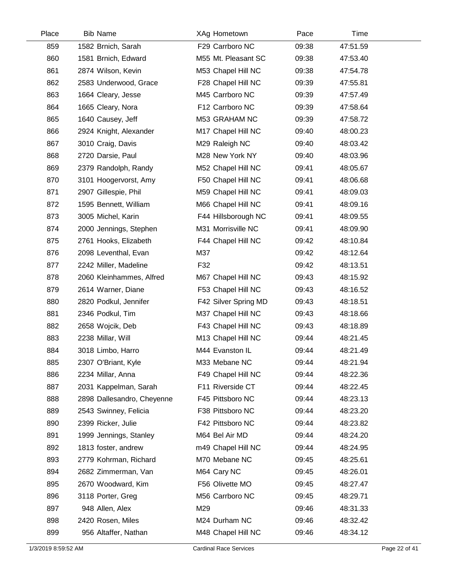| Place | <b>Bib Name</b>            | XAg Hometown         | Pace  | Time     |  |
|-------|----------------------------|----------------------|-------|----------|--|
| 859   | 1582 Brnich, Sarah         | F29 Carrboro NC      | 09:38 | 47:51.59 |  |
| 860   | 1581 Brnich, Edward        | M55 Mt. Pleasant SC  | 09:38 | 47:53.40 |  |
| 861   | 2874 Wilson, Kevin         | M53 Chapel Hill NC   | 09:38 | 47:54.78 |  |
| 862   | 2583 Underwood, Grace      | F28 Chapel Hill NC   | 09:39 | 47:55.81 |  |
| 863   | 1664 Cleary, Jesse         | M45 Carrboro NC      | 09:39 | 47:57.49 |  |
| 864   | 1665 Cleary, Nora          | F12 Carrboro NC      | 09:39 | 47:58.64 |  |
| 865   | 1640 Causey, Jeff          | M53 GRAHAM NC        | 09:39 | 47:58.72 |  |
| 866   | 2924 Knight, Alexander     | M17 Chapel Hill NC   | 09:40 | 48:00.23 |  |
| 867   | 3010 Craig, Davis          | M29 Raleigh NC       | 09:40 | 48:03.42 |  |
| 868   | 2720 Darsie, Paul          | M28 New York NY      | 09:40 | 48:03.96 |  |
| 869   | 2379 Randolph, Randy       | M52 Chapel Hill NC   | 09:41 | 48:05.67 |  |
| 870   | 3101 Hoogervorst, Amy      | F50 Chapel Hill NC   | 09:41 | 48:06.68 |  |
| 871   | 2907 Gillespie, Phil       | M59 Chapel Hill NC   | 09:41 | 48:09.03 |  |
| 872   | 1595 Bennett, William      | M66 Chapel Hill NC   | 09:41 | 48:09.16 |  |
| 873   | 3005 Michel, Karin         | F44 Hillsborough NC  | 09:41 | 48:09.55 |  |
| 874   | 2000 Jennings, Stephen     | M31 Morrisville NC   | 09:41 | 48:09.90 |  |
| 875   | 2761 Hooks, Elizabeth      | F44 Chapel Hill NC   | 09:42 | 48:10.84 |  |
| 876   | 2098 Leventhal, Evan       | M37                  | 09:42 | 48:12.64 |  |
| 877   | 2242 Miller, Madeline      | F32                  | 09:42 | 48:13.51 |  |
| 878   | 2060 Kleinhammes, Alfred   | M67 Chapel Hill NC   | 09:43 | 48:15.92 |  |
| 879   | 2614 Warner, Diane         | F53 Chapel Hill NC   | 09:43 | 48:16.52 |  |
| 880   | 2820 Podkul, Jennifer      | F42 Silver Spring MD | 09:43 | 48:18.51 |  |
| 881   | 2346 Podkul, Tim           | M37 Chapel Hill NC   | 09:43 | 48:18.66 |  |
| 882   | 2658 Wojcik, Deb           | F43 Chapel Hill NC   | 09:43 | 48:18.89 |  |
| 883   | 2238 Millar, Will          | M13 Chapel Hill NC   | 09:44 | 48:21.45 |  |
| 884   | 3018 Limbo, Harro          | M44 Evanston IL      | 09:44 | 48:21.49 |  |
| 885   | 2307 O'Briant, Kyle        | M33 Mebane NC        | 09:44 | 48:21.94 |  |
| 886   | 2234 Millar, Anna          | F49 Chapel Hill NC   | 09:44 | 48:22.36 |  |
| 887   | 2031 Kappelman, Sarah      | F11 Riverside CT     | 09:44 | 48:22.45 |  |
| 888   | 2898 Dallesandro, Cheyenne | F45 Pittsboro NC     | 09:44 | 48:23.13 |  |
| 889   | 2543 Swinney, Felicia      | F38 Pittsboro NC     | 09:44 | 48:23.20 |  |
| 890   | 2399 Ricker, Julie         | F42 Pittsboro NC     | 09:44 | 48:23.82 |  |
| 891   | 1999 Jennings, Stanley     | M64 Bel Air MD       | 09:44 | 48:24.20 |  |
| 892   | 1813 foster, andrew        | m49 Chapel Hill NC   | 09:44 | 48:24.95 |  |
| 893   | 2779 Kohrman, Richard      | M70 Mebane NC        | 09:45 | 48:25.61 |  |
| 894   | 2682 Zimmerman, Van        | M64 Cary NC          | 09:45 | 48:26.01 |  |
| 895   | 2670 Woodward, Kim         | F56 Olivette MO      | 09:45 | 48:27.47 |  |
| 896   | 3118 Porter, Greg          | M56 Carrboro NC      | 09:45 | 48:29.71 |  |
| 897   | 948 Allen, Alex            | M29                  | 09:46 | 48:31.33 |  |
| 898   | 2420 Rosen, Miles          | M24 Durham NC        | 09:46 | 48:32.42 |  |
| 899   | 956 Altaffer, Nathan       | M48 Chapel Hill NC   | 09:46 | 48:34.12 |  |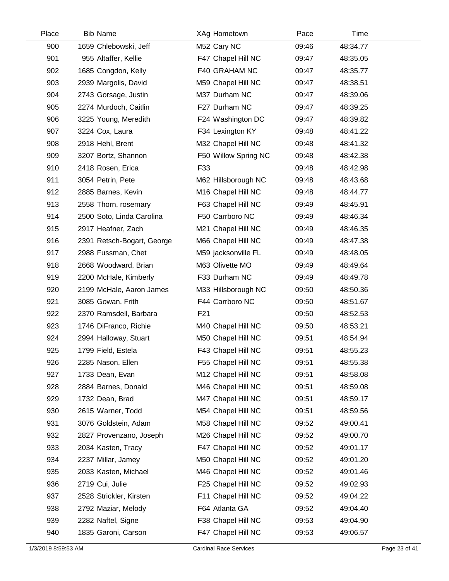| Place | <b>Bib Name</b>            | XAg Hometown         | Pace  | Time     |  |
|-------|----------------------------|----------------------|-------|----------|--|
| 900   | 1659 Chlebowski, Jeff      | M52 Cary NC          | 09:46 | 48:34.77 |  |
| 901   | 955 Altaffer, Kellie       | F47 Chapel Hill NC   | 09:47 | 48:35.05 |  |
| 902   | 1685 Congdon, Kelly        | F40 GRAHAM NC        | 09:47 | 48:35.77 |  |
| 903   | 2939 Margolis, David       | M59 Chapel Hill NC   | 09:47 | 48:38.51 |  |
| 904   | 2743 Gorsage, Justin       | M37 Durham NC        | 09:47 | 48:39.06 |  |
| 905   | 2274 Murdoch, Caitlin      | F27 Durham NC        | 09:47 | 48:39.25 |  |
| 906   | 3225 Young, Meredith       | F24 Washington DC    | 09:47 | 48:39.82 |  |
| 907   | 3224 Cox, Laura            | F34 Lexington KY     | 09:48 | 48:41.22 |  |
| 908   | 2918 Hehl, Brent           | M32 Chapel Hill NC   | 09:48 | 48:41.32 |  |
| 909   | 3207 Bortz, Shannon        | F50 Willow Spring NC | 09:48 | 48:42.38 |  |
| 910   | 2418 Rosen, Erica          | F33                  | 09:48 | 48:42.98 |  |
| 911   | 3054 Petrin, Pete          | M62 Hillsborough NC  | 09:48 | 48:43.68 |  |
| 912   | 2885 Barnes, Kevin         | M16 Chapel Hill NC   | 09:48 | 48:44.77 |  |
| 913   | 2558 Thorn, rosemary       | F63 Chapel Hill NC   | 09:49 | 48:45.91 |  |
| 914   | 2500 Soto, Linda Carolina  | F50 Carrboro NC      | 09:49 | 48:46.34 |  |
| 915   | 2917 Heafner, Zach         | M21 Chapel Hill NC   | 09:49 | 48:46.35 |  |
| 916   | 2391 Retsch-Bogart, George | M66 Chapel Hill NC   | 09:49 | 48:47.38 |  |
| 917   | 2988 Fussman, Chet         | M59 jacksonville FL  | 09:49 | 48:48.05 |  |
| 918   | 2668 Woodward, Brian       | M63 Olivette MO      | 09:49 | 48:49.64 |  |
| 919   | 2200 McHale, Kimberly      | F33 Durham NC        | 09:49 | 48:49.78 |  |
| 920   | 2199 McHale, Aaron James   | M33 Hillsborough NC  | 09:50 | 48:50.36 |  |
| 921   | 3085 Gowan, Frith          | F44 Carrboro NC      | 09:50 | 48:51.67 |  |
| 922   | 2370 Ramsdell, Barbara     | F <sub>21</sub>      | 09:50 | 48:52.53 |  |
| 923   | 1746 DiFranco, Richie      | M40 Chapel Hill NC   | 09:50 | 48:53.21 |  |
| 924   | 2994 Halloway, Stuart      | M50 Chapel Hill NC   | 09:51 | 48:54.94 |  |
| 925   | 1799 Field, Estela         | F43 Chapel Hill NC   | 09:51 | 48:55.23 |  |
| 926   | 2285 Nason, Ellen          | F55 Chapel Hill NC   | 09:51 | 48:55.38 |  |
| 927   | 1733 Dean, Evan            | M12 Chapel Hill NC   | 09:51 | 48:58.08 |  |
| 928   | 2884 Barnes, Donald        | M46 Chapel Hill NC   | 09:51 | 48:59.08 |  |
| 929   | 1732 Dean, Brad            | M47 Chapel Hill NC   | 09:51 | 48:59.17 |  |
| 930   | 2615 Warner, Todd          | M54 Chapel Hill NC   | 09:51 | 48:59.56 |  |
| 931   | 3076 Goldstein, Adam       | M58 Chapel Hill NC   | 09:52 | 49:00.41 |  |
| 932   | 2827 Provenzano, Joseph    | M26 Chapel Hill NC   | 09:52 | 49:00.70 |  |
| 933   | 2034 Kasten, Tracy         | F47 Chapel Hill NC   | 09:52 | 49:01.17 |  |
| 934   | 2237 Millar, Jamey         | M50 Chapel Hill NC   | 09:52 | 49:01.20 |  |
| 935   | 2033 Kasten, Michael       | M46 Chapel Hill NC   | 09:52 | 49:01.46 |  |
| 936   | 2719 Cui, Julie            | F25 Chapel Hill NC   | 09:52 | 49:02.93 |  |
| 937   | 2528 Strickler, Kirsten    | F11 Chapel Hill NC   | 09:52 | 49:04.22 |  |
| 938   | 2792 Maziar, Melody        | F64 Atlanta GA       | 09:52 | 49:04.40 |  |
| 939   | 2282 Naftel, Signe         | F38 Chapel Hill NC   | 09:53 | 49:04.90 |  |
| 940   | 1835 Garoni, Carson        | F47 Chapel Hill NC   | 09:53 | 49:06.57 |  |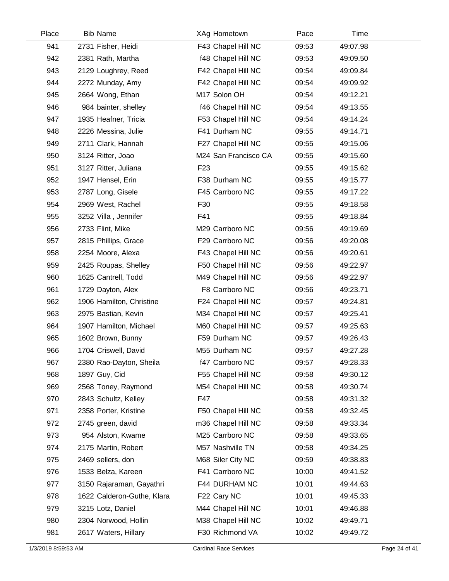| Place | <b>Bib Name</b>            | XAg Hometown         | Pace  | Time     |  |
|-------|----------------------------|----------------------|-------|----------|--|
| 941   | 2731 Fisher, Heidi         | F43 Chapel Hill NC   | 09:53 | 49:07.98 |  |
| 942   | 2381 Rath, Martha          | f48 Chapel Hill NC   | 09:53 | 49:09.50 |  |
| 943   | 2129 Loughrey, Reed        | F42 Chapel Hill NC   | 09:54 | 49:09.84 |  |
| 944   | 2272 Munday, Amy           | F42 Chapel Hill NC   | 09:54 | 49:09.92 |  |
| 945   | 2664 Wong, Ethan           | M17 Solon OH         | 09:54 | 49:12.21 |  |
| 946   | 984 bainter, shelley       | f46 Chapel Hill NC   | 09:54 | 49:13.55 |  |
| 947   | 1935 Heafner, Tricia       | F53 Chapel Hill NC   | 09:54 | 49:14.24 |  |
| 948   | 2226 Messina, Julie        | F41 Durham NC        | 09:55 | 49:14.71 |  |
| 949   | 2711 Clark, Hannah         | F27 Chapel Hill NC   | 09:55 | 49:15.06 |  |
| 950   | 3124 Ritter, Joao          | M24 San Francisco CA | 09:55 | 49:15.60 |  |
| 951   | 3127 Ritter, Juliana       | F <sub>23</sub>      | 09:55 | 49:15.62 |  |
| 952   | 1947 Hensel, Erin          | F38 Durham NC        | 09:55 | 49:15.77 |  |
| 953   | 2787 Long, Gisele          | F45 Carrboro NC      | 09:55 | 49:17.22 |  |
| 954   | 2969 West, Rachel          | F30                  | 09:55 | 49:18.58 |  |
| 955   | 3252 Villa, Jennifer       | F41                  | 09:55 | 49:18.84 |  |
| 956   | 2733 Flint, Mike           | M29 Carrboro NC      | 09:56 | 49:19.69 |  |
| 957   | 2815 Phillips, Grace       | F29 Carrboro NC      | 09:56 | 49:20.08 |  |
| 958   | 2254 Moore, Alexa          | F43 Chapel Hill NC   | 09:56 | 49:20.61 |  |
| 959   | 2425 Roupas, Shelley       | F50 Chapel Hill NC   | 09:56 | 49:22.97 |  |
| 960   | 1625 Cantrell, Todd        | M49 Chapel Hill NC   | 09:56 | 49:22.97 |  |
| 961   | 1729 Dayton, Alex          | F8 Carrboro NC       | 09:56 | 49:23.71 |  |
| 962   | 1906 Hamilton, Christine   | F24 Chapel Hill NC   | 09:57 | 49:24.81 |  |
| 963   | 2975 Bastian, Kevin        | M34 Chapel Hill NC   | 09:57 | 49:25.41 |  |
| 964   | 1907 Hamilton, Michael     | M60 Chapel Hill NC   | 09:57 | 49:25.63 |  |
| 965   | 1602 Brown, Bunny          | F59 Durham NC        | 09:57 | 49:26.43 |  |
| 966   | 1704 Criswell, David       | M55 Durham NC        | 09:57 | 49:27.28 |  |
| 967   | 2380 Rao-Dayton, Sheila    | f47 Carrboro NC      | 09:57 | 49:28.33 |  |
| 968   | 1897 Guy, Cid              | F55 Chapel Hill NC   | 09:58 | 49:30.12 |  |
| 969   | 2568 Toney, Raymond        | M54 Chapel Hill NC   | 09:58 | 49:30.74 |  |
| 970   | 2843 Schultz, Kelley       | F47                  | 09:58 | 49:31.32 |  |
| 971   | 2358 Porter, Kristine      | F50 Chapel Hill NC   | 09:58 | 49:32.45 |  |
| 972   | 2745 green, david          | m36 Chapel Hill NC   | 09:58 | 49:33.34 |  |
| 973   | 954 Alston, Kwame          | M25 Carrboro NC      | 09:58 | 49:33.65 |  |
| 974   | 2175 Martin, Robert        | M57 Nashville TN     | 09:58 | 49:34.25 |  |
| 975   | 2469 sellers, don          | M68 Siler City NC    | 09:59 | 49:38.83 |  |
| 976   | 1533 Belza, Kareen         | F41 Carrboro NC      | 10:00 | 49:41.52 |  |
| 977   | 3150 Rajaraman, Gayathri   | F44 DURHAM NC        | 10:01 | 49:44.63 |  |
| 978   | 1622 Calderon-Guthe, Klara | F22 Cary NC          | 10:01 | 49:45.33 |  |
| 979   | 3215 Lotz, Daniel          | M44 Chapel Hill NC   | 10:01 | 49:46.88 |  |
| 980   | 2304 Norwood, Hollin       | M38 Chapel Hill NC   | 10:02 | 49:49.71 |  |
| 981   | 2617 Waters, Hillary       | F30 Richmond VA      | 10:02 | 49:49.72 |  |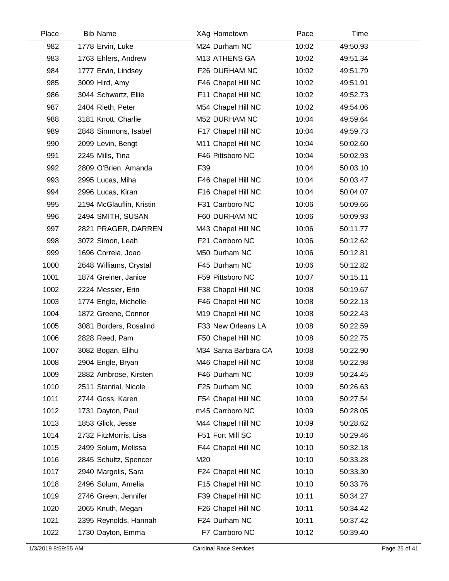| Place | <b>Bib Name</b>          | XAg Hometown         | Pace  | Time     |  |
|-------|--------------------------|----------------------|-------|----------|--|
| 982   | 1778 Ervin, Luke         | M24 Durham NC        | 10:02 | 49:50.93 |  |
| 983   | 1763 Ehlers, Andrew      | M13 ATHENS GA        | 10:02 | 49:51.34 |  |
| 984   | 1777 Ervin, Lindsey      | F26 DURHAM NC        | 10:02 | 49:51.79 |  |
| 985   | 3009 Hird, Amy           | F46 Chapel Hill NC   | 10:02 | 49:51.91 |  |
| 986   | 3044 Schwartz, Ellie     | F11 Chapel Hill NC   | 10:02 | 49:52.73 |  |
| 987   | 2404 Rieth, Peter        | M54 Chapel Hill NC   | 10:02 | 49:54.06 |  |
| 988   | 3181 Knott, Charlie      | M52 DURHAM NC        | 10:04 | 49:59.64 |  |
| 989   | 2848 Simmons, Isabel     | F17 Chapel Hill NC   | 10:04 | 49:59.73 |  |
| 990   | 2099 Levin, Bengt        | M11 Chapel Hill NC   | 10:04 | 50:02.60 |  |
| 991   | 2245 Mills, Tina         | F46 Pittsboro NC     | 10:04 | 50:02.93 |  |
| 992   | 2809 O'Brien, Amanda     | F39                  | 10:04 | 50:03.10 |  |
| 993   | 2995 Lucas, Miha         | F46 Chapel Hill NC   | 10:04 | 50:03.47 |  |
| 994   | 2996 Lucas, Kiran        | F16 Chapel Hill NC   | 10:04 | 50:04.07 |  |
| 995   | 2194 McGlauflin, Kristin | F31 Carrboro NC      | 10:06 | 50:09.66 |  |
| 996   | 2494 SMITH, SUSAN        | F60 DURHAM NC        | 10:06 | 50:09.93 |  |
| 997   | 2821 PRAGER, DARREN      | M43 Chapel Hill NC   | 10:06 | 50:11.77 |  |
| 998   | 3072 Simon, Leah         | F21 Carrboro NC      | 10:06 | 50:12.62 |  |
| 999   | 1696 Correia, Joao       | M50 Durham NC        | 10:06 | 50:12.81 |  |
| 1000  | 2648 Williams, Crystal   | F45 Durham NC        | 10:06 | 50:12.82 |  |
| 1001  | 1874 Greiner, Janice     | F59 Pittsboro NC     | 10:07 | 50:15.11 |  |
| 1002  | 2224 Messier, Erin       | F38 Chapel Hill NC   | 10:08 | 50:19.67 |  |
| 1003  | 1774 Engle, Michelle     | F46 Chapel Hill NC   | 10:08 | 50:22.13 |  |
| 1004  | 1872 Greene, Connor      | M19 Chapel Hill NC   | 10:08 | 50:22.43 |  |
| 1005  | 3081 Borders, Rosalind   | F33 New Orleans LA   | 10:08 | 50:22.59 |  |
| 1006  | 2828 Reed, Pam           | F50 Chapel Hill NC   | 10:08 | 50:22.75 |  |
| 1007  | 3082 Bogan, Elihu        | M34 Santa Barbara CA | 10:08 | 50:22.90 |  |
| 1008  | 2904 Engle, Bryan        | M46 Chapel Hill NC   | 10:08 | 50:22.98 |  |
| 1009  | 2882 Ambrose, Kirsten    | F46 Durham NC        | 10:09 | 50:24.45 |  |
| 1010  | 2511 Stantial, Nicole    | F25 Durham NC        | 10:09 | 50:26.63 |  |
| 1011  | 2744 Goss, Karen         | F54 Chapel Hill NC   | 10:09 | 50:27.54 |  |
| 1012  | 1731 Dayton, Paul        | m45 Carrboro NC      | 10:09 | 50:28.05 |  |
| 1013  | 1853 Glick, Jesse        | M44 Chapel Hill NC   | 10:09 | 50:28.62 |  |
| 1014  | 2732 FitzMorris, Lisa    | F51 Fort Mill SC     | 10:10 | 50:29.46 |  |
| 1015  | 2499 Solum, Melissa      | F44 Chapel Hill NC   | 10:10 | 50:32.18 |  |
| 1016  | 2845 Schultz, Spencer    | M20                  | 10:10 | 50:33.28 |  |
| 1017  | 2940 Margolis, Sara      | F24 Chapel Hill NC   | 10:10 | 50:33.30 |  |
| 1018  | 2496 Solum, Amelia       | F15 Chapel Hill NC   | 10:10 | 50:33.76 |  |
| 1019  | 2746 Green, Jennifer     | F39 Chapel Hill NC   | 10:11 | 50:34.27 |  |
| 1020  | 2065 Knuth, Megan        | F26 Chapel Hill NC   | 10:11 | 50:34.42 |  |
| 1021  | 2395 Reynolds, Hannah    | F24 Durham NC        | 10:11 | 50:37.42 |  |
| 1022  | 1730 Dayton, Emma        | F7 Carrboro NC       | 10:12 | 50:39.40 |  |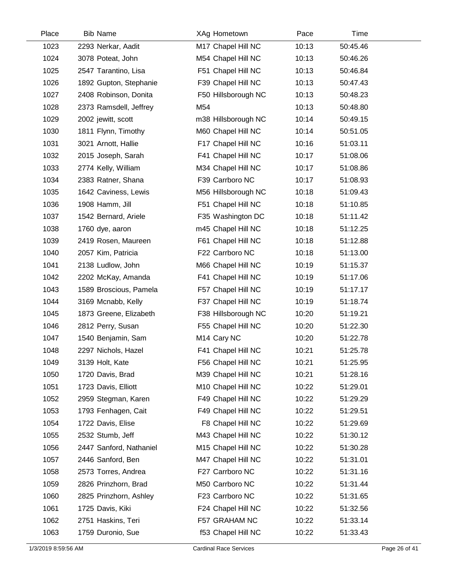| Place | <b>Bib Name</b>         | XAg Hometown            | Pace  | Time     |  |
|-------|-------------------------|-------------------------|-------|----------|--|
| 1023  | 2293 Nerkar, Aadit      | M17 Chapel Hill NC      | 10:13 | 50:45.46 |  |
| 1024  | 3078 Poteat, John       | M54 Chapel Hill NC      | 10:13 | 50:46.26 |  |
| 1025  | 2547 Tarantino, Lisa    | F51 Chapel Hill NC      | 10:13 | 50:46.84 |  |
| 1026  | 1892 Gupton, Stephanie  | F39 Chapel Hill NC      | 10:13 | 50:47.43 |  |
| 1027  | 2408 Robinson, Donita   | F50 Hillsborough NC     | 10:13 | 50:48.23 |  |
| 1028  | 2373 Ramsdell, Jeffrey  | M54                     | 10:13 | 50:48.80 |  |
| 1029  | 2002 jewitt, scott      | m38 Hillsborough NC     | 10:14 | 50:49.15 |  |
| 1030  | 1811 Flynn, Timothy     | M60 Chapel Hill NC      | 10:14 | 50:51.05 |  |
| 1031  | 3021 Arnott, Hallie     | F17 Chapel Hill NC      | 10:16 | 51:03.11 |  |
| 1032  | 2015 Joseph, Sarah      | F41 Chapel Hill NC      | 10:17 | 51:08.06 |  |
| 1033  | 2774 Kelly, William     | M34 Chapel Hill NC      | 10:17 | 51:08.86 |  |
| 1034  | 2383 Ratner, Shana      | F39 Carrboro NC         | 10:17 | 51:08.93 |  |
| 1035  | 1642 Caviness, Lewis    | M56 Hillsborough NC     | 10:18 | 51:09.43 |  |
| 1036  | 1908 Hamm, Jill         | F51 Chapel Hill NC      | 10:18 | 51:10.85 |  |
| 1037  | 1542 Bernard, Ariele    | F35 Washington DC       | 10:18 | 51:11.42 |  |
| 1038  | 1760 dye, aaron         | m45 Chapel Hill NC      | 10:18 | 51:12.25 |  |
| 1039  | 2419 Rosen, Maureen     | F61 Chapel Hill NC      | 10:18 | 51:12.88 |  |
| 1040  | 2057 Kim, Patricia      | F22 Carrboro NC         | 10:18 | 51:13.00 |  |
| 1041  | 2138 Ludlow, John       | M66 Chapel Hill NC      | 10:19 | 51:15.37 |  |
| 1042  | 2202 McKay, Amanda      | F41 Chapel Hill NC      | 10:19 | 51:17.06 |  |
| 1043  | 1589 Broscious, Pamela  | F57 Chapel Hill NC      | 10:19 | 51:17.17 |  |
| 1044  | 3169 Mcnabb, Kelly      | F37 Chapel Hill NC      | 10:19 | 51:18.74 |  |
| 1045  | 1873 Greene, Elizabeth  | F38 Hillsborough NC     | 10:20 | 51:19.21 |  |
| 1046  | 2812 Perry, Susan       | F55 Chapel Hill NC      | 10:20 | 51:22.30 |  |
| 1047  | 1540 Benjamin, Sam      | M <sub>14</sub> Cary NC | 10:20 | 51:22.78 |  |
| 1048  | 2297 Nichols, Hazel     | F41 Chapel Hill NC      | 10:21 | 51:25.78 |  |
| 1049  | 3139 Holt, Kate         | F56 Chapel Hill NC      | 10:21 | 51:25.95 |  |
| 1050  | 1720 Davis, Brad        | M39 Chapel Hill NC      | 10:21 | 51:28.16 |  |
| 1051  | 1723 Davis, Elliott     | M10 Chapel Hill NC      | 10:22 | 51:29.01 |  |
| 1052  | 2959 Stegman, Karen     | F49 Chapel Hill NC      | 10:22 | 51:29.29 |  |
| 1053  | 1793 Fenhagen, Cait     | F49 Chapel Hill NC      | 10:22 | 51:29.51 |  |
| 1054  | 1722 Davis, Elise       | F8 Chapel Hill NC       | 10:22 | 51:29.69 |  |
| 1055  | 2532 Stumb, Jeff        | M43 Chapel Hill NC      | 10:22 | 51:30.12 |  |
| 1056  | 2447 Sanford, Nathaniel | M15 Chapel Hill NC      | 10:22 | 51:30.28 |  |
| 1057  | 2446 Sanford, Ben       | M47 Chapel Hill NC      | 10:22 | 51:31.01 |  |
| 1058  | 2573 Torres, Andrea     | F27 Carrboro NC         | 10:22 | 51:31.16 |  |
| 1059  | 2826 Prinzhorn, Brad    | M50 Carrboro NC         | 10:22 | 51:31.44 |  |
| 1060  | 2825 Prinzhorn, Ashley  | F23 Carrboro NC         | 10:22 | 51:31.65 |  |
| 1061  | 1725 Davis, Kiki        | F24 Chapel Hill NC      | 10:22 | 51:32.56 |  |
| 1062  | 2751 Haskins, Teri      | F57 GRAHAM NC           | 10:22 | 51:33.14 |  |
| 1063  | 1759 Duronio, Sue       | f53 Chapel Hill NC      | 10:22 | 51:33.43 |  |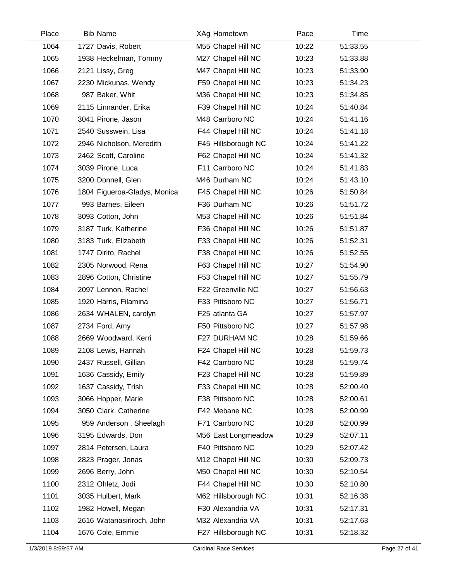| Place | <b>Bib Name</b>              | XAg Hometown        | Pace  | Time     |  |
|-------|------------------------------|---------------------|-------|----------|--|
| 1064  | 1727 Davis, Robert           | M55 Chapel Hill NC  | 10:22 | 51:33.55 |  |
| 1065  | 1938 Heckelman, Tommy        | M27 Chapel Hill NC  | 10:23 | 51:33.88 |  |
| 1066  | 2121 Lissy, Greg             | M47 Chapel Hill NC  | 10:23 | 51:33.90 |  |
| 1067  | 2230 Mickunas, Wendy         | F59 Chapel Hill NC  | 10:23 | 51:34.23 |  |
| 1068  | 987 Baker, Whit              | M36 Chapel Hill NC  | 10:23 | 51:34.85 |  |
| 1069  | 2115 Linnander, Erika        | F39 Chapel Hill NC  | 10:24 | 51:40.84 |  |
| 1070  | 3041 Pirone, Jason           | M48 Carrboro NC     | 10:24 | 51:41.16 |  |
| 1071  | 2540 Susswein, Lisa          | F44 Chapel Hill NC  | 10:24 | 51:41.18 |  |
| 1072  | 2946 Nicholson, Meredith     | F45 Hillsborough NC | 10:24 | 51:41.22 |  |
| 1073  | 2462 Scott, Caroline         | F62 Chapel Hill NC  | 10:24 | 51:41.32 |  |
| 1074  | 3039 Pirone, Luca            | F11 Carrboro NC     | 10:24 | 51:41.83 |  |
| 1075  | 3200 Donnell, Glen           | M46 Durham NC       | 10:24 | 51:43.10 |  |
| 1076  | 1804 Figueroa-Gladys, Monica | F45 Chapel Hill NC  | 10:26 | 51:50.84 |  |
| 1077  | 993 Barnes, Eileen           | F36 Durham NC       | 10:26 | 51:51.72 |  |
| 1078  | 3093 Cotton, John            | M53 Chapel Hill NC  | 10:26 | 51:51.84 |  |
| 1079  | 3187 Turk, Katherine         | F36 Chapel Hill NC  | 10:26 | 51:51.87 |  |
| 1080  | 3183 Turk, Elizabeth         | F33 Chapel Hill NC  | 10:26 | 51:52.31 |  |
| 1081  | 1747 Dirito, Rachel          | F38 Chapel Hill NC  | 10:26 | 51:52.55 |  |
| 1082  | 2305 Norwood, Rena           | F63 Chapel Hill NC  | 10:27 | 51:54.90 |  |
| 1083  | 2896 Cotton, Christine       | F53 Chapel Hill NC  | 10:27 | 51:55.79 |  |
| 1084  | 2097 Lennon, Rachel          | F22 Greenville NC   | 10:27 | 51:56.63 |  |
| 1085  | 1920 Harris, Filamina        | F33 Pittsboro NC    | 10:27 | 51:56.71 |  |
| 1086  | 2634 WHALEN, carolyn         | F25 atlanta GA      | 10:27 | 51:57.97 |  |
| 1087  | 2734 Ford, Amy               | F50 Pittsboro NC    | 10:27 | 51:57.98 |  |
| 1088  | 2669 Woodward, Kerri         | F27 DURHAM NC       | 10:28 | 51:59.66 |  |
| 1089  | 2108 Lewis, Hannah           | F24 Chapel Hill NC  | 10:28 | 51:59.73 |  |
| 1090  | 2437 Russell, Gillian        | F42 Carrboro NC     | 10:28 | 51:59.74 |  |
| 1091  | 1636 Cassidy, Emily          | F23 Chapel Hill NC  | 10:28 | 51:59.89 |  |
| 1092  | 1637 Cassidy, Trish          | F33 Chapel Hill NC  | 10:28 | 52:00.40 |  |
| 1093  | 3066 Hopper, Marie           | F38 Pittsboro NC    | 10:28 | 52:00.61 |  |
| 1094  | 3050 Clark, Catherine        | F42 Mebane NC       | 10:28 | 52:00.99 |  |
| 1095  | 959 Anderson, Sheelagh       | F71 Carrboro NC     | 10:28 | 52:00.99 |  |
| 1096  | 3195 Edwards, Don            | M56 East Longmeadow | 10:29 | 52:07.11 |  |
| 1097  | 2814 Petersen, Laura         | F40 Pittsboro NC    | 10:29 | 52:07.42 |  |
| 1098  | 2823 Prager, Jonas           | M12 Chapel Hill NC  | 10:30 | 52:09.73 |  |
| 1099  | 2696 Berry, John             | M50 Chapel Hill NC  | 10:30 | 52:10.54 |  |
| 1100  | 2312 Ohletz, Jodi            | F44 Chapel Hill NC  | 10:30 | 52:10.80 |  |
| 1101  | 3035 Hulbert, Mark           | M62 Hillsborough NC | 10:31 | 52:16.38 |  |
| 1102  | 1982 Howell, Megan           | F30 Alexandria VA   | 10:31 | 52:17.31 |  |
| 1103  | 2616 Watanasiriroch, John    | M32 Alexandria VA   | 10:31 | 52:17.63 |  |
| 1104  | 1676 Cole, Emmie             | F27 Hillsborough NC | 10:31 | 52:18.32 |  |
|       |                              |                     |       |          |  |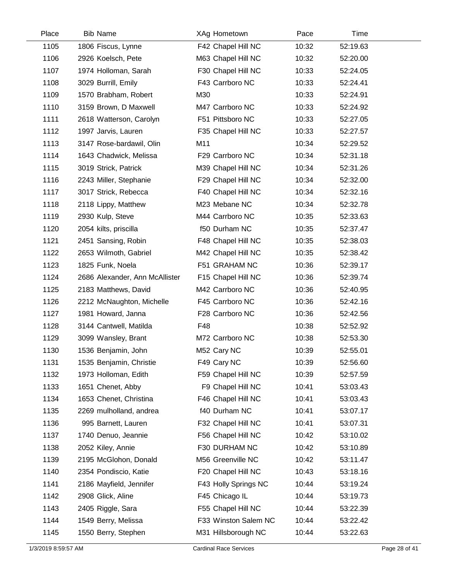| Place | <b>Bib Name</b>                | XAg Hometown         | Pace  | Time     |  |
|-------|--------------------------------|----------------------|-------|----------|--|
| 1105  | 1806 Fiscus, Lynne             | F42 Chapel Hill NC   | 10:32 | 52:19.63 |  |
| 1106  | 2926 Koelsch, Pete             | M63 Chapel Hill NC   | 10:32 | 52:20.00 |  |
| 1107  | 1974 Holloman, Sarah           | F30 Chapel Hill NC   | 10:33 | 52:24.05 |  |
| 1108  | 3029 Burrill, Emily            | F43 Carrboro NC      | 10:33 | 52:24.41 |  |
| 1109  | 1570 Brabham, Robert           | M30                  | 10:33 | 52:24.91 |  |
| 1110  | 3159 Brown, D Maxwell          | M47 Carrboro NC      | 10:33 | 52:24.92 |  |
| 1111  | 2618 Watterson, Carolyn        | F51 Pittsboro NC     | 10:33 | 52:27.05 |  |
| 1112  | 1997 Jarvis, Lauren            | F35 Chapel Hill NC   | 10:33 | 52:27.57 |  |
| 1113  | 3147 Rose-bardawil, Olin       | M11                  | 10:34 | 52:29.52 |  |
| 1114  | 1643 Chadwick, Melissa         | F29 Carrboro NC      | 10:34 | 52:31.18 |  |
| 1115  | 3019 Strick, Patrick           | M39 Chapel Hill NC   | 10:34 | 52:31.26 |  |
| 1116  | 2243 Miller, Stephanie         | F29 Chapel Hill NC   | 10:34 | 52:32.00 |  |
| 1117  | 3017 Strick, Rebecca           | F40 Chapel Hill NC   | 10:34 | 52:32.16 |  |
| 1118  | 2118 Lippy, Matthew            | M23 Mebane NC        | 10:34 | 52:32.78 |  |
| 1119  | 2930 Kulp, Steve               | M44 Carrboro NC      | 10:35 | 52:33.63 |  |
| 1120  | 2054 kilts, priscilla          | f50 Durham NC        | 10:35 | 52:37.47 |  |
| 1121  | 2451 Sansing, Robin            | F48 Chapel Hill NC   | 10:35 | 52:38.03 |  |
| 1122  | 2653 Wilmoth, Gabriel          | M42 Chapel Hill NC   | 10:35 | 52:38.42 |  |
| 1123  | 1825 Funk, Noela               | F51 GRAHAM NC        | 10:36 | 52:39.17 |  |
| 1124  | 2686 Alexander, Ann McAllister | F15 Chapel Hill NC   | 10:36 | 52:39.74 |  |
| 1125  | 2183 Matthews, David           | M42 Carrboro NC      | 10:36 | 52:40.95 |  |
| 1126  | 2212 McNaughton, Michelle      | F45 Carrboro NC      | 10:36 | 52:42.16 |  |
| 1127  | 1981 Howard, Janna             | F28 Carrboro NC      | 10:36 | 52:42.56 |  |
| 1128  | 3144 Cantwell, Matilda         | F48                  | 10:38 | 52:52.92 |  |
| 1129  | 3099 Wansley, Brant            | M72 Carrboro NC      | 10:38 | 52:53.30 |  |
| 1130  | 1536 Benjamin, John            | M52 Cary NC          | 10:39 | 52:55.01 |  |
| 1131  | 1535 Benjamin, Christie        | F49 Cary NC          | 10:39 | 52:56.60 |  |
| 1132  | 1973 Holloman, Edith           | F59 Chapel Hill NC   | 10:39 | 52:57.59 |  |
| 1133  | 1651 Chenet, Abby              | F9 Chapel Hill NC    | 10:41 | 53:03.43 |  |
| 1134  | 1653 Chenet, Christina         | F46 Chapel Hill NC   | 10:41 | 53:03.43 |  |
| 1135  | 2269 mulholland, andrea        | f40 Durham NC        | 10:41 | 53:07.17 |  |
| 1136  | 995 Barnett, Lauren            | F32 Chapel Hill NC   | 10:41 | 53:07.31 |  |
| 1137  | 1740 Denuo, Jeannie            | F56 Chapel Hill NC   | 10:42 | 53:10.02 |  |
| 1138  | 2052 Kiley, Annie              | F30 DURHAM NC        | 10:42 | 53:10.89 |  |
| 1139  | 2195 McGlohon, Donald          | M56 Greenville NC    | 10:42 | 53:11.47 |  |
| 1140  | 2354 Pondiscio, Katie          | F20 Chapel Hill NC   | 10:43 | 53:18.16 |  |
| 1141  | 2186 Mayfield, Jennifer        | F43 Holly Springs NC | 10:44 | 53:19.24 |  |
| 1142  | 2908 Glick, Aline              | F45 Chicago IL       | 10:44 | 53:19.73 |  |
| 1143  | 2405 Riggle, Sara              | F55 Chapel Hill NC   | 10:44 | 53:22.39 |  |
| 1144  | 1549 Berry, Melissa            | F33 Winston Salem NC | 10:44 | 53:22.42 |  |
| 1145  | 1550 Berry, Stephen            | M31 Hillsborough NC  | 10:44 | 53:22.63 |  |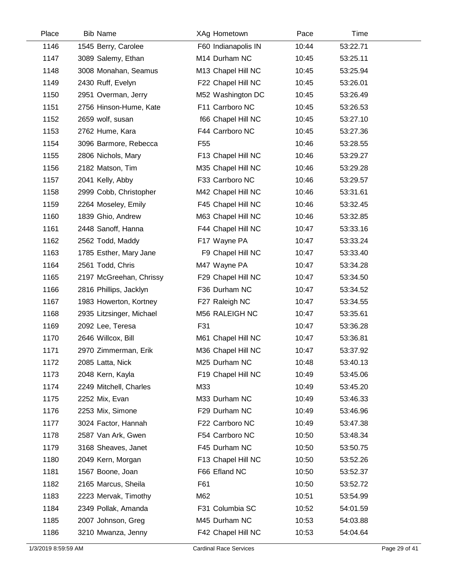| Place | <b>Bib Name</b>          | XAg Hometown        | Pace  | Time     |  |
|-------|--------------------------|---------------------|-------|----------|--|
| 1146  | 1545 Berry, Carolee      | F60 Indianapolis IN | 10:44 | 53:22.71 |  |
| 1147  | 3089 Salemy, Ethan       | M14 Durham NC       | 10:45 | 53:25.11 |  |
| 1148  | 3008 Monahan, Seamus     | M13 Chapel Hill NC  | 10:45 | 53:25.94 |  |
| 1149  | 2430 Ruff, Evelyn        | F22 Chapel Hill NC  | 10:45 | 53:26.01 |  |
| 1150  | 2951 Overman, Jerry      | M52 Washington DC   | 10:45 | 53:26.49 |  |
| 1151  | 2756 Hinson-Hume, Kate   | F11 Carrboro NC     | 10:45 | 53:26.53 |  |
| 1152  | 2659 wolf, susan         | f66 Chapel Hill NC  | 10:45 | 53:27.10 |  |
| 1153  | 2762 Hume, Kara          | F44 Carrboro NC     | 10:45 | 53:27.36 |  |
| 1154  | 3096 Barmore, Rebecca    | F55                 | 10:46 | 53:28.55 |  |
| 1155  | 2806 Nichols, Mary       | F13 Chapel Hill NC  | 10:46 | 53:29.27 |  |
| 1156  | 2182 Matson, Tim         | M35 Chapel Hill NC  | 10:46 | 53:29.28 |  |
| 1157  | 2041 Kelly, Abby         | F33 Carrboro NC     | 10:46 | 53:29.57 |  |
| 1158  | 2999 Cobb, Christopher   | M42 Chapel Hill NC  | 10:46 | 53:31.61 |  |
| 1159  | 2264 Moseley, Emily      | F45 Chapel Hill NC  | 10:46 | 53:32.45 |  |
| 1160  | 1839 Ghio, Andrew        | M63 Chapel Hill NC  | 10:46 | 53:32.85 |  |
| 1161  | 2448 Sanoff, Hanna       | F44 Chapel Hill NC  | 10:47 | 53:33.16 |  |
| 1162  | 2562 Todd, Maddy         | F17 Wayne PA        | 10:47 | 53:33.24 |  |
| 1163  | 1785 Esther, Mary Jane   | F9 Chapel Hill NC   | 10:47 | 53:33.40 |  |
| 1164  | 2561 Todd, Chris         | M47 Wayne PA        | 10:47 | 53:34.28 |  |
| 1165  | 2197 McGreehan, Chrissy  | F29 Chapel Hill NC  | 10:47 | 53:34.50 |  |
| 1166  | 2816 Phillips, Jacklyn   | F36 Durham NC       | 10:47 | 53:34.52 |  |
| 1167  | 1983 Howerton, Kortney   | F27 Raleigh NC      | 10:47 | 53:34.55 |  |
| 1168  | 2935 Litzsinger, Michael | M56 RALEIGH NC      | 10:47 | 53:35.61 |  |
| 1169  | 2092 Lee, Teresa         | F31                 | 10:47 | 53:36.28 |  |
| 1170  | 2646 Willcox, Bill       | M61 Chapel Hill NC  | 10:47 | 53:36.81 |  |
| 1171  | 2970 Zimmerman, Erik     | M36 Chapel Hill NC  | 10:47 | 53:37.92 |  |
| 1172  | 2085 Latta, Nick         | M25 Durham NC       | 10:48 | 53:40.13 |  |
| 1173  | 2048 Kern, Kayla         | F19 Chapel Hill NC  | 10:49 | 53:45.06 |  |
| 1174  | 2249 Mitchell, Charles   | M33                 | 10:49 | 53:45.20 |  |
| 1175  | 2252 Mix, Evan           | M33 Durham NC       | 10:49 | 53:46.33 |  |
| 1176  | 2253 Mix, Simone         | F29 Durham NC       | 10:49 | 53:46.96 |  |
| 1177  | 3024 Factor, Hannah      | F22 Carrboro NC     | 10:49 | 53:47.38 |  |
| 1178  | 2587 Van Ark, Gwen       | F54 Carrboro NC     | 10:50 | 53:48.34 |  |
| 1179  | 3168 Sheaves, Janet      | F45 Durham NC       | 10:50 | 53:50.75 |  |
| 1180  | 2049 Kern, Morgan        | F13 Chapel Hill NC  | 10:50 | 53:52.26 |  |
| 1181  | 1567 Boone, Joan         | F66 Efland NC       | 10:50 | 53:52.37 |  |
| 1182  | 2165 Marcus, Sheila      | F61                 | 10:50 | 53:52.72 |  |
| 1183  | 2223 Mervak, Timothy     | M62                 | 10:51 | 53:54.99 |  |
| 1184  | 2349 Pollak, Amanda      | F31 Columbia SC     | 10:52 | 54:01.59 |  |
| 1185  | 2007 Johnson, Greg       | M45 Durham NC       | 10:53 | 54:03.88 |  |
| 1186  | 3210 Mwanza, Jenny       | F42 Chapel Hill NC  | 10:53 | 54:04.64 |  |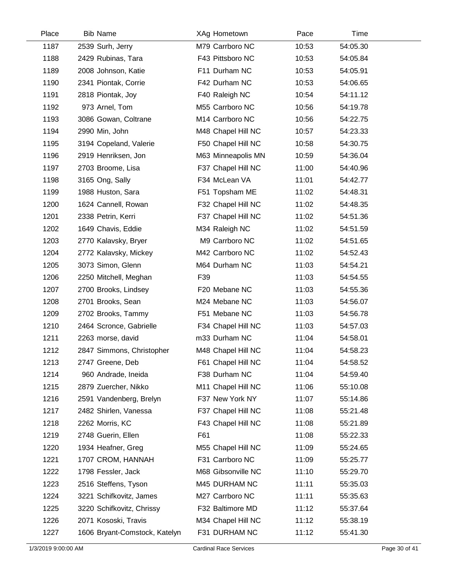| Place | <b>Bib Name</b>               | XAg Hometown       | Pace  | Time     |  |
|-------|-------------------------------|--------------------|-------|----------|--|
| 1187  | 2539 Surh, Jerry              | M79 Carrboro NC    | 10:53 | 54:05.30 |  |
| 1188  | 2429 Rubinas, Tara            | F43 Pittsboro NC   | 10:53 | 54:05.84 |  |
| 1189  | 2008 Johnson, Katie           | F11 Durham NC      | 10:53 | 54:05.91 |  |
| 1190  | 2341 Piontak, Corrie          | F42 Durham NC      | 10:53 | 54:06.65 |  |
| 1191  | 2818 Piontak, Joy             | F40 Raleigh NC     | 10:54 | 54:11.12 |  |
| 1192  | 973 Arnel, Tom                | M55 Carrboro NC    | 10:56 | 54:19.78 |  |
| 1193  | 3086 Gowan, Coltrane          | M14 Carrboro NC    | 10:56 | 54:22.75 |  |
| 1194  | 2990 Min, John                | M48 Chapel Hill NC | 10:57 | 54:23.33 |  |
| 1195  | 3194 Copeland, Valerie        | F50 Chapel Hill NC | 10:58 | 54:30.75 |  |
| 1196  | 2919 Henriksen, Jon           | M63 Minneapolis MN | 10:59 | 54:36.04 |  |
| 1197  | 2703 Broome, Lisa             | F37 Chapel Hill NC | 11:00 | 54:40.96 |  |
| 1198  | 3165 Ong, Sally               | F34 McLean VA      | 11:01 | 54:42.77 |  |
| 1199  | 1988 Huston, Sara             | F51 Topsham ME     | 11:02 | 54:48.31 |  |
| 1200  | 1624 Cannell, Rowan           | F32 Chapel Hill NC | 11:02 | 54:48.35 |  |
| 1201  | 2338 Petrin, Kerri            | F37 Chapel Hill NC | 11:02 | 54:51.36 |  |
| 1202  | 1649 Chavis, Eddie            | M34 Raleigh NC     | 11:02 | 54:51.59 |  |
| 1203  | 2770 Kalavsky, Bryer          | M9 Carrboro NC     | 11:02 | 54:51.65 |  |
| 1204  | 2772 Kalavsky, Mickey         | M42 Carrboro NC    | 11:02 | 54:52.43 |  |
| 1205  | 3073 Simon, Glenn             | M64 Durham NC      | 11:03 | 54:54.21 |  |
| 1206  | 2250 Mitchell, Meghan         | F39                | 11:03 | 54:54.55 |  |
| 1207  | 2700 Brooks, Lindsey          | F20 Mebane NC      | 11:03 | 54:55.36 |  |
| 1208  | 2701 Brooks, Sean             | M24 Mebane NC      | 11:03 | 54:56.07 |  |
| 1209  | 2702 Brooks, Tammy            | F51 Mebane NC      | 11:03 | 54:56.78 |  |
| 1210  | 2464 Scronce, Gabrielle       | F34 Chapel Hill NC | 11:03 | 54:57.03 |  |
| 1211  | 2263 morse, david             | m33 Durham NC      | 11:04 | 54:58.01 |  |
| 1212  | 2847 Simmons, Christopher     | M48 Chapel Hill NC | 11:04 | 54:58.23 |  |
| 1213  | 2747 Greene, Deb              | F61 Chapel Hill NC | 11:04 | 54:58.52 |  |
| 1214  | 960 Andrade, Ineida           | F38 Durham NC      | 11:04 | 54:59.40 |  |
| 1215  | 2879 Zuercher, Nikko          | M11 Chapel Hill NC | 11:06 | 55:10.08 |  |
| 1216  | 2591 Vandenberg, Brelyn       | F37 New York NY    | 11:07 | 55:14.86 |  |
| 1217  | 2482 Shirlen, Vanessa         | F37 Chapel Hill NC | 11:08 | 55:21.48 |  |
| 1218  | 2262 Morris, KC               | F43 Chapel Hill NC | 11:08 | 55:21.89 |  |
| 1219  | 2748 Guerin, Ellen            | F61                | 11:08 | 55:22.33 |  |
| 1220  | 1934 Heafner, Greg            | M55 Chapel Hill NC | 11:09 | 55:24.65 |  |
| 1221  | 1707 CROM, HANNAH             | F31 Carrboro NC    | 11:09 | 55:25.77 |  |
| 1222  | 1798 Fessler, Jack            | M68 Gibsonville NC | 11:10 | 55:29.70 |  |
| 1223  | 2516 Steffens, Tyson          | M45 DURHAM NC      | 11:11 | 55:35.03 |  |
| 1224  | 3221 Schifkovitz, James       | M27 Carrboro NC    | 11:11 | 55:35.63 |  |
| 1225  | 3220 Schifkovitz, Chrissy     | F32 Baltimore MD   | 11:12 | 55:37.64 |  |
| 1226  | 2071 Kososki, Travis          | M34 Chapel Hill NC | 11:12 | 55:38.19 |  |
| 1227  | 1606 Bryant-Comstock, Katelyn | F31 DURHAM NC      | 11:12 | 55:41.30 |  |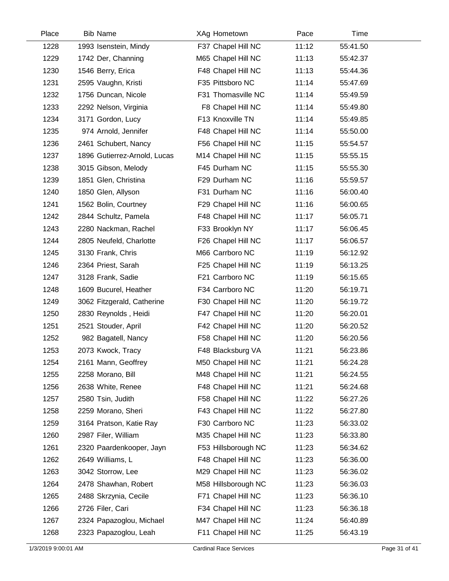| Place | <b>Bib Name</b>              | XAg Hometown        | Pace  | Time     |  |
|-------|------------------------------|---------------------|-------|----------|--|
| 1228  | 1993 Isenstein, Mindy        | F37 Chapel Hill NC  | 11:12 | 55:41.50 |  |
| 1229  | 1742 Der, Channing           | M65 Chapel Hill NC  | 11:13 | 55:42.37 |  |
| 1230  | 1546 Berry, Erica            | F48 Chapel Hill NC  | 11:13 | 55:44.36 |  |
| 1231  | 2595 Vaughn, Kristi          | F35 Pittsboro NC    | 11:14 | 55:47.69 |  |
| 1232  | 1756 Duncan, Nicole          | F31 Thomasville NC  | 11:14 | 55:49.59 |  |
| 1233  | 2292 Nelson, Virginia        | F8 Chapel Hill NC   | 11:14 | 55:49.80 |  |
| 1234  | 3171 Gordon, Lucy            | F13 Knoxville TN    | 11:14 | 55:49.85 |  |
| 1235  | 974 Arnold, Jennifer         | F48 Chapel Hill NC  | 11:14 | 55:50.00 |  |
| 1236  | 2461 Schubert, Nancy         | F56 Chapel Hill NC  | 11:15 | 55:54.57 |  |
| 1237  | 1896 Gutierrez-Arnold, Lucas | M14 Chapel Hill NC  | 11:15 | 55:55.15 |  |
| 1238  | 3015 Gibson, Melody          | F45 Durham NC       | 11:15 | 55:55.30 |  |
| 1239  | 1851 Glen, Christina         | F29 Durham NC       | 11:16 | 55:59.57 |  |
| 1240  | 1850 Glen, Allyson           | F31 Durham NC       | 11:16 | 56:00.40 |  |
| 1241  | 1562 Bolin, Courtney         | F29 Chapel Hill NC  | 11:16 | 56:00.65 |  |
| 1242  | 2844 Schultz, Pamela         | F48 Chapel Hill NC  | 11:17 | 56:05.71 |  |
| 1243  | 2280 Nackman, Rachel         | F33 Brooklyn NY     | 11:17 | 56:06.45 |  |
| 1244  | 2805 Neufeld, Charlotte      | F26 Chapel Hill NC  | 11:17 | 56:06.57 |  |
| 1245  | 3130 Frank, Chris            | M66 Carrboro NC     | 11:19 | 56:12.92 |  |
| 1246  | 2364 Priest, Sarah           | F25 Chapel Hill NC  | 11:19 | 56:13.25 |  |
| 1247  | 3128 Frank, Sadie            | F21 Carrboro NC     | 11:19 | 56:15.65 |  |
| 1248  | 1609 Bucurel, Heather        | F34 Carrboro NC     | 11:20 | 56:19.71 |  |
| 1249  | 3062 Fitzgerald, Catherine   | F30 Chapel Hill NC  | 11:20 | 56:19.72 |  |
| 1250  | 2830 Reynolds, Heidi         | F47 Chapel Hill NC  | 11:20 | 56:20.01 |  |
| 1251  | 2521 Stouder, April          | F42 Chapel Hill NC  | 11:20 | 56:20.52 |  |
| 1252  | 982 Bagatell, Nancy          | F58 Chapel Hill NC  | 11:20 | 56:20.56 |  |
| 1253  | 2073 Kwock, Tracy            | F48 Blacksburg VA   | 11:21 | 56:23.86 |  |
| 1254  | 2161 Mann, Geoffrey          | M50 Chapel Hill NC  | 11:21 | 56:24.28 |  |
| 1255  | 2258 Morano, Bill            | M48 Chapel Hill NC  | 11:21 | 56:24.55 |  |
| 1256  | 2638 White, Renee            | F48 Chapel Hill NC  | 11:21 | 56:24.68 |  |
| 1257  | 2580 Tsin, Judith            | F58 Chapel Hill NC  | 11:22 | 56:27.26 |  |
| 1258  | 2259 Morano, Sheri           | F43 Chapel Hill NC  | 11:22 | 56:27.80 |  |
| 1259  | 3164 Pratson, Katie Ray      | F30 Carrboro NC     | 11:23 | 56:33.02 |  |
| 1260  | 2987 Filer, William          | M35 Chapel Hill NC  | 11:23 | 56:33.80 |  |
| 1261  | 2320 Paardenkooper, Jayn     | F53 Hillsborough NC | 11:23 | 56:34.62 |  |
| 1262  | 2649 Williams, L             | F48 Chapel Hill NC  | 11:23 | 56:36.00 |  |
| 1263  | 3042 Storrow, Lee            | M29 Chapel Hill NC  | 11:23 | 56:36.02 |  |
| 1264  | 2478 Shawhan, Robert         | M58 Hillsborough NC | 11:23 | 56:36.03 |  |
| 1265  | 2488 Skrzynia, Cecile        | F71 Chapel Hill NC  | 11:23 | 56:36.10 |  |
| 1266  | 2726 Filer, Cari             | F34 Chapel Hill NC  | 11:23 | 56:36.18 |  |
| 1267  | 2324 Papazoglou, Michael     | M47 Chapel Hill NC  | 11:24 | 56:40.89 |  |
| 1268  | 2323 Papazoglou, Leah        | F11 Chapel Hill NC  | 11:25 | 56:43.19 |  |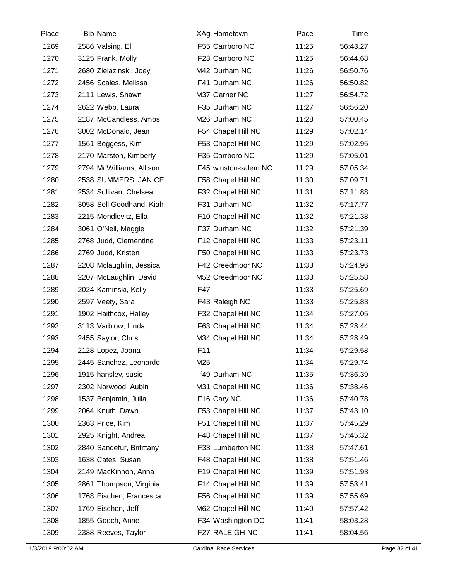| Place | <b>Bib Name</b>           | XAg Hometown            | Pace  | Time     |  |
|-------|---------------------------|-------------------------|-------|----------|--|
| 1269  | 2586 Valsing, Eli         | F55 Carrboro NC         | 11:25 | 56:43.27 |  |
| 1270  | 3125 Frank, Molly         | F23 Carrboro NC         | 11:25 | 56:44.68 |  |
| 1271  | 2680 Zielazinski, Joey    | M42 Durham NC           | 11:26 | 56:50.76 |  |
| 1272  | 2456 Scales, Melissa      | F41 Durham NC           | 11:26 | 56:50.82 |  |
| 1273  | 2111 Lewis, Shawn         | M37 Garner NC           | 11:27 | 56:54.72 |  |
| 1274  | 2622 Webb, Laura          | F35 Durham NC           | 11:27 | 56:56.20 |  |
| 1275  | 2187 McCandless, Amos     | M26 Durham NC           | 11:28 | 57:00.45 |  |
| 1276  | 3002 McDonald, Jean       | F54 Chapel Hill NC      | 11:29 | 57:02.14 |  |
| 1277  | 1561 Boggess, Kim         | F53 Chapel Hill NC      | 11:29 | 57:02.95 |  |
| 1278  | 2170 Marston, Kimberly    | F35 Carrboro NC         | 11:29 | 57:05.01 |  |
| 1279  | 2794 McWilliams, Allison  | F45 winston-salem NC    | 11:29 | 57:05.34 |  |
| 1280  | 2538 SUMMERS, JANICE      | F58 Chapel Hill NC      | 11:30 | 57:09.71 |  |
| 1281  | 2534 Sullivan, Chelsea    | F32 Chapel Hill NC      | 11:31 | 57:11.88 |  |
| 1282  | 3058 Sell Goodhand, Kiah  | F31 Durham NC           | 11:32 | 57:17.77 |  |
| 1283  | 2215 Mendlovitz, Ella     | F10 Chapel Hill NC      | 11:32 | 57:21.38 |  |
| 1284  | 3061 O'Neil, Maggie       | F37 Durham NC           | 11:32 | 57:21.39 |  |
| 1285  | 2768 Judd, Clementine     | F12 Chapel Hill NC      | 11:33 | 57:23.11 |  |
| 1286  | 2769 Judd, Kristen        | F50 Chapel Hill NC      | 11:33 | 57:23.73 |  |
| 1287  | 2208 Mclaughlin, Jessica  | F42 Creedmoor NC        | 11:33 | 57:24.96 |  |
| 1288  | 2207 McLaughlin, David    | M52 Creedmoor NC        | 11:33 | 57:25.58 |  |
| 1289  | 2024 Kaminski, Kelly      | F47                     | 11:33 | 57:25.69 |  |
| 1290  | 2597 Veety, Sara          | F43 Raleigh NC          | 11:33 | 57:25.83 |  |
| 1291  | 1902 Haithcox, Halley     | F32 Chapel Hill NC      | 11:34 | 57:27.05 |  |
| 1292  | 3113 Varblow, Linda       | F63 Chapel Hill NC      | 11:34 | 57:28.44 |  |
| 1293  | 2455 Saylor, Chris        | M34 Chapel Hill NC      | 11:34 | 57:28.49 |  |
| 1294  | 2128 Lopez, Joana         | F11                     | 11:34 | 57:29.58 |  |
| 1295  | 2445 Sanchez, Leonardo    | M25                     | 11:34 | 57:29.74 |  |
| 1296  | 1915 hansley, susie       | f49 Durham NC           | 11:35 | 57:36.39 |  |
| 1297  | 2302 Norwood, Aubin       | M31 Chapel Hill NC      | 11:36 | 57:38.46 |  |
| 1298  | 1537 Benjamin, Julia      | F <sub>16</sub> Cary NC | 11:36 | 57:40.78 |  |
| 1299  | 2064 Knuth, Dawn          | F53 Chapel Hill NC      | 11:37 | 57:43.10 |  |
| 1300  | 2363 Price, Kim           | F51 Chapel Hill NC      | 11:37 | 57:45.29 |  |
| 1301  | 2925 Knight, Andrea       | F48 Chapel Hill NC      | 11:37 | 57:45.32 |  |
| 1302  | 2840 Sandefur, Britittany | F33 Lumberton NC        | 11:38 | 57:47.61 |  |
| 1303  | 1638 Cates, Susan         | F48 Chapel Hill NC      | 11:38 | 57:51.46 |  |
| 1304  | 2149 MacKinnon, Anna      | F19 Chapel Hill NC      | 11:39 | 57:51.93 |  |
| 1305  | 2861 Thompson, Virginia   | F14 Chapel Hill NC      | 11:39 | 57:53.41 |  |
| 1306  | 1768 Eischen, Francesca   | F56 Chapel Hill NC      | 11:39 | 57:55.69 |  |
| 1307  | 1769 Eischen, Jeff        | M62 Chapel Hill NC      | 11:40 | 57:57.42 |  |
| 1308  | 1855 Gooch, Anne          | F34 Washington DC       | 11:41 | 58:03.28 |  |
| 1309  | 2388 Reeves, Taylor       | F27 RALEIGH NC          | 11:41 | 58:04.56 |  |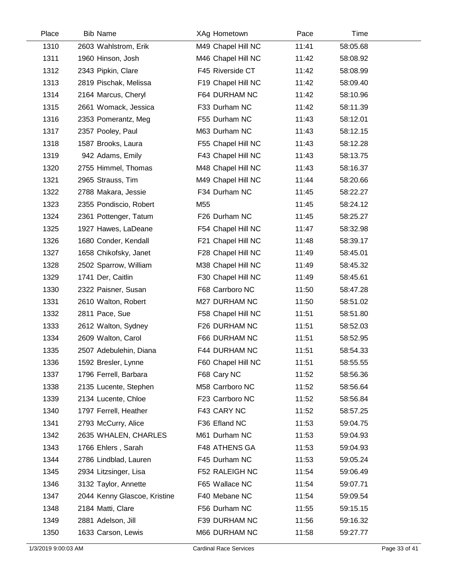| Place | <b>Bib Name</b>              | XAg Hometown       | Pace  | Time     |  |
|-------|------------------------------|--------------------|-------|----------|--|
| 1310  | 2603 Wahlstrom, Erik         | M49 Chapel Hill NC | 11:41 | 58:05.68 |  |
| 1311  | 1960 Hinson, Josh            | M46 Chapel Hill NC | 11:42 | 58:08.92 |  |
| 1312  | 2343 Pipkin, Clare           | F45 Riverside CT   | 11:42 | 58:08.99 |  |
| 1313  | 2819 Pischak, Melissa        | F19 Chapel Hill NC | 11:42 | 58:09.40 |  |
| 1314  | 2164 Marcus, Cheryl          | F64 DURHAM NC      | 11:42 | 58:10.96 |  |
| 1315  | 2661 Womack, Jessica         | F33 Durham NC      | 11:42 | 58:11.39 |  |
| 1316  | 2353 Pomerantz, Meg          | F55 Durham NC      | 11:43 | 58:12.01 |  |
| 1317  | 2357 Pooley, Paul            | M63 Durham NC      | 11:43 | 58:12.15 |  |
| 1318  | 1587 Brooks, Laura           | F55 Chapel Hill NC | 11:43 | 58:12.28 |  |
| 1319  | 942 Adams, Emily             | F43 Chapel Hill NC | 11:43 | 58:13.75 |  |
| 1320  | 2755 Himmel, Thomas          | M48 Chapel Hill NC | 11:43 | 58:16.37 |  |
| 1321  | 2965 Strauss, Tim            | M49 Chapel Hill NC | 11:44 | 58:20.66 |  |
| 1322  | 2788 Makara, Jessie          | F34 Durham NC      | 11:45 | 58:22.27 |  |
| 1323  | 2355 Pondiscio, Robert       | M55                | 11:45 | 58:24.12 |  |
| 1324  | 2361 Pottenger, Tatum        | F26 Durham NC      | 11:45 | 58:25.27 |  |
| 1325  | 1927 Hawes, LaDeane          | F54 Chapel Hill NC | 11:47 | 58:32.98 |  |
| 1326  | 1680 Conder, Kendall         | F21 Chapel Hill NC | 11:48 | 58:39.17 |  |
| 1327  | 1658 Chikofsky, Janet        | F28 Chapel Hill NC | 11:49 | 58:45.01 |  |
| 1328  | 2502 Sparrow, William        | M38 Chapel Hill NC | 11:49 | 58:45.32 |  |
| 1329  | 1741 Der, Caitlin            | F30 Chapel Hill NC | 11:49 | 58:45.61 |  |
| 1330  | 2322 Paisner, Susan          | F68 Carrboro NC    | 11:50 | 58:47.28 |  |
| 1331  | 2610 Walton, Robert          | M27 DURHAM NC      | 11:50 | 58:51.02 |  |
| 1332  | 2811 Pace, Sue               | F58 Chapel Hill NC | 11:51 | 58:51.80 |  |
| 1333  | 2612 Walton, Sydney          | F26 DURHAM NC      | 11:51 | 58:52.03 |  |
| 1334  | 2609 Walton, Carol           | F66 DURHAM NC      | 11:51 | 58:52.95 |  |
| 1335  | 2507 Adebulehin, Diana       | F44 DURHAM NC      | 11:51 | 58:54.33 |  |
| 1336  | 1592 Bresler, Lynne          | F60 Chapel Hill NC | 11:51 | 58:55.55 |  |
| 1337  | 1796 Ferrell, Barbara        | F68 Cary NC        | 11:52 | 58:56.36 |  |
| 1338  | 2135 Lucente, Stephen        | M58 Carrboro NC    | 11:52 | 58:56.64 |  |
| 1339  | 2134 Lucente, Chloe          | F23 Carrboro NC    | 11:52 | 58:56.84 |  |
| 1340  | 1797 Ferrell, Heather        | F43 CARY NC        | 11:52 | 58:57.25 |  |
| 1341  | 2793 McCurry, Alice          | F36 Efland NC      | 11:53 | 59:04.75 |  |
| 1342  | 2635 WHALEN, CHARLES         | M61 Durham NC      | 11:53 | 59:04.93 |  |
| 1343  | 1766 Ehlers, Sarah           | F48 ATHENS GA      | 11:53 | 59:04.93 |  |
| 1344  | 2786 Lindblad, Lauren        | F45 Durham NC      | 11:53 | 59:05.24 |  |
| 1345  | 2934 Litzsinger, Lisa        | F52 RALEIGH NC     | 11:54 | 59:06.49 |  |
| 1346  | 3132 Taylor, Annette         | F65 Wallace NC     | 11:54 | 59:07.71 |  |
| 1347  | 2044 Kenny Glascoe, Kristine | F40 Mebane NC      | 11:54 | 59:09.54 |  |
| 1348  | 2184 Matti, Clare            | F56 Durham NC      | 11:55 | 59:15.15 |  |
| 1349  | 2881 Adelson, Jill           | F39 DURHAM NC      | 11:56 | 59:16.32 |  |
| 1350  | 1633 Carson, Lewis           | M66 DURHAM NC      | 11:58 | 59:27.77 |  |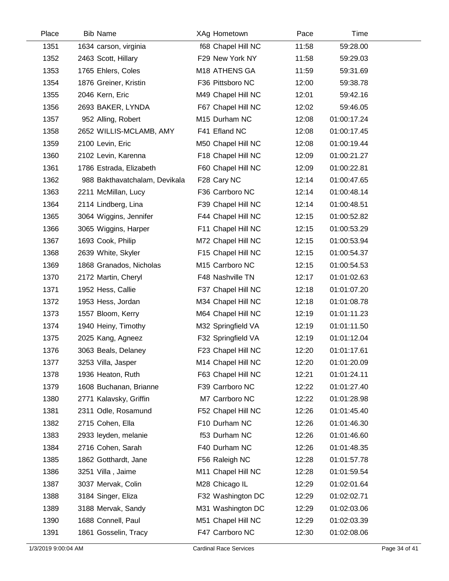| Place | <b>Bib Name</b>               | XAg Hometown       | Pace  | Time        |  |
|-------|-------------------------------|--------------------|-------|-------------|--|
| 1351  | 1634 carson, virginia         | f68 Chapel Hill NC | 11:58 | 59:28.00    |  |
| 1352  | 2463 Scott, Hillary           | F29 New York NY    | 11:58 | 59:29.03    |  |
| 1353  | 1765 Ehlers, Coles            | M18 ATHENS GA      | 11:59 | 59:31.69    |  |
| 1354  | 1876 Greiner, Kristin         | F36 Pittsboro NC   | 12:00 | 59:38.78    |  |
| 1355  | 2046 Kern, Eric               | M49 Chapel Hill NC | 12:01 | 59:42.16    |  |
| 1356  | 2693 BAKER, LYNDA             | F67 Chapel Hill NC | 12:02 | 59:46.05    |  |
| 1357  | 952 Alling, Robert            | M15 Durham NC      | 12:08 | 01:00:17.24 |  |
| 1358  | 2652 WILLIS-MCLAMB, AMY       | F41 Efland NC      | 12:08 | 01:00:17.45 |  |
| 1359  | 2100 Levin, Eric              | M50 Chapel Hill NC | 12:08 | 01:00:19.44 |  |
| 1360  | 2102 Levin, Karenna           | F18 Chapel Hill NC | 12:09 | 01:00:21.27 |  |
| 1361  | 1786 Estrada, Elizabeth       | F60 Chapel Hill NC | 12:09 | 01:00:22.81 |  |
| 1362  | 988 Bakthavatchalam, Devikala | F28 Cary NC        | 12:14 | 01:00:47.65 |  |
| 1363  | 2211 McMillan, Lucy           | F36 Carrboro NC    | 12:14 | 01:00:48.14 |  |
| 1364  | 2114 Lindberg, Lina           | F39 Chapel Hill NC | 12:14 | 01:00:48.51 |  |
| 1365  | 3064 Wiggins, Jennifer        | F44 Chapel Hill NC | 12:15 | 01:00:52.82 |  |
| 1366  | 3065 Wiggins, Harper          | F11 Chapel Hill NC | 12:15 | 01:00:53.29 |  |
| 1367  | 1693 Cook, Philip             | M72 Chapel Hill NC | 12:15 | 01:00:53.94 |  |
| 1368  | 2639 White, Skyler            | F15 Chapel Hill NC | 12:15 | 01:00:54.37 |  |
| 1369  | 1868 Granados, Nicholas       | M15 Carrboro NC    | 12:15 | 01:00:54.53 |  |
| 1370  | 2172 Martin, Cheryl           | F48 Nashville TN   | 12:17 | 01:01:02.63 |  |
| 1371  | 1952 Hess, Callie             | F37 Chapel Hill NC | 12:18 | 01:01:07.20 |  |
| 1372  | 1953 Hess, Jordan             | M34 Chapel Hill NC | 12:18 | 01:01:08.78 |  |
| 1373  | 1557 Bloom, Kerry             | M64 Chapel Hill NC | 12:19 | 01:01:11.23 |  |
| 1374  | 1940 Heiny, Timothy           | M32 Springfield VA | 12:19 | 01:01:11.50 |  |
| 1375  | 2025 Kang, Agneez             | F32 Springfield VA | 12:19 | 01:01:12.04 |  |
| 1376  | 3063 Beals, Delaney           | F23 Chapel Hill NC | 12:20 | 01:01:17.61 |  |
| 1377  | 3253 Villa, Jasper            | M14 Chapel Hill NC | 12:20 | 01:01:20.09 |  |
| 1378  | 1936 Heaton, Ruth             | F63 Chapel Hill NC | 12:21 | 01:01:24.11 |  |
| 1379  | 1608 Buchanan, Brianne        | F39 Carrboro NC    | 12:22 | 01:01:27.40 |  |
| 1380  | 2771 Kalavsky, Griffin        | M7 Carrboro NC     | 12:22 | 01:01:28.98 |  |
| 1381  | 2311 Odle, Rosamund           | F52 Chapel Hill NC | 12:26 | 01:01:45.40 |  |
| 1382  | 2715 Cohen, Ella              | F10 Durham NC      | 12:26 | 01:01:46.30 |  |
| 1383  | 2933 leyden, melanie          | f53 Durham NC      | 12:26 | 01:01:46.60 |  |
| 1384  | 2716 Cohen, Sarah             | F40 Durham NC      | 12:26 | 01:01:48.35 |  |
| 1385  | 1862 Gotthardt, Jane          | F56 Raleigh NC     | 12:28 | 01:01:57.78 |  |
| 1386  | 3251 Villa, Jaime             | M11 Chapel Hill NC | 12:28 | 01:01:59.54 |  |
| 1387  | 3037 Mervak, Colin            | M28 Chicago IL     | 12:29 | 01:02:01.64 |  |
| 1388  | 3184 Singer, Eliza            | F32 Washington DC  | 12:29 | 01:02:02.71 |  |
| 1389  | 3188 Mervak, Sandy            | M31 Washington DC  | 12:29 | 01:02:03.06 |  |
| 1390  | 1688 Connell, Paul            | M51 Chapel Hill NC | 12:29 | 01:02:03.39 |  |
| 1391  | 1861 Gosselin, Tracy          | F47 Carrboro NC    | 12:30 | 01:02:08.06 |  |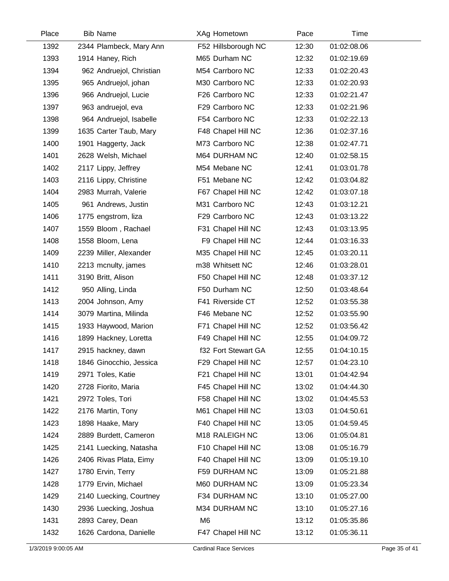| Place | <b>Bib Name</b>          | XAg Hometown        | Pace  | Time        |  |
|-------|--------------------------|---------------------|-------|-------------|--|
| 1392  | 2344 Plambeck, Mary Ann  | F52 Hillsborough NC | 12:30 | 01:02:08.06 |  |
| 1393  | 1914 Haney, Rich         | M65 Durham NC       | 12:32 | 01:02:19.69 |  |
| 1394  | 962 Andruejol, Christian | M54 Carrboro NC     | 12:33 | 01:02:20.43 |  |
| 1395  | 965 Andruejol, johan     | M30 Carrboro NC     | 12:33 | 01:02:20.93 |  |
| 1396  | 966 Andruejol, Lucie     | F26 Carrboro NC     | 12:33 | 01:02:21.47 |  |
| 1397  | 963 andruejol, eva       | F29 Carrboro NC     | 12:33 | 01:02:21.96 |  |
| 1398  | 964 Andruejol, Isabelle  | F54 Carrboro NC     | 12:33 | 01:02:22.13 |  |
| 1399  | 1635 Carter Taub, Mary   | F48 Chapel Hill NC  | 12:36 | 01:02:37.16 |  |
| 1400  | 1901 Haggerty, Jack      | M73 Carrboro NC     | 12:38 | 01:02:47.71 |  |
| 1401  | 2628 Welsh, Michael      | M64 DURHAM NC       | 12:40 | 01:02:58.15 |  |
| 1402  | 2117 Lippy, Jeffrey      | M54 Mebane NC       | 12:41 | 01:03:01.78 |  |
| 1403  | 2116 Lippy, Christine    | F51 Mebane NC       | 12:42 | 01:03:04.82 |  |
| 1404  | 2983 Murrah, Valerie     | F67 Chapel Hill NC  | 12:42 | 01:03:07.18 |  |
| 1405  | 961 Andrews, Justin      | M31 Carrboro NC     | 12:43 | 01:03:12.21 |  |
| 1406  | 1775 engstrom, liza      | F29 Carrboro NC     | 12:43 | 01:03:13.22 |  |
| 1407  | 1559 Bloom, Rachael      | F31 Chapel Hill NC  | 12:43 | 01:03:13.95 |  |
| 1408  | 1558 Bloom, Lena         | F9 Chapel Hill NC   | 12:44 | 01:03:16.33 |  |
| 1409  | 2239 Miller, Alexander   | M35 Chapel Hill NC  | 12:45 | 01:03:20.11 |  |
| 1410  | 2213 mcnulty, james      | m38 Whitsett NC     | 12:46 | 01:03:28.01 |  |
| 1411  | 3190 Britt, Alison       | F50 Chapel Hill NC  | 12:48 | 01:03:37.12 |  |
| 1412  | 950 Alling, Linda        | F50 Durham NC       | 12:50 | 01:03:48.64 |  |
| 1413  | 2004 Johnson, Amy        | F41 Riverside CT    | 12:52 | 01:03:55.38 |  |
| 1414  | 3079 Martina, Milinda    | F46 Mebane NC       | 12:52 | 01:03:55.90 |  |
| 1415  | 1933 Haywood, Marion     | F71 Chapel Hill NC  | 12:52 | 01:03:56.42 |  |
| 1416  | 1899 Hackney, Loretta    | F49 Chapel Hill NC  | 12:55 | 01:04:09.72 |  |
| 1417  | 2915 hackney, dawn       | f32 Fort Stewart GA | 12:55 | 01:04:10.15 |  |
| 1418  | 1846 Ginocchio, Jessica  | F29 Chapel Hill NC  | 12:57 | 01:04:23.10 |  |
| 1419  | 2971 Toles, Katie        | F21 Chapel Hill NC  | 13:01 | 01:04:42.94 |  |
| 1420  | 2728 Fiorito, Maria      | F45 Chapel Hill NC  | 13:02 | 01:04:44.30 |  |
| 1421  | 2972 Toles, Tori         | F58 Chapel Hill NC  | 13:02 | 01:04:45.53 |  |
| 1422  | 2176 Martin, Tony        | M61 Chapel Hill NC  | 13:03 | 01:04:50.61 |  |
| 1423  | 1898 Haake, Mary         | F40 Chapel Hill NC  | 13:05 | 01:04:59.45 |  |
| 1424  | 2889 Burdett, Cameron    | M18 RALEIGH NC      | 13:06 | 01:05:04.81 |  |
| 1425  | 2141 Luecking, Natasha   | F10 Chapel Hill NC  | 13:08 | 01:05:16.79 |  |
| 1426  | 2406 Rivas Plata, Eimy   | F40 Chapel Hill NC  | 13:09 | 01:05:19.10 |  |
| 1427  | 1780 Ervin, Terry        | F59 DURHAM NC       | 13:09 | 01:05:21.88 |  |
| 1428  | 1779 Ervin, Michael      | M60 DURHAM NC       | 13:09 | 01:05:23.34 |  |
| 1429  | 2140 Luecking, Courtney  | F34 DURHAM NC       | 13:10 | 01:05:27.00 |  |
| 1430  | 2936 Luecking, Joshua    | M34 DURHAM NC       | 13:10 | 01:05:27.16 |  |
| 1431  | 2893 Carey, Dean         | M <sub>6</sub>      | 13:12 | 01:05:35.86 |  |
| 1432  | 1626 Cardona, Danielle   | F47 Chapel Hill NC  | 13:12 | 01:05:36.11 |  |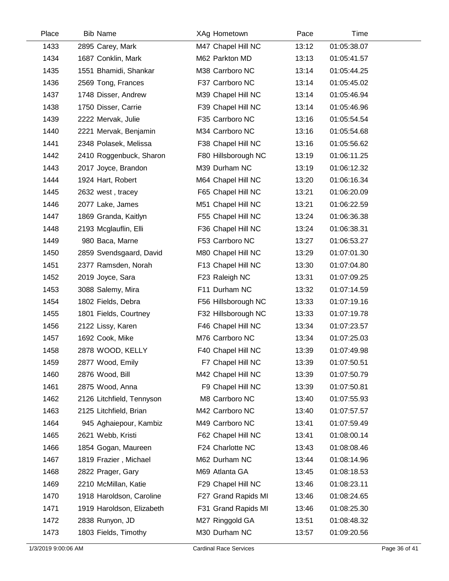| Place | <b>Bib Name</b>           | XAg Hometown        | Pace  | Time        |  |
|-------|---------------------------|---------------------|-------|-------------|--|
| 1433  | 2895 Carey, Mark          | M47 Chapel Hill NC  | 13:12 | 01:05:38.07 |  |
| 1434  | 1687 Conklin, Mark        | M62 Parkton MD      | 13:13 | 01:05:41.57 |  |
| 1435  | 1551 Bhamidi, Shankar     | M38 Carrboro NC     | 13:14 | 01:05:44.25 |  |
| 1436  | 2569 Tong, Frances        | F37 Carrboro NC     | 13:14 | 01:05:45.02 |  |
| 1437  | 1748 Disser, Andrew       | M39 Chapel Hill NC  | 13:14 | 01:05:46.94 |  |
| 1438  | 1750 Disser, Carrie       | F39 Chapel Hill NC  | 13:14 | 01:05:46.96 |  |
| 1439  | 2222 Mervak, Julie        | F35 Carrboro NC     | 13:16 | 01:05:54.54 |  |
| 1440  | 2221 Mervak, Benjamin     | M34 Carrboro NC     | 13:16 | 01:05:54.68 |  |
| 1441  | 2348 Polasek, Melissa     | F38 Chapel Hill NC  | 13:16 | 01:05:56.62 |  |
| 1442  | 2410 Roggenbuck, Sharon   | F80 Hillsborough NC | 13:19 | 01:06:11.25 |  |
| 1443  | 2017 Joyce, Brandon       | M39 Durham NC       | 13:19 | 01:06:12.32 |  |
| 1444  | 1924 Hart, Robert         | M64 Chapel Hill NC  | 13:20 | 01:06:16.34 |  |
| 1445  | 2632 west, tracey         | F65 Chapel Hill NC  | 13:21 | 01:06:20.09 |  |
| 1446  | 2077 Lake, James          | M51 Chapel Hill NC  | 13:21 | 01:06:22.59 |  |
| 1447  | 1869 Granda, Kaitlyn      | F55 Chapel Hill NC  | 13:24 | 01:06:36.38 |  |
| 1448  | 2193 Mcglauflin, Elli     | F36 Chapel Hill NC  | 13:24 | 01:06:38.31 |  |
| 1449  | 980 Baca, Marne           | F53 Carrboro NC     | 13:27 | 01:06:53.27 |  |
| 1450  | 2859 Svendsgaard, David   | M80 Chapel Hill NC  | 13:29 | 01:07:01.30 |  |
| 1451  | 2377 Ramsden, Norah       | F13 Chapel Hill NC  | 13:30 | 01:07:04.80 |  |
| 1452  | 2019 Joyce, Sara          | F23 Raleigh NC      | 13:31 | 01:07:09.25 |  |
| 1453  | 3088 Salemy, Mira         | F11 Durham NC       | 13:32 | 01:07:14.59 |  |
| 1454  | 1802 Fields, Debra        | F56 Hillsborough NC | 13:33 | 01:07:19.16 |  |
| 1455  | 1801 Fields, Courtney     | F32 Hillsborough NC | 13:33 | 01:07:19.78 |  |
| 1456  | 2122 Lissy, Karen         | F46 Chapel Hill NC  | 13:34 | 01:07:23.57 |  |
| 1457  | 1692 Cook, Mike           | M76 Carrboro NC     | 13:34 | 01:07:25.03 |  |
| 1458  | 2878 WOOD, KELLY          | F40 Chapel Hill NC  | 13:39 | 01:07:49.98 |  |
| 1459  | 2877 Wood, Emily          | F7 Chapel Hill NC   | 13:39 | 01:07:50.51 |  |
| 1460  | 2876 Wood, Bill           | M42 Chapel Hill NC  | 13:39 | 01:07:50.79 |  |
| 1461  | 2875 Wood, Anna           | F9 Chapel Hill NC   | 13:39 | 01:07:50.81 |  |
| 1462  | 2126 Litchfield, Tennyson | M8 Carrboro NC      | 13:40 | 01:07:55.93 |  |
| 1463  | 2125 Litchfield, Brian    | M42 Carrboro NC     | 13:40 | 01:07:57.57 |  |
| 1464  | 945 Aghaiepour, Kambiz    | M49 Carrboro NC     | 13:41 | 01:07:59.49 |  |
| 1465  | 2621 Webb, Kristi         | F62 Chapel Hill NC  | 13:41 | 01:08:00.14 |  |
| 1466  | 1854 Gogan, Maureen       | F24 Charlotte NC    | 13:43 | 01:08:08.46 |  |
| 1467  | 1819 Frazier, Michael     | M62 Durham NC       | 13:44 | 01:08:14.96 |  |
| 1468  | 2822 Prager, Gary         | M69 Atlanta GA      | 13:45 | 01:08:18.53 |  |
| 1469  | 2210 McMillan, Katie      | F29 Chapel Hill NC  | 13:46 | 01:08:23.11 |  |
| 1470  | 1918 Haroldson, Caroline  | F27 Grand Rapids MI | 13:46 | 01:08:24.65 |  |
| 1471  | 1919 Haroldson, Elizabeth | F31 Grand Rapids MI | 13:46 | 01:08:25.30 |  |
| 1472  | 2838 Runyon, JD           | M27 Ringgold GA     | 13:51 | 01:08:48.32 |  |
| 1473  | 1803 Fields, Timothy      | M30 Durham NC       | 13:57 | 01:09:20.56 |  |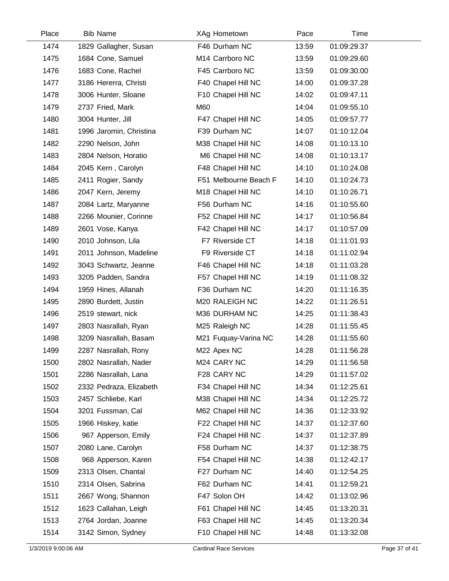| Place | <b>Bib Name</b>         | XAg Hometown          | Pace  | Time        |  |
|-------|-------------------------|-----------------------|-------|-------------|--|
| 1474  | 1829 Gallagher, Susan   | F46 Durham NC         | 13:59 | 01:09:29.37 |  |
| 1475  | 1684 Cone, Samuel       | M14 Carrboro NC       | 13:59 | 01:09:29.60 |  |
| 1476  | 1683 Cone, Rachel       | F45 Carrboro NC       | 13:59 | 01:09:30.00 |  |
| 1477  | 3186 Hererra, Christi   | F40 Chapel Hill NC    | 14:00 | 01:09:37.28 |  |
| 1478  | 3006 Hunter, Sloane     | F10 Chapel Hill NC    | 14:02 | 01:09:47.11 |  |
| 1479  | 2737 Fried, Mark        | M60                   | 14:04 | 01:09:55.10 |  |
| 1480  | 3004 Hunter, Jill       | F47 Chapel Hill NC    | 14:05 | 01:09:57.77 |  |
| 1481  | 1996 Jaromin, Christina | F39 Durham NC         | 14:07 | 01:10:12.04 |  |
| 1482  | 2290 Nelson, John       | M38 Chapel Hill NC    | 14:08 | 01:10:13.10 |  |
| 1483  | 2804 Nelson, Horatio    | M6 Chapel Hill NC     | 14:08 | 01:10:13.17 |  |
| 1484  | 2045 Kern, Carolyn      | F48 Chapel Hill NC    | 14:10 | 01:10:24.08 |  |
| 1485  | 2411 Rogier, Sandy      | F51 Melbourne Beach F | 14:10 | 01:10:24.73 |  |
| 1486  | 2047 Kern, Jeremy       | M18 Chapel Hill NC    | 14:10 | 01:10:26.71 |  |
| 1487  | 2084 Lartz, Maryanne    | F56 Durham NC         | 14:16 | 01:10:55.60 |  |
| 1488  | 2266 Mounier, Corinne   | F52 Chapel Hill NC    | 14:17 | 01:10:56.84 |  |
| 1489  | 2601 Vose, Kanya        | F42 Chapel Hill NC    | 14:17 | 01:10:57.09 |  |
| 1490  | 2010 Johnson, Lila      | F7 Riverside CT       | 14:18 | 01:11:01.93 |  |
| 1491  | 2011 Johnson, Madeline  | F9 Riverside CT       | 14:18 | 01:11:02.94 |  |
| 1492  | 3043 Schwartz, Jeanne   | F46 Chapel Hill NC    | 14:18 | 01:11:03.28 |  |
| 1493  | 3205 Padden, Sandra     | F57 Chapel Hill NC    | 14:19 | 01:11:08.32 |  |
| 1494  | 1959 Hines, Allanah     | F36 Durham NC         | 14:20 | 01:11:16.35 |  |
| 1495  | 2890 Burdett, Justin    | M20 RALEIGH NC        | 14:22 | 01:11:26.51 |  |
| 1496  | 2519 stewart, nick      | M36 DURHAM NC         | 14:25 | 01:11:38.43 |  |
| 1497  | 2803 Nasrallah, Ryan    | M25 Raleigh NC        | 14:28 | 01:11:55.45 |  |
| 1498  | 3209 Nasrallah, Basam   | M21 Fuquay-Varina NC  | 14:28 | 01:11:55.60 |  |
| 1499  | 2287 Nasrallah, Rony    | M22 Apex NC           | 14:28 | 01:11:56.28 |  |
| 1500  | 2802 Nasrallah, Nader   | M24 CARY NC           | 14:29 | 01:11:56.58 |  |
| 1501  | 2286 Nasrallah, Lana    | F28 CARY NC           | 14:29 | 01:11:57.02 |  |
| 1502  | 2332 Pedraza, Elizabeth | F34 Chapel Hill NC    | 14:34 | 01:12:25.61 |  |
| 1503  | 2457 Schliebe, Karl     | M38 Chapel Hill NC    | 14:34 | 01:12:25.72 |  |
| 1504  | 3201 Fussman, Cal       | M62 Chapel Hill NC    | 14:36 | 01:12:33.92 |  |
| 1505  | 1966 Hiskey, katie      | F22 Chapel Hill NC    | 14:37 | 01:12:37.60 |  |
| 1506  | 967 Apperson, Emily     | F24 Chapel Hill NC    | 14:37 | 01:12:37.89 |  |
| 1507  | 2080 Lane, Carolyn      | F58 Durham NC         | 14:37 | 01:12:38.75 |  |
| 1508  | 968 Apperson, Karen     | F54 Chapel Hill NC    | 14:38 | 01:12:42.17 |  |
| 1509  | 2313 Olsen, Chantal     | F27 Durham NC         | 14:40 | 01:12:54.25 |  |
| 1510  | 2314 Olsen, Sabrina     | F62 Durham NC         | 14:41 | 01:12:59.21 |  |
| 1511  | 2667 Wong, Shannon      | F47 Solon OH          | 14:42 | 01:13:02.96 |  |
| 1512  | 1623 Callahan, Leigh    | F61 Chapel Hill NC    | 14:45 | 01:13:20.31 |  |
| 1513  | 2764 Jordan, Joanne     | F63 Chapel Hill NC    | 14:45 | 01:13:20.34 |  |
| 1514  | 3142 Simon, Sydney      | F10 Chapel Hill NC    | 14:48 | 01:13:32.08 |  |

 $\overline{\phantom{0}}$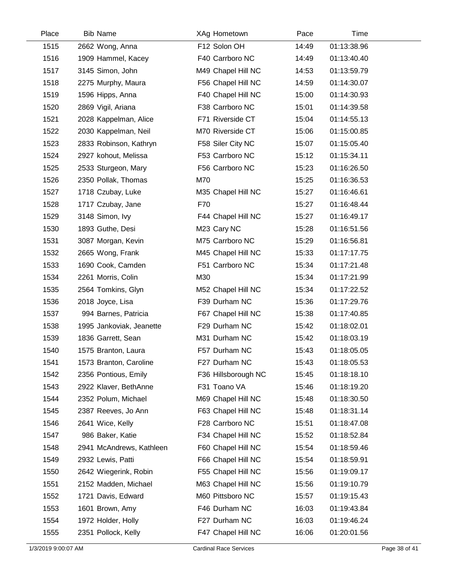| Place | <b>Bib Name</b>          | XAg Hometown        | Pace  | Time        |  |
|-------|--------------------------|---------------------|-------|-------------|--|
| 1515  | 2662 Wong, Anna          | F12 Solon OH        | 14:49 | 01:13:38.96 |  |
| 1516  | 1909 Hammel, Kacey       | F40 Carrboro NC     | 14:49 | 01:13:40.40 |  |
| 1517  | 3145 Simon, John         | M49 Chapel Hill NC  | 14:53 | 01:13:59.79 |  |
| 1518  | 2275 Murphy, Maura       | F56 Chapel Hill NC  | 14:59 | 01:14:30.07 |  |
| 1519  | 1596 Hipps, Anna         | F40 Chapel Hill NC  | 15:00 | 01:14:30.93 |  |
| 1520  | 2869 Vigil, Ariana       | F38 Carrboro NC     | 15:01 | 01:14:39.58 |  |
| 1521  | 2028 Kappelman, Alice    | F71 Riverside CT    | 15:04 | 01:14:55.13 |  |
| 1522  | 2030 Kappelman, Neil     | M70 Riverside CT    | 15:06 | 01:15:00.85 |  |
| 1523  | 2833 Robinson, Kathryn   | F58 Siler City NC   | 15:07 | 01:15:05.40 |  |
| 1524  | 2927 kohout, Melissa     | F53 Carrboro NC     | 15:12 | 01:15:34.11 |  |
| 1525  | 2533 Sturgeon, Mary      | F56 Carrboro NC     | 15:23 | 01:16:26.50 |  |
| 1526  | 2350 Pollak, Thomas      | M70                 | 15:25 | 01:16:36.53 |  |
| 1527  | 1718 Czubay, Luke        | M35 Chapel Hill NC  | 15:27 | 01:16:46.61 |  |
| 1528  | 1717 Czubay, Jane        | F70                 | 15:27 | 01:16:48.44 |  |
| 1529  | 3148 Simon, Ivy          | F44 Chapel Hill NC  | 15:27 | 01:16:49.17 |  |
| 1530  | 1893 Guthe, Desi         | M23 Cary NC         | 15:28 | 01:16:51.56 |  |
| 1531  | 3087 Morgan, Kevin       | M75 Carrboro NC     | 15:29 | 01:16:56.81 |  |
| 1532  | 2665 Wong, Frank         | M45 Chapel Hill NC  | 15:33 | 01:17:17.75 |  |
| 1533  | 1690 Cook, Camden        | F51 Carrboro NC     | 15:34 | 01:17:21.48 |  |
| 1534  | 2261 Morris, Colin       | M30                 | 15:34 | 01:17:21.99 |  |
| 1535  | 2564 Tomkins, Glyn       | M52 Chapel Hill NC  | 15:34 | 01:17:22.52 |  |
| 1536  | 2018 Joyce, Lisa         | F39 Durham NC       | 15:36 | 01:17:29.76 |  |
| 1537  | 994 Barnes, Patricia     | F67 Chapel Hill NC  | 15:38 | 01:17:40.85 |  |
| 1538  | 1995 Jankoviak, Jeanette | F29 Durham NC       | 15:42 | 01:18:02.01 |  |
| 1539  | 1836 Garrett, Sean       | M31 Durham NC       | 15:42 | 01:18:03.19 |  |
| 1540  | 1575 Branton, Laura      | F57 Durham NC       | 15:43 | 01:18:05.05 |  |
| 1541  | 1573 Branton, Caroline   | F27 Durham NC       | 15:43 | 01:18:05.53 |  |
| 1542  | 2356 Pontious, Emily     | F36 Hillsborough NC | 15:45 | 01:18:18.10 |  |
| 1543  | 2922 Klaver, BethAnne    | F31 Toano VA        | 15:46 | 01:18:19.20 |  |
| 1544  | 2352 Polum, Michael      | M69 Chapel Hill NC  | 15:48 | 01:18:30.50 |  |
| 1545  | 2387 Reeves, Jo Ann      | F63 Chapel Hill NC  | 15:48 | 01:18:31.14 |  |
| 1546  | 2641 Wice, Kelly         | F28 Carrboro NC     | 15:51 | 01:18:47.08 |  |
| 1547  | 986 Baker, Katie         | F34 Chapel Hill NC  | 15:52 | 01:18:52.84 |  |
| 1548  | 2941 McAndrews, Kathleen | F60 Chapel Hill NC  | 15:54 | 01:18:59.46 |  |
| 1549  | 2932 Lewis, Patti        | F66 Chapel Hill NC  | 15:54 | 01:18:59.91 |  |
| 1550  | 2642 Wiegerink, Robin    | F55 Chapel Hill NC  | 15:56 | 01:19:09.17 |  |
| 1551  | 2152 Madden, Michael     | M63 Chapel Hill NC  | 15:56 | 01:19:10.79 |  |
| 1552  | 1721 Davis, Edward       | M60 Pittsboro NC    | 15:57 | 01:19:15.43 |  |
| 1553  | 1601 Brown, Amy          | F46 Durham NC       | 16:03 | 01:19:43.84 |  |
| 1554  | 1972 Holder, Holly       | F27 Durham NC       | 16:03 | 01:19:46.24 |  |
| 1555  | 2351 Pollock, Kelly      | F47 Chapel Hill NC  | 16:06 | 01:20:01.56 |  |

 $\overline{a}$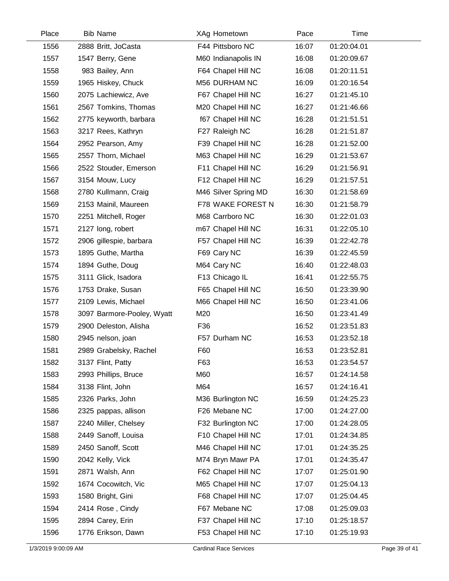| Place | <b>Bib Name</b>            | XAg Hometown         | Pace  | Time        |  |
|-------|----------------------------|----------------------|-------|-------------|--|
| 1556  | 2888 Britt, JoCasta        | F44 Pittsboro NC     | 16:07 | 01:20:04.01 |  |
| 1557  | 1547 Berry, Gene           | M60 Indianapolis IN  | 16:08 | 01:20:09.67 |  |
| 1558  | 983 Bailey, Ann            | F64 Chapel Hill NC   | 16:08 | 01:20:11.51 |  |
| 1559  | 1965 Hiskey, Chuck         | M56 DURHAM NC        | 16:09 | 01:20:16.54 |  |
| 1560  | 2075 Lachiewicz, Ave       | F67 Chapel Hill NC   | 16:27 | 01:21:45.10 |  |
| 1561  | 2567 Tomkins, Thomas       | M20 Chapel Hill NC   | 16:27 | 01:21:46.66 |  |
| 1562  | 2775 keyworth, barbara     | f67 Chapel Hill NC   | 16:28 | 01:21:51.51 |  |
| 1563  | 3217 Rees, Kathryn         | F27 Raleigh NC       | 16:28 | 01:21:51.87 |  |
| 1564  | 2952 Pearson, Amy          | F39 Chapel Hill NC   | 16:28 | 01:21:52.00 |  |
| 1565  | 2557 Thorn, Michael        | M63 Chapel Hill NC   | 16:29 | 01:21:53.67 |  |
| 1566  | 2522 Stouder, Emerson      | F11 Chapel Hill NC   | 16:29 | 01:21:56.91 |  |
| 1567  | 3154 Mouw, Lucy            | F12 Chapel Hill NC   | 16:29 | 01:21:57.51 |  |
| 1568  | 2780 Kullmann, Craig       | M46 Silver Spring MD | 16:30 | 01:21:58.69 |  |
| 1569  | 2153 Mainil, Maureen       | F78 WAKE FOREST N    | 16:30 | 01:21:58.79 |  |
| 1570  | 2251 Mitchell, Roger       | M68 Carrboro NC      | 16:30 | 01:22:01.03 |  |
| 1571  | 2127 long, robert          | m67 Chapel Hill NC   | 16:31 | 01:22:05.10 |  |
| 1572  | 2906 gillespie, barbara    | F57 Chapel Hill NC   | 16:39 | 01:22:42.78 |  |
| 1573  | 1895 Guthe, Martha         | F69 Cary NC          | 16:39 | 01:22:45.59 |  |
| 1574  | 1894 Guthe, Doug           | M64 Cary NC          | 16:40 | 01:22:48.03 |  |
| 1575  | 3111 Glick, Isadora        | F13 Chicago IL       | 16:41 | 01:22:55.75 |  |
| 1576  | 1753 Drake, Susan          | F65 Chapel Hill NC   | 16:50 | 01:23:39.90 |  |
| 1577  | 2109 Lewis, Michael        | M66 Chapel Hill NC   | 16:50 | 01:23:41.06 |  |
| 1578  | 3097 Barmore-Pooley, Wyatt | M20                  | 16:50 | 01:23:41.49 |  |
| 1579  | 2900 Deleston, Alisha      | F36                  | 16:52 | 01:23:51.83 |  |
| 1580  | 2945 nelson, joan          | F57 Durham NC        | 16:53 | 01:23:52.18 |  |
| 1581  | 2989 Grabelsky, Rachel     | F60                  | 16:53 | 01:23:52.81 |  |
| 1582  | 3137 Flint, Patty          | F63                  | 16:53 | 01:23:54.57 |  |
| 1583  | 2993 Phillips, Bruce       | M60                  | 16:57 | 01:24:14.58 |  |
| 1584  | 3138 Flint, John           | M64                  | 16:57 | 01:24:16.41 |  |
| 1585  | 2326 Parks, John           | M36 Burlington NC    | 16:59 | 01:24:25.23 |  |
| 1586  | 2325 pappas, allison       | F26 Mebane NC        | 17:00 | 01:24:27.00 |  |
| 1587  | 2240 Miller, Chelsey       | F32 Burlington NC    | 17:00 | 01:24:28.05 |  |
| 1588  | 2449 Sanoff, Louisa        | F10 Chapel Hill NC   | 17:01 | 01:24:34.85 |  |
| 1589  | 2450 Sanoff, Scott         | M46 Chapel Hill NC   | 17:01 | 01:24:35.25 |  |
| 1590  | 2042 Kelly, Vick           | M74 Bryn Mawr PA     | 17:01 | 01:24:35.47 |  |
| 1591  | 2871 Walsh, Ann            | F62 Chapel Hill NC   | 17:07 | 01:25:01.90 |  |
| 1592  | 1674 Cocowitch, Vic        | M65 Chapel Hill NC   | 17:07 | 01:25:04.13 |  |
| 1593  | 1580 Bright, Gini          | F68 Chapel Hill NC   | 17:07 | 01:25:04.45 |  |
| 1594  | 2414 Rose, Cindy           | F67 Mebane NC        | 17:08 | 01:25:09.03 |  |
| 1595  | 2894 Carey, Erin           | F37 Chapel Hill NC   | 17:10 | 01:25:18.57 |  |
| 1596  | 1776 Erikson, Dawn         | F53 Chapel Hill NC   | 17:10 | 01:25:19.93 |  |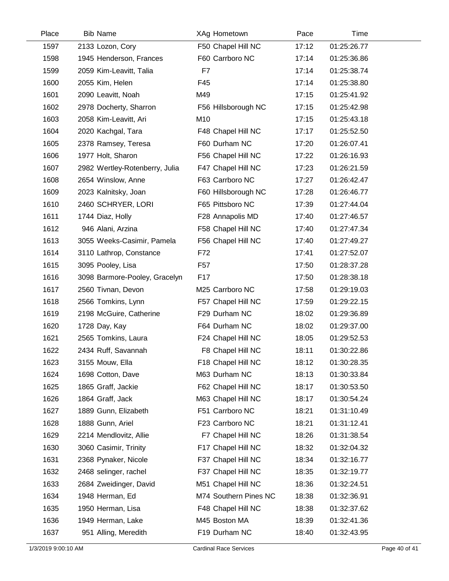| Place | <b>Bib Name</b>                | XAg Hometown          | Pace  | Time        |  |
|-------|--------------------------------|-----------------------|-------|-------------|--|
| 1597  | 2133 Lozon, Cory               | F50 Chapel Hill NC    | 17:12 | 01:25:26.77 |  |
| 1598  | 1945 Henderson, Frances        | F60 Carrboro NC       | 17:14 | 01:25:36.86 |  |
| 1599  | 2059 Kim-Leavitt, Talia        | F7                    | 17:14 | 01:25:38.74 |  |
| 1600  | 2055 Kim, Helen                | F45                   | 17:14 | 01:25:38.80 |  |
| 1601  | 2090 Leavitt, Noah             | M49                   | 17:15 | 01:25:41.92 |  |
| 1602  | 2978 Docherty, Sharron         | F56 Hillsborough NC   | 17:15 | 01:25:42.98 |  |
| 1603  | 2058 Kim-Leavitt, Ari          | M10                   | 17:15 | 01:25:43.18 |  |
| 1604  | 2020 Kachgal, Tara             | F48 Chapel Hill NC    | 17:17 | 01:25:52.50 |  |
| 1605  | 2378 Ramsey, Teresa            | F60 Durham NC         | 17:20 | 01:26:07.41 |  |
| 1606  | 1977 Holt, Sharon              | F56 Chapel Hill NC    | 17:22 | 01:26:16.93 |  |
| 1607  | 2982 Wertley-Rotenberry, Julia | F47 Chapel Hill NC    | 17:23 | 01:26:21.59 |  |
| 1608  | 2654 Winslow, Anne             | F63 Carrboro NC       | 17:27 | 01:26:42.47 |  |
| 1609  | 2023 Kalnitsky, Joan           | F60 Hillsborough NC   | 17:28 | 01:26:46.77 |  |
| 1610  | 2460 SCHRYER, LORI             | F65 Pittsboro NC      | 17:39 | 01:27:44.04 |  |
| 1611  | 1744 Diaz, Holly               | F28 Annapolis MD      | 17:40 | 01:27:46.57 |  |
| 1612  | 946 Alani, Arzina              | F58 Chapel Hill NC    | 17:40 | 01:27:47.34 |  |
| 1613  | 3055 Weeks-Casimir, Pamela     | F56 Chapel Hill NC    | 17:40 | 01:27:49.27 |  |
| 1614  | 3110 Lathrop, Constance        | F72                   | 17:41 | 01:27:52.07 |  |
| 1615  | 3095 Pooley, Lisa              | F <sub>57</sub>       | 17:50 | 01:28:37.28 |  |
| 1616  | 3098 Barmore-Pooley, Gracelyn  | F17                   | 17:50 | 01:28:38.18 |  |
| 1617  | 2560 Tivnan, Devon             | M25 Carrboro NC       | 17:58 | 01:29:19.03 |  |
| 1618  | 2566 Tomkins, Lynn             | F57 Chapel Hill NC    | 17:59 | 01:29:22.15 |  |
| 1619  | 2198 McGuire, Catherine        | F29 Durham NC         | 18:02 | 01:29:36.89 |  |
| 1620  | 1728 Day, Kay                  | F64 Durham NC         | 18:02 | 01:29:37.00 |  |
| 1621  | 2565 Tomkins, Laura            | F24 Chapel Hill NC    | 18:05 | 01:29:52.53 |  |
| 1622  | 2434 Ruff, Savannah            | F8 Chapel Hill NC     | 18:11 | 01:30:22.86 |  |
| 1623  | 3155 Mouw, Ella                | F18 Chapel Hill NC    | 18:12 | 01:30:28.35 |  |
| 1624  | 1698 Cotton, Dave              | M63 Durham NC         | 18:13 | 01:30:33.84 |  |
| 1625  | 1865 Graff, Jackie             | F62 Chapel Hill NC    | 18:17 | 01:30:53.50 |  |
| 1626  | 1864 Graff, Jack               | M63 Chapel Hill NC    | 18:17 | 01:30:54.24 |  |
| 1627  | 1889 Gunn, Elizabeth           | F51 Carrboro NC       | 18:21 | 01:31:10.49 |  |
| 1628  | 1888 Gunn, Ariel               | F23 Carrboro NC       | 18:21 | 01:31:12.41 |  |
| 1629  | 2214 Mendlovitz, Allie         | F7 Chapel Hill NC     | 18:26 | 01:31:38.54 |  |
| 1630  | 3060 Casimir, Trinity          | F17 Chapel Hill NC    | 18:32 | 01:32:04.32 |  |
| 1631  | 2368 Pynaker, Nicole           | F37 Chapel Hill NC    | 18:34 | 01:32:16.77 |  |
| 1632  | 2468 selinger, rachel          | F37 Chapel Hill NC    | 18:35 | 01:32:19.77 |  |
| 1633  | 2684 Zweidinger, David         | M51 Chapel Hill NC    | 18:36 | 01:32:24.51 |  |
| 1634  | 1948 Herman, Ed                | M74 Southern Pines NC | 18:38 | 01:32:36.91 |  |
| 1635  | 1950 Herman, Lisa              | F48 Chapel Hill NC    | 18:38 | 01:32:37.62 |  |
| 1636  | 1949 Herman, Lake              | M45 Boston MA         | 18:39 | 01:32:41.36 |  |
| 1637  | 951 Alling, Meredith           | F19 Durham NC         | 18:40 | 01:32:43.95 |  |